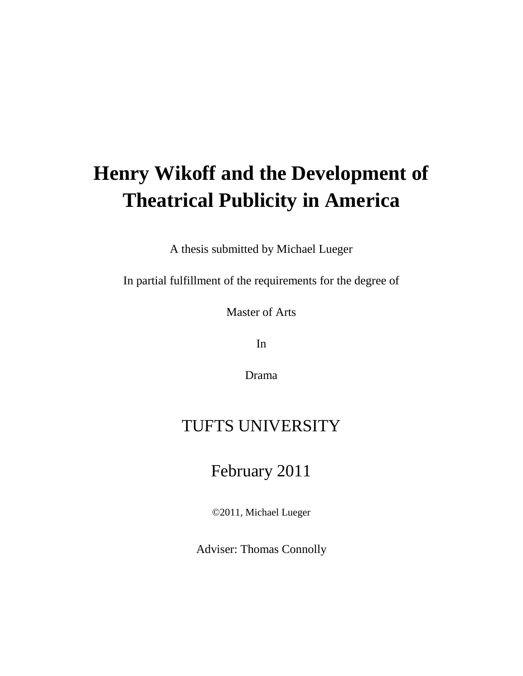# **Henry Wikoff and the Development of Theatrical Publicity in America**

A thesis submitted by Michael Lueger

In partial fulfillment of the requirements for the degree of

Master of Arts

In

Drama

## TUFTS UNIVERSITY

## February 2011

©2011, Michael Lueger

Adviser: Thomas Connolly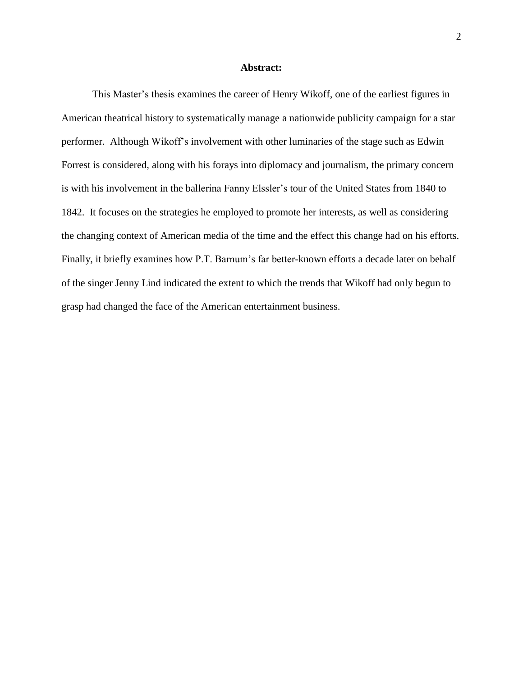### **Abstract:**

This Master's thesis examines the career of Henry Wikoff, one of the earliest figures in American theatrical history to systematically manage a nationwide publicity campaign for a star performer. Although Wikoff"s involvement with other luminaries of the stage such as Edwin Forrest is considered, along with his forays into diplomacy and journalism, the primary concern is with his involvement in the ballerina Fanny Elssler's tour of the United States from 1840 to 1842. It focuses on the strategies he employed to promote her interests, as well as considering the changing context of American media of the time and the effect this change had on his efforts. Finally, it briefly examines how P.T. Barnum's far better-known efforts a decade later on behalf of the singer Jenny Lind indicated the extent to which the trends that Wikoff had only begun to grasp had changed the face of the American entertainment business.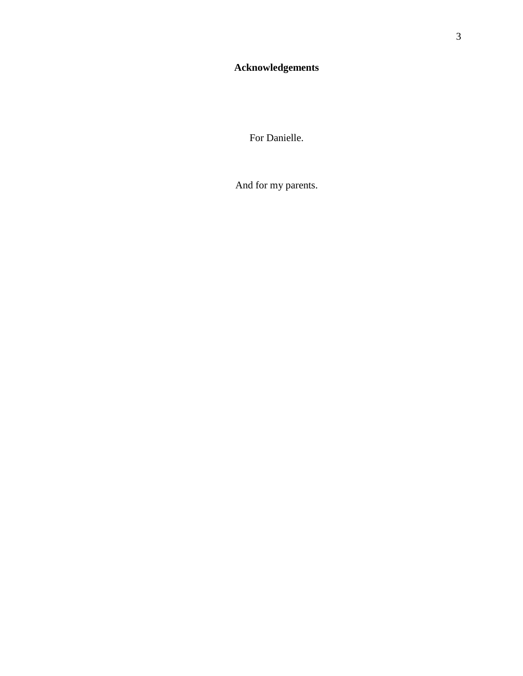For Danielle.

And for my parents.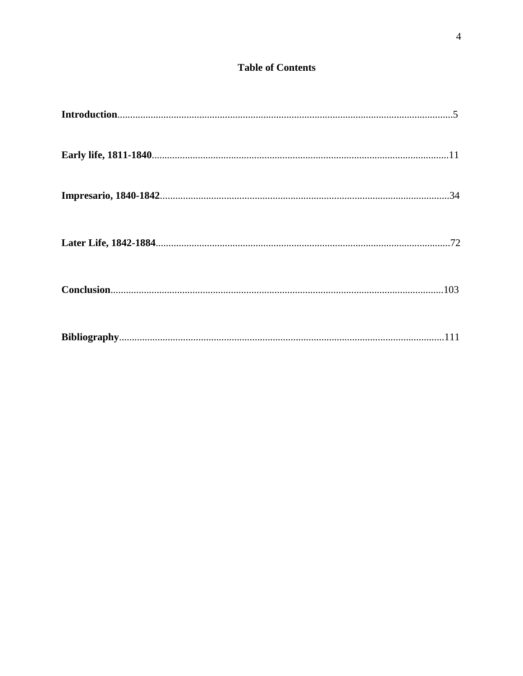## **Table of Contents**

| $\label{eq:1} \textbf{Introduction} \textcolor{red}{\textbf{.\textbf{1}}}\textbf{.\textbf{1}} \textbf{.} \textbf{.} \textbf{.} \textbf{.} \textbf{.} \textbf{.} \textbf{.} \textbf{.} \textbf{.} \textbf{.} \textbf{.} \textbf{.} \textbf{.} \textbf{.} \textbf{.} \textbf{.} \textbf{.} \textbf{.} \textbf{.} \textbf{.} \textbf{.} \textbf{.} \textbf{.} \textbf{.} \textbf{.} \textbf{.} \textbf{.} \textbf{.} \textbf{.} \textbf{.} \$ |  |
|--------------------------------------------------------------------------------------------------------------------------------------------------------------------------------------------------------------------------------------------------------------------------------------------------------------------------------------------------------------------------------------------------------------------------------------------|--|
|                                                                                                                                                                                                                                                                                                                                                                                                                                            |  |
|                                                                                                                                                                                                                                                                                                                                                                                                                                            |  |
|                                                                                                                                                                                                                                                                                                                                                                                                                                            |  |
|                                                                                                                                                                                                                                                                                                                                                                                                                                            |  |
|                                                                                                                                                                                                                                                                                                                                                                                                                                            |  |
|                                                                                                                                                                                                                                                                                                                                                                                                                                            |  |
|                                                                                                                                                                                                                                                                                                                                                                                                                                            |  |
|                                                                                                                                                                                                                                                                                                                                                                                                                                            |  |
|                                                                                                                                                                                                                                                                                                                                                                                                                                            |  |
|                                                                                                                                                                                                                                                                                                                                                                                                                                            |  |
|                                                                                                                                                                                                                                                                                                                                                                                                                                            |  |
|                                                                                                                                                                                                                                                                                                                                                                                                                                            |  |
|                                                                                                                                                                                                                                                                                                                                                                                                                                            |  |
|                                                                                                                                                                                                                                                                                                                                                                                                                                            |  |
|                                                                                                                                                                                                                                                                                                                                                                                                                                            |  |
|                                                                                                                                                                                                                                                                                                                                                                                                                                            |  |
|                                                                                                                                                                                                                                                                                                                                                                                                                                            |  |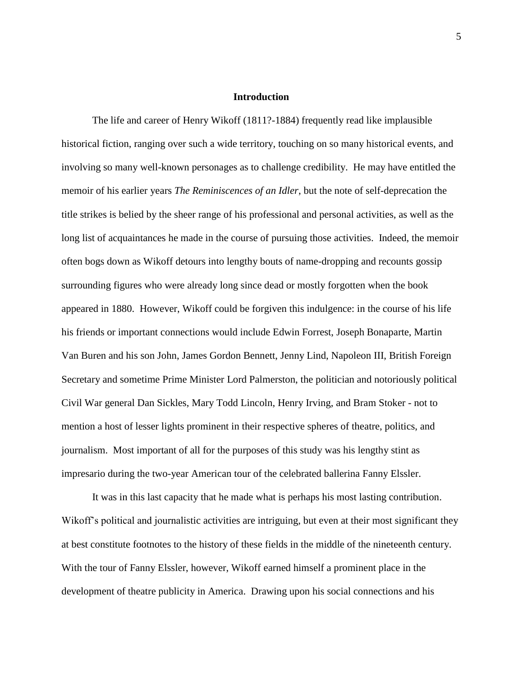### **Introduction**

The life and career of Henry Wikoff (1811?-1884) frequently read like implausible historical fiction, ranging over such a wide territory, touching on so many historical events, and involving so many well-known personages as to challenge credibility. He may have entitled the memoir of his earlier years *The Reminiscences of an Idler*, but the note of self-deprecation the title strikes is belied by the sheer range of his professional and personal activities, as well as the long list of acquaintances he made in the course of pursuing those activities. Indeed, the memoir often bogs down as Wikoff detours into lengthy bouts of name-dropping and recounts gossip surrounding figures who were already long since dead or mostly forgotten when the book appeared in 1880. However, Wikoff could be forgiven this indulgence: in the course of his life his friends or important connections would include Edwin Forrest, Joseph Bonaparte, Martin Van Buren and his son John, James Gordon Bennett, Jenny Lind, Napoleon III, British Foreign Secretary and sometime Prime Minister Lord Palmerston, the politician and notoriously political Civil War general Dan Sickles, Mary Todd Lincoln, Henry Irving, and Bram Stoker - not to mention a host of lesser lights prominent in their respective spheres of theatre, politics, and journalism. Most important of all for the purposes of this study was his lengthy stint as impresario during the two-year American tour of the celebrated ballerina Fanny Elssler.

It was in this last capacity that he made what is perhaps his most lasting contribution. Wikoff"s political and journalistic activities are intriguing, but even at their most significant they at best constitute footnotes to the history of these fields in the middle of the nineteenth century. With the tour of Fanny Elssler, however, Wikoff earned himself a prominent place in the development of theatre publicity in America. Drawing upon his social connections and his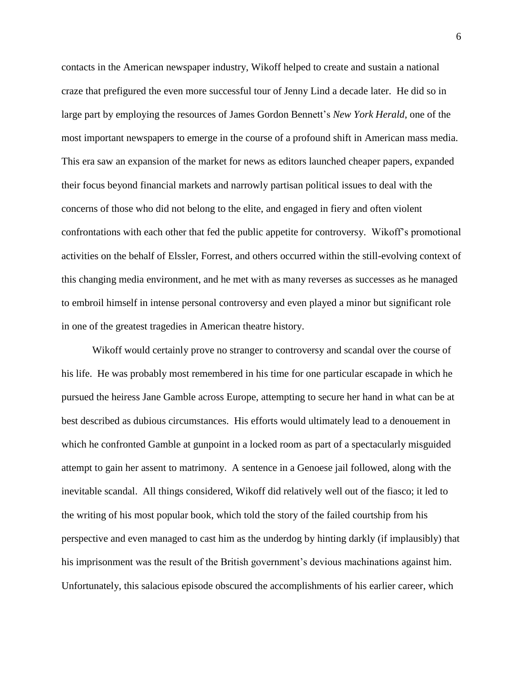contacts in the American newspaper industry, Wikoff helped to create and sustain a national craze that prefigured the even more successful tour of Jenny Lind a decade later. He did so in large part by employing the resources of James Gordon Bennett"s *New York Herald*, one of the most important newspapers to emerge in the course of a profound shift in American mass media. This era saw an expansion of the market for news as editors launched cheaper papers, expanded their focus beyond financial markets and narrowly partisan political issues to deal with the concerns of those who did not belong to the elite, and engaged in fiery and often violent confrontations with each other that fed the public appetite for controversy. Wikoff"s promotional activities on the behalf of Elssler, Forrest, and others occurred within the still-evolving context of this changing media environment, and he met with as many reverses as successes as he managed to embroil himself in intense personal controversy and even played a minor but significant role in one of the greatest tragedies in American theatre history.

Wikoff would certainly prove no stranger to controversy and scandal over the course of his life. He was probably most remembered in his time for one particular escapade in which he pursued the heiress Jane Gamble across Europe, attempting to secure her hand in what can be at best described as dubious circumstances. His efforts would ultimately lead to a denouement in which he confronted Gamble at gunpoint in a locked room as part of a spectacularly misguided attempt to gain her assent to matrimony. A sentence in a Genoese jail followed, along with the inevitable scandal. All things considered, Wikoff did relatively well out of the fiasco; it led to the writing of his most popular book, which told the story of the failed courtship from his perspective and even managed to cast him as the underdog by hinting darkly (if implausibly) that his imprisonment was the result of the British government"s devious machinations against him. Unfortunately, this salacious episode obscured the accomplishments of his earlier career, which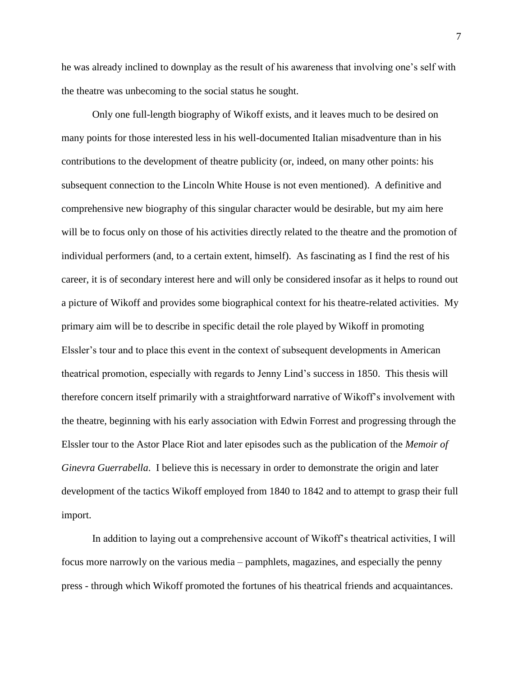he was already inclined to downplay as the result of his awareness that involving one"s self with the theatre was unbecoming to the social status he sought.

Only one full-length biography of Wikoff exists, and it leaves much to be desired on many points for those interested less in his well-documented Italian misadventure than in his contributions to the development of theatre publicity (or, indeed, on many other points: his subsequent connection to the Lincoln White House is not even mentioned). A definitive and comprehensive new biography of this singular character would be desirable, but my aim here will be to focus only on those of his activities directly related to the theatre and the promotion of individual performers (and, to a certain extent, himself). As fascinating as I find the rest of his career, it is of secondary interest here and will only be considered insofar as it helps to round out a picture of Wikoff and provides some biographical context for his theatre-related activities. My primary aim will be to describe in specific detail the role played by Wikoff in promoting Elssler's tour and to place this event in the context of subsequent developments in American theatrical promotion, especially with regards to Jenny Lind"s success in 1850. This thesis will therefore concern itself primarily with a straightforward narrative of Wikoff"s involvement with the theatre, beginning with his early association with Edwin Forrest and progressing through the Elssler tour to the Astor Place Riot and later episodes such as the publication of the *Memoir of Ginevra Guerrabella*. I believe this is necessary in order to demonstrate the origin and later development of the tactics Wikoff employed from 1840 to 1842 and to attempt to grasp their full import.

In addition to laying out a comprehensive account of Wikoff"s theatrical activities, I will focus more narrowly on the various media – pamphlets, magazines, and especially the penny press - through which Wikoff promoted the fortunes of his theatrical friends and acquaintances.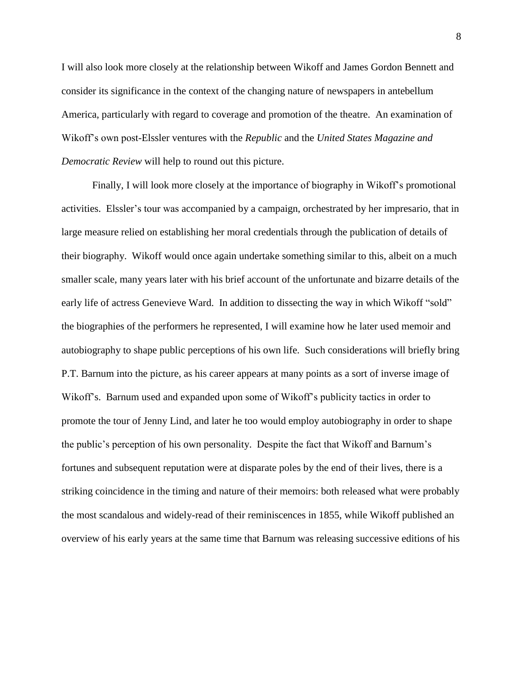I will also look more closely at the relationship between Wikoff and James Gordon Bennett and consider its significance in the context of the changing nature of newspapers in antebellum America, particularly with regard to coverage and promotion of the theatre. An examination of Wikoff"s own post-Elssler ventures with the *Republic* and the *United States Magazine and Democratic Review* will help to round out this picture.

Finally, I will look more closely at the importance of biography in Wikoff"s promotional activities. Elssler's tour was accompanied by a campaign, orchestrated by her impresario, that in large measure relied on establishing her moral credentials through the publication of details of their biography. Wikoff would once again undertake something similar to this, albeit on a much smaller scale, many years later with his brief account of the unfortunate and bizarre details of the early life of actress Genevieve Ward. In addition to dissecting the way in which Wikoff "sold" the biographies of the performers he represented, I will examine how he later used memoir and autobiography to shape public perceptions of his own life. Such considerations will briefly bring P.T. Barnum into the picture, as his career appears at many points as a sort of inverse image of Wikoff's. Barnum used and expanded upon some of Wikoff's publicity tactics in order to promote the tour of Jenny Lind, and later he too would employ autobiography in order to shape the public"s perception of his own personality. Despite the fact that Wikoff and Barnum"s fortunes and subsequent reputation were at disparate poles by the end of their lives, there is a striking coincidence in the timing and nature of their memoirs: both released what were probably the most scandalous and widely-read of their reminiscences in 1855, while Wikoff published an overview of his early years at the same time that Barnum was releasing successive editions of his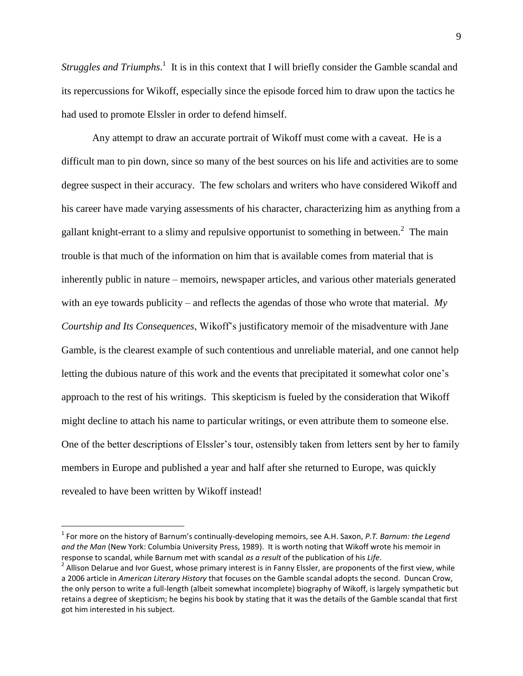*Struggles and Triumphs.*<sup>1</sup> It is in this context that I will briefly consider the Gamble scandal and its repercussions for Wikoff, especially since the episode forced him to draw upon the tactics he had used to promote Elssler in order to defend himself.

Any attempt to draw an accurate portrait of Wikoff must come with a caveat. He is a difficult man to pin down, since so many of the best sources on his life and activities are to some degree suspect in their accuracy. The few scholars and writers who have considered Wikoff and his career have made varying assessments of his character, characterizing him as anything from a gallant knight-errant to a slimy and repulsive opportunist to something in between.<sup>2</sup> The main trouble is that much of the information on him that is available comes from material that is inherently public in nature – memoirs, newspaper articles, and various other materials generated with an eye towards publicity – and reflects the agendas of those who wrote that material. *My Courtship and Its Consequences*, Wikoff"s justificatory memoir of the misadventure with Jane Gamble, is the clearest example of such contentious and unreliable material, and one cannot help letting the dubious nature of this work and the events that precipitated it somewhat color one"s approach to the rest of his writings. This skepticism is fueled by the consideration that Wikoff might decline to attach his name to particular writings, or even attribute them to someone else. One of the better descriptions of Elssler"s tour, ostensibly taken from letters sent by her to family members in Europe and published a year and half after she returned to Europe, was quickly revealed to have been written by Wikoff instead!

<sup>1</sup> For more on the history of Barnum's continually-developing memoirs, see A.H. Saxon, *P.T. Barnum: the Legend and the Man* (New York: Columbia University Press, 1989). It is worth noting that Wikoff wrote his memoir in response to scandal, while Barnum met with scandal *as a result* of the publication of his *Life*.

 $^2$  Allison Delarue and Ivor Guest, whose primary interest is in Fanny Elssler, are proponents of the first view, while a 2006 article in *American Literary History* that focuses on the Gamble scandal adopts the second. Duncan Crow, the only person to write a full-length (albeit somewhat incomplete) biography of Wikoff, is largely sympathetic but retains a degree of skepticism; he begins his book by stating that it was the details of the Gamble scandal that first got him interested in his subject.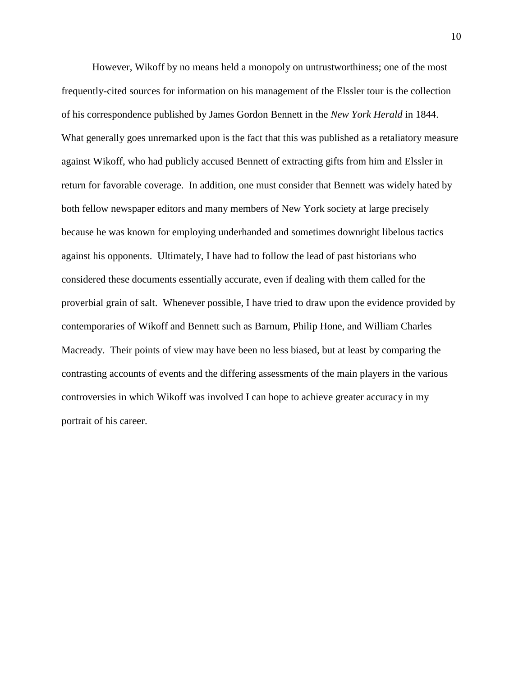However, Wikoff by no means held a monopoly on untrustworthiness; one of the most frequently-cited sources for information on his management of the Elssler tour is the collection of his correspondence published by James Gordon Bennett in the *New York Herald* in 1844. What generally goes unremarked upon is the fact that this was published as a retaliatory measure against Wikoff, who had publicly accused Bennett of extracting gifts from him and Elssler in return for favorable coverage. In addition, one must consider that Bennett was widely hated by both fellow newspaper editors and many members of New York society at large precisely because he was known for employing underhanded and sometimes downright libelous tactics against his opponents. Ultimately, I have had to follow the lead of past historians who considered these documents essentially accurate, even if dealing with them called for the proverbial grain of salt. Whenever possible, I have tried to draw upon the evidence provided by contemporaries of Wikoff and Bennett such as Barnum, Philip Hone, and William Charles Macready. Their points of view may have been no less biased, but at least by comparing the contrasting accounts of events and the differing assessments of the main players in the various controversies in which Wikoff was involved I can hope to achieve greater accuracy in my portrait of his career.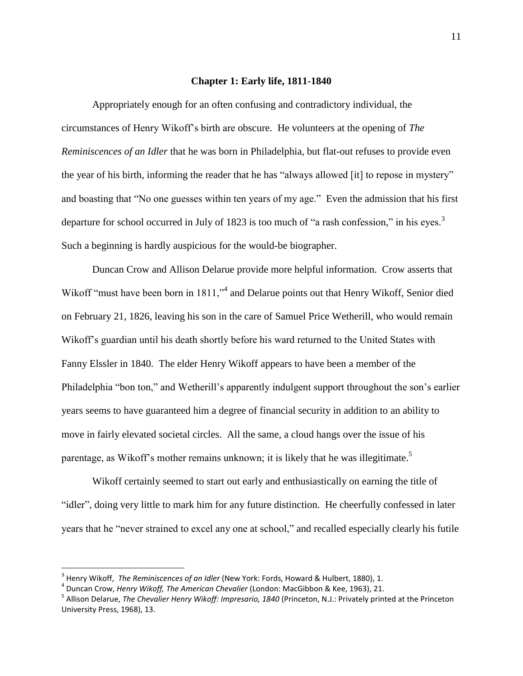### **Chapter 1: Early life, 1811-1840**

Appropriately enough for an often confusing and contradictory individual, the circumstances of Henry Wikoff"s birth are obscure. He volunteers at the opening of *The Reminiscences of an Idler* that he was born in Philadelphia, but flat-out refuses to provide even the year of his birth, informing the reader that he has "always allowed [it] to repose in mystery" and boasting that "No one guesses within ten years of my age." Even the admission that his first departure for school occurred in July of 1823 is too much of "a rash confession," in his eyes.<sup>3</sup> Such a beginning is hardly auspicious for the would-be biographer.

Duncan Crow and Allison Delarue provide more helpful information. Crow asserts that Wikoff "must have been born in 1811,"<sup>4</sup> and Delarue points out that Henry Wikoff, Senior died on February 21, 1826, leaving his son in the care of Samuel Price Wetherill, who would remain Wikoff"s guardian until his death shortly before his ward returned to the United States with Fanny Elssler in 1840. The elder Henry Wikoff appears to have been a member of the Philadelphia "bon ton," and Wetherill's apparently indulgent support throughout the son's earlier years seems to have guaranteed him a degree of financial security in addition to an ability to move in fairly elevated societal circles. All the same, a cloud hangs over the issue of his parentage, as Wikoff's mother remains unknown; it is likely that he was illegitimate.<sup>5</sup>

Wikoff certainly seemed to start out early and enthusiastically on earning the title of "idler", doing very little to mark him for any future distinction. He cheerfully confessed in later years that he "never strained to excel any one at school," and recalled especially clearly his futile

<sup>3</sup> Henry Wikoff, *The Reminiscences of an Idler* (New York: Fords, Howard & Hulbert, 1880), 1.

<sup>4</sup> Duncan Crow, *Henry Wikoff, The American Chevalier* (London: MacGibbon & Kee, 1963), 21.

<sup>5</sup> Allison Delarue, *The Chevalier Henry Wikoff: Impresario, 1840* (Princeton, N.J.: Privately printed at the Princeton University Press, 1968), 13.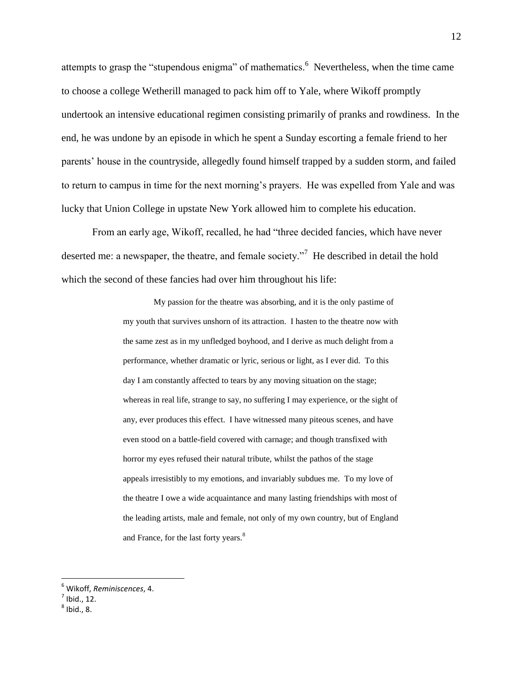attempts to grasp the "stupendous enigma" of mathematics.<sup>6</sup> Nevertheless, when the time came to choose a college Wetherill managed to pack him off to Yale, where Wikoff promptly undertook an intensive educational regimen consisting primarily of pranks and rowdiness. In the end, he was undone by an episode in which he spent a Sunday escorting a female friend to her parents" house in the countryside, allegedly found himself trapped by a sudden storm, and failed to return to campus in time for the next morning"s prayers. He was expelled from Yale and was lucky that Union College in upstate New York allowed him to complete his education.

From an early age, Wikoff, recalled, he had "three decided fancies, which have never deserted me: a newspaper, the theatre, and female society."<sup>7</sup> He described in detail the hold which the second of these fancies had over him throughout his life:

> My passion for the theatre was absorbing, and it is the only pastime of my youth that survives unshorn of its attraction. I hasten to the theatre now with the same zest as in my unfledged boyhood, and I derive as much delight from a performance, whether dramatic or lyric, serious or light, as I ever did. To this day I am constantly affected to tears by any moving situation on the stage; whereas in real life, strange to say, no suffering I may experience, or the sight of any, ever produces this effect. I have witnessed many piteous scenes, and have even stood on a battle-field covered with carnage; and though transfixed with horror my eyes refused their natural tribute, whilst the pathos of the stage appeals irresistibly to my emotions, and invariably subdues me. To my love of the theatre I owe a wide acquaintance and many lasting friendships with most of the leading artists, male and female, not only of my own country, but of England and France, for the last forty years.<sup>8</sup>

<sup>6</sup> Wikoff, *Reminiscences*, 4.

 $<sup>7</sup>$  Ibid., 12.</sup>

 $^8$  Ibid., 8.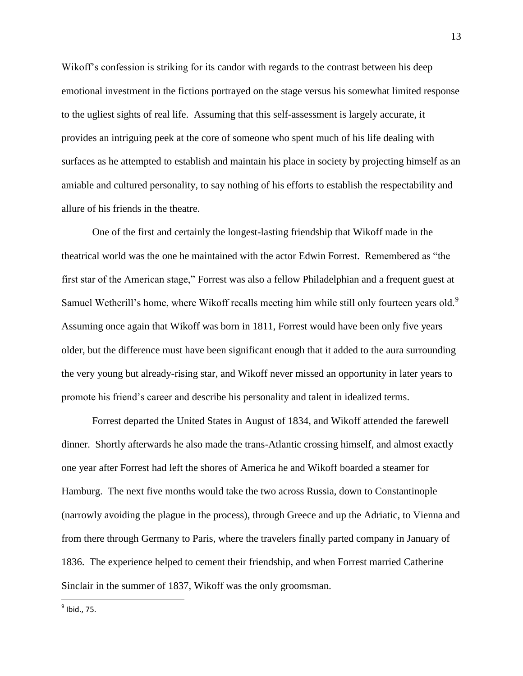Wikoff's confession is striking for its candor with regards to the contrast between his deep emotional investment in the fictions portrayed on the stage versus his somewhat limited response to the ugliest sights of real life. Assuming that this self-assessment is largely accurate, it provides an intriguing peek at the core of someone who spent much of his life dealing with surfaces as he attempted to establish and maintain his place in society by projecting himself as an amiable and cultured personality, to say nothing of his efforts to establish the respectability and allure of his friends in the theatre.

One of the first and certainly the longest-lasting friendship that Wikoff made in the theatrical world was the one he maintained with the actor Edwin Forrest. Remembered as "the first star of the American stage," Forrest was also a fellow Philadelphian and a frequent guest at Samuel Wetherill's home, where Wikoff recalls meeting him while still only fourteen years old.<sup>9</sup> Assuming once again that Wikoff was born in 1811, Forrest would have been only five years older, but the difference must have been significant enough that it added to the aura surrounding the very young but already-rising star, and Wikoff never missed an opportunity in later years to promote his friend"s career and describe his personality and talent in idealized terms.

Forrest departed the United States in August of 1834, and Wikoff attended the farewell dinner. Shortly afterwards he also made the trans-Atlantic crossing himself, and almost exactly one year after Forrest had left the shores of America he and Wikoff boarded a steamer for Hamburg. The next five months would take the two across Russia, down to Constantinople (narrowly avoiding the plague in the process), through Greece and up the Adriatic, to Vienna and from there through Germany to Paris, where the travelers finally parted company in January of 1836. The experience helped to cement their friendship, and when Forrest married Catherine Sinclair in the summer of 1837, Wikoff was the only groomsman.

 $^9$  Ibid., 75.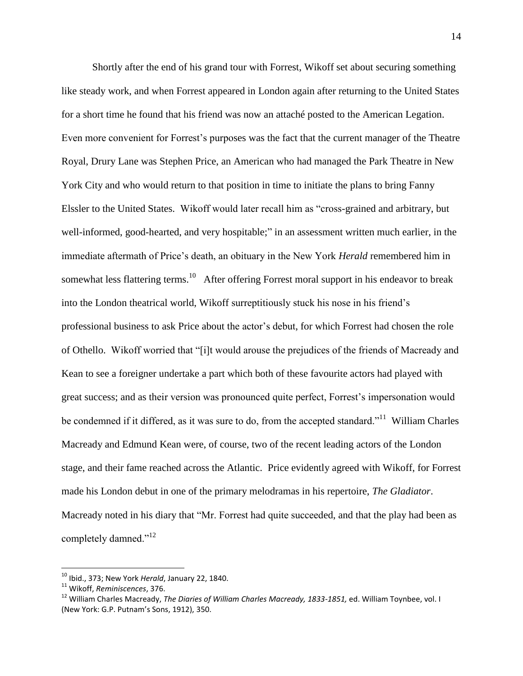Shortly after the end of his grand tour with Forrest, Wikoff set about securing something like steady work, and when Forrest appeared in London again after returning to the United States for a short time he found that his friend was now an attaché posted to the American Legation. Even more convenient for Forrest"s purposes was the fact that the current manager of the Theatre Royal, Drury Lane was Stephen Price, an American who had managed the Park Theatre in New York City and who would return to that position in time to initiate the plans to bring Fanny Elssler to the United States. Wikoff would later recall him as "cross-grained and arbitrary, but well-informed, good-hearted, and very hospitable;" in an assessment written much earlier, in the immediate aftermath of Price"s death, an obituary in the New York *Herald* remembered him in somewhat less flattering terms.<sup>10</sup> After offering Forrest moral support in his endeavor to break into the London theatrical world, Wikoff surreptitiously stuck his nose in his friend"s professional business to ask Price about the actor"s debut, for which Forrest had chosen the role of Othello. Wikoff worried that "[i]t would arouse the prejudices of the friends of Macready and Kean to see a foreigner undertake a part which both of these favourite actors had played with great success; and as their version was pronounced quite perfect, Forrest"s impersonation would be condemned if it differed, as it was sure to do, from the accepted standard."<sup>11</sup> William Charles Macready and Edmund Kean were, of course, two of the recent leading actors of the London stage, and their fame reached across the Atlantic. Price evidently agreed with Wikoff, for Forrest made his London debut in one of the primary melodramas in his repertoire, *The Gladiator*. Macready noted in his diary that "Mr. Forrest had quite succeeded, and that the play had been as completely damned."<sup>12</sup>

<sup>10</sup> Ibid., 373; New York *Herald*, January 22, 1840.

<sup>11</sup> Wikoff, *Reminiscences*, 376.

<sup>12</sup> William Charles Macready, *The Diaries of William Charles Macready, 1833-1851,* ed. William Toynbee, vol. I (New York: G.P. Putnam's Sons, 1912), 350.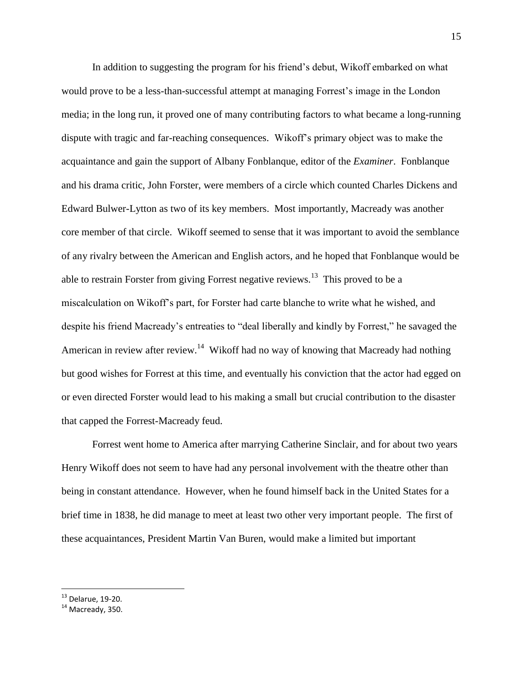In addition to suggesting the program for his friend"s debut, Wikoff embarked on what would prove to be a less-than-successful attempt at managing Forrest"s image in the London media; in the long run, it proved one of many contributing factors to what became a long-running dispute with tragic and far-reaching consequences. Wikoff"s primary object was to make the acquaintance and gain the support of Albany Fonblanque, editor of the *Examiner*. Fonblanque and his drama critic, John Forster, were members of a circle which counted Charles Dickens and Edward Bulwer-Lytton as two of its key members. Most importantly, Macready was another core member of that circle. Wikoff seemed to sense that it was important to avoid the semblance of any rivalry between the American and English actors, and he hoped that Fonblanque would be able to restrain Forster from giving Forrest negative reviews.<sup>13</sup> This proved to be a miscalculation on Wikoff"s part, for Forster had carte blanche to write what he wished, and despite his friend Macready"s entreaties to "deal liberally and kindly by Forrest," he savaged the American in review after review.<sup>14</sup> Wikoff had no way of knowing that Macready had nothing but good wishes for Forrest at this time, and eventually his conviction that the actor had egged on or even directed Forster would lead to his making a small but crucial contribution to the disaster that capped the Forrest-Macready feud.

Forrest went home to America after marrying Catherine Sinclair, and for about two years Henry Wikoff does not seem to have had any personal involvement with the theatre other than being in constant attendance. However, when he found himself back in the United States for a brief time in 1838, he did manage to meet at least two other very important people. The first of these acquaintances, President Martin Van Buren, would make a limited but important

 $13$  Delarue, 19-20.

<sup>&</sup>lt;sup>14</sup> Macready, 350.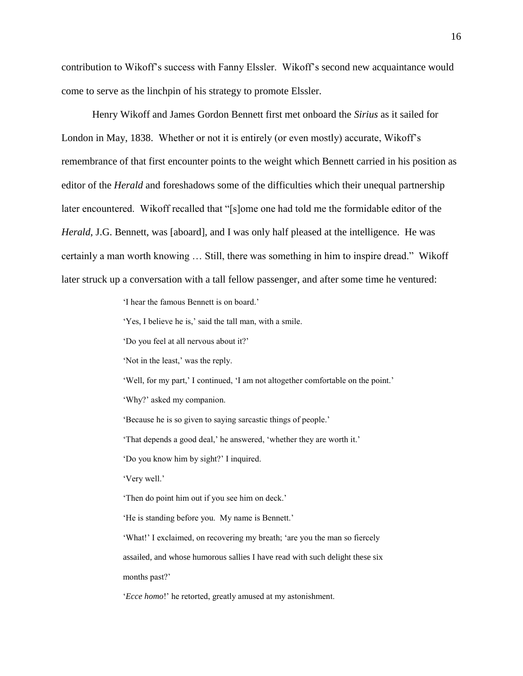contribution to Wikoff"s success with Fanny Elssler. Wikoff"s second new acquaintance would come to serve as the linchpin of his strategy to promote Elssler.

Henry Wikoff and James Gordon Bennett first met onboard the *Sirius* as it sailed for London in May, 1838. Whether or not it is entirely (or even mostly) accurate, Wikoff's remembrance of that first encounter points to the weight which Bennett carried in his position as editor of the *Herald* and foreshadows some of the difficulties which their unequal partnership later encountered. Wikoff recalled that "[s]ome one had told me the formidable editor of the *Herald*, J.G. Bennett, was [aboard], and I was only half pleased at the intelligence. He was certainly a man worth knowing … Still, there was something in him to inspire dread." Wikoff later struck up a conversation with a tall fellow passenger, and after some time he ventured:

"I hear the famous Bennett is on board."

"Yes, I believe he is," said the tall man, with a smile.

"Do you feel at all nervous about it?"

'Not in the least,' was the reply.

'Well, for my part,' I continued, 'I am not altogether comfortable on the point.'

"Why?" asked my companion.

'Because he is so given to saying sarcastic things of people.'

"That depends a good deal," he answered, "whether they are worth it."

"Do you know him by sight?" I inquired.

"Very well."

Then do point him out if you see him on deck.'

'He is standing before you. My name is Bennett.'

"What!" I exclaimed, on recovering my breath; "are you the man so fiercely" assailed, and whose humorous sallies I have read with such delight these six months past?'

'*Ecce homo*!' he retorted, greatly amused at my astonishment.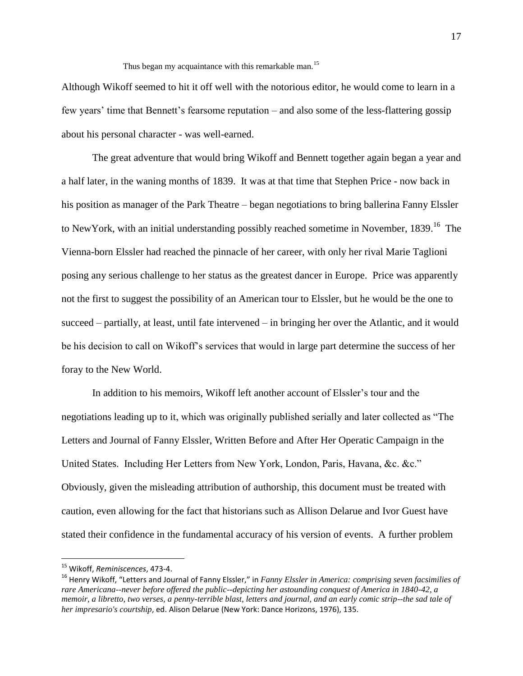Thus began my acquaintance with this remarkable man.<sup>15</sup>

Although Wikoff seemed to hit it off well with the notorious editor, he would come to learn in a few years" time that Bennett"s fearsome reputation – and also some of the less-flattering gossip about his personal character - was well-earned.

The great adventure that would bring Wikoff and Bennett together again began a year and a half later, in the waning months of 1839. It was at that time that Stephen Price - now back in his position as manager of the Park Theatre – began negotiations to bring ballerina Fanny Elssler to NewYork, with an initial understanding possibly reached sometime in November, 1839.<sup>16</sup> The Vienna-born Elssler had reached the pinnacle of her career, with only her rival Marie Taglioni posing any serious challenge to her status as the greatest dancer in Europe. Price was apparently not the first to suggest the possibility of an American tour to Elssler, but he would be the one to succeed – partially, at least, until fate intervened – in bringing her over the Atlantic, and it would be his decision to call on Wikoff"s services that would in large part determine the success of her foray to the New World.

In addition to his memoirs, Wikoff left another account of Elssler"s tour and the negotiations leading up to it, which was originally published serially and later collected as "The Letters and Journal of Fanny Elssler, Written Before and After Her Operatic Campaign in the United States. Including Her Letters from New York, London, Paris, Havana, &c. &c." Obviously, given the misleading attribution of authorship, this document must be treated with caution, even allowing for the fact that historians such as Allison Delarue and Ivor Guest have stated their confidence in the fundamental accuracy of his version of events. A further problem

<sup>15</sup> Wikoff, *Reminiscences*, 473-4.

<sup>16</sup> Henry Wikoff, "Letters and Journal of Fanny Elssler," in *Fanny Elssler in America: comprising seven facsimilies of rare Americana--never before offered the public--depicting her astounding conquest of America in 1840-42, a memoir, a libretto, two verses, a penny-terrible blast, letters and journal, and an early comic strip--the sad tale of her impresario's courtship*, ed. Alison Delarue (New York: Dance Horizons, 1976), 135.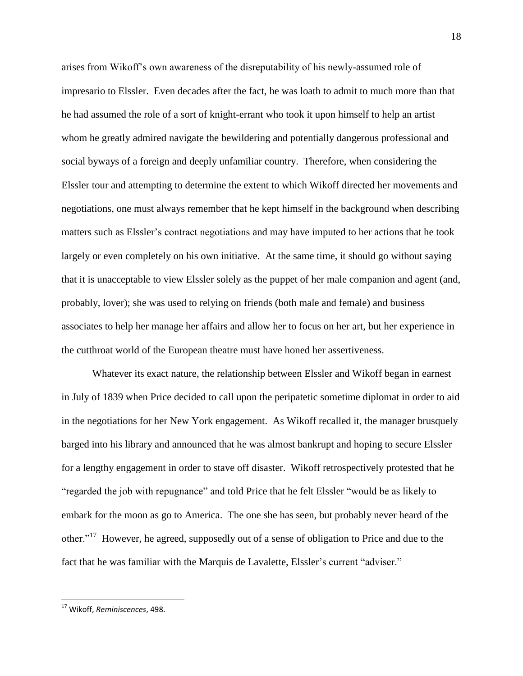arises from Wikoff"s own awareness of the disreputability of his newly-assumed role of impresario to Elssler. Even decades after the fact, he was loath to admit to much more than that he had assumed the role of a sort of knight-errant who took it upon himself to help an artist whom he greatly admired navigate the bewildering and potentially dangerous professional and social byways of a foreign and deeply unfamiliar country. Therefore, when considering the Elssler tour and attempting to determine the extent to which Wikoff directed her movements and negotiations, one must always remember that he kept himself in the background when describing matters such as Elssler"s contract negotiations and may have imputed to her actions that he took largely or even completely on his own initiative. At the same time, it should go without saying that it is unacceptable to view Elssler solely as the puppet of her male companion and agent (and, probably, lover); she was used to relying on friends (both male and female) and business associates to help her manage her affairs and allow her to focus on her art, but her experience in the cutthroat world of the European theatre must have honed her assertiveness.

Whatever its exact nature, the relationship between Elssler and Wikoff began in earnest in July of 1839 when Price decided to call upon the peripatetic sometime diplomat in order to aid in the negotiations for her New York engagement. As Wikoff recalled it, the manager brusquely barged into his library and announced that he was almost bankrupt and hoping to secure Elssler for a lengthy engagement in order to stave off disaster. Wikoff retrospectively protested that he "regarded the job with repugnance" and told Price that he felt Elssler "would be as likely to embark for the moon as go to America. The one she has seen, but probably never heard of the other."<sup>17</sup> However, he agreed, supposedly out of a sense of obligation to Price and due to the fact that he was familiar with the Marquis de Lavalette, Elssler's current "adviser."

<sup>17</sup> Wikoff, *Reminiscences*, 498.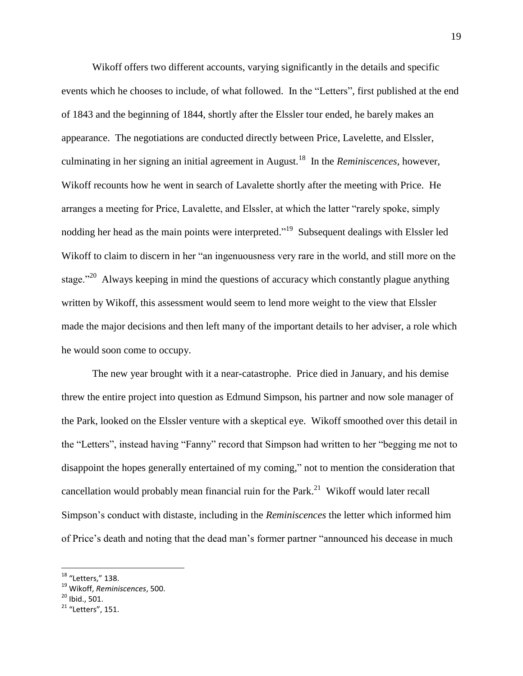Wikoff offers two different accounts, varying significantly in the details and specific events which he chooses to include, of what followed. In the "Letters", first published at the end of 1843 and the beginning of 1844, shortly after the Elssler tour ended, he barely makes an appearance. The negotiations are conducted directly between Price, Lavelette, and Elssler, culminating in her signing an initial agreement in August.<sup>18</sup> In the *Reminiscences*, however, Wikoff recounts how he went in search of Lavalette shortly after the meeting with Price. He arranges a meeting for Price, Lavalette, and Elssler, at which the latter "rarely spoke, simply nodding her head as the main points were interpreted."<sup>19</sup> Subsequent dealings with Elssler led Wikoff to claim to discern in her "an ingenuousness very rare in the world, and still more on the stage."<sup>20</sup> Always keeping in mind the questions of accuracy which constantly plague anything written by Wikoff, this assessment would seem to lend more weight to the view that Elssler made the major decisions and then left many of the important details to her adviser, a role which he would soon come to occupy.

The new year brought with it a near-catastrophe. Price died in January, and his demise threw the entire project into question as Edmund Simpson, his partner and now sole manager of the Park, looked on the Elssler venture with a skeptical eye. Wikoff smoothed over this detail in the "Letters", instead having "Fanny" record that Simpson had written to her "begging me not to disappoint the hopes generally entertained of my coming," not to mention the consideration that cancellation would probably mean financial ruin for the Park.<sup>21</sup> Wikoff would later recall Simpson"s conduct with distaste, including in the *Reminiscences* the letter which informed him of Price's death and noting that the dead man's former partner "announced his decease in much

<sup>&</sup>lt;sup>18</sup> "Letters," 138.

<sup>19</sup> Wikoff, *Reminiscences*, 500.

 $20$  Ibid., 501.

 $21$  "Letters", 151.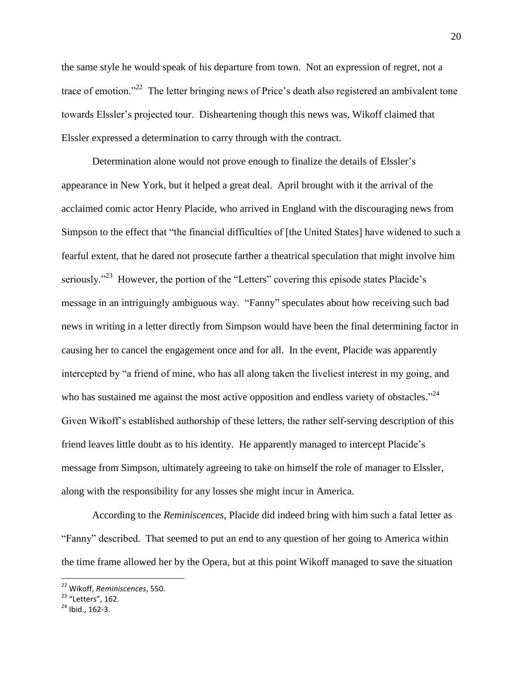the same style he would speak of his departure from town. Not an expression of regret, not a trace of emotion."<sup>22</sup> The letter bringing news of Price's death also registered an ambivalent tone towards Elssler"s projected tour. Disheartening though this news was, Wikoff claimed that Elssler expressed a determination to carry through with the contract.

Determination alone would not prove enough to finalize the details of Elssler"s appearance in New York, but it helped a great deal. April brought with it the arrival of the acclaimed comic actor Henry Placide, who arrived in England with the discouraging news from Simpson to the effect that "the financial difficulties of [the United States] have widened to such a fearful extent, that he dared not prosecute farther a theatrical speculation that might involve him seriously."<sup>23</sup> However, the portion of the "Letters" covering this episode states Placide's message in an intriguingly ambiguous way. "Fanny" speculates about how receiving such bad news in writing in a letter directly from Simpson would have been the final determining factor in causing her to cancel the engagement once and for all. In the event, Placide was apparently intercepted by "a friend of mine, who has all along taken the liveliest interest in my going, and who has sustained me against the most active opposition and endless variety of obstacles."<sup>24</sup> Given Wikoff"s established authorship of these letters, the rather self-serving description of this friend leaves little doubt as to his identity. He apparently managed to intercept Placide's message from Simpson, ultimately agreeing to take on himself the role of manager to Elssler, along with the responsibility for any losses she might incur in America.

According to the *Reminiscences*, Placide did indeed bring with him such a fatal letter as "Fanny" described. That seemed to put an end to any question of her going to America within the time frame allowed her by the Opera, but at this point Wikoff managed to save the situation

<sup>22</sup> Wikoff, *Reminiscences*, 550.

<sup>&</sup>lt;sup>23</sup> "Letters", 162.

<sup>24</sup> Ibid., 162-3.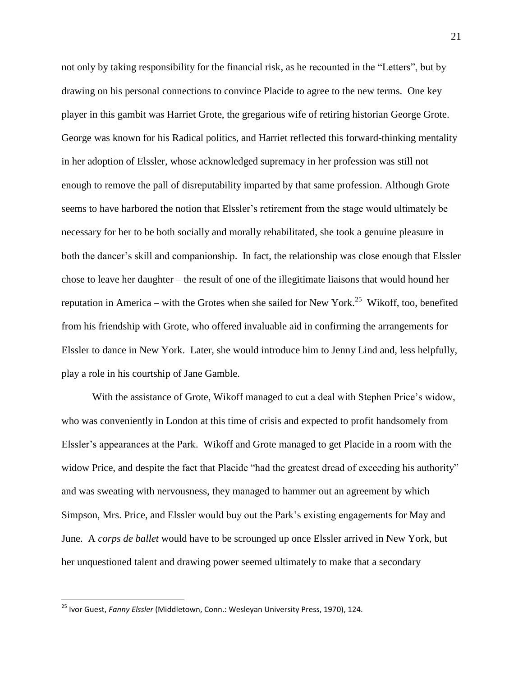not only by taking responsibility for the financial risk, as he recounted in the "Letters", but by drawing on his personal connections to convince Placide to agree to the new terms. One key player in this gambit was Harriet Grote, the gregarious wife of retiring historian George Grote. George was known for his Radical politics, and Harriet reflected this forward-thinking mentality in her adoption of Elssler, whose acknowledged supremacy in her profession was still not enough to remove the pall of disreputability imparted by that same profession. Although Grote seems to have harbored the notion that Elssler's retirement from the stage would ultimately be necessary for her to be both socially and morally rehabilitated, she took a genuine pleasure in both the dancer"s skill and companionship. In fact, the relationship was close enough that Elssler chose to leave her daughter – the result of one of the illegitimate liaisons that would hound her reputation in America – with the Grotes when she sailed for New York.<sup>25</sup> Wikoff, too, benefited from his friendship with Grote, who offered invaluable aid in confirming the arrangements for Elssler to dance in New York. Later, she would introduce him to Jenny Lind and, less helpfully, play a role in his courtship of Jane Gamble.

With the assistance of Grote, Wikoff managed to cut a deal with Stephen Price's widow, who was conveniently in London at this time of crisis and expected to profit handsomely from Elssler"s appearances at the Park. Wikoff and Grote managed to get Placide in a room with the widow Price, and despite the fact that Placide "had the greatest dread of exceeding his authority" and was sweating with nervousness, they managed to hammer out an agreement by which Simpson, Mrs. Price, and Elssler would buy out the Park"s existing engagements for May and June. A *corps de ballet* would have to be scrounged up once Elssler arrived in New York, but her unquestioned talent and drawing power seemed ultimately to make that a secondary

<sup>25</sup> Ivor Guest, *Fanny Elssler* (Middletown, Conn.: Wesleyan University Press, 1970), 124.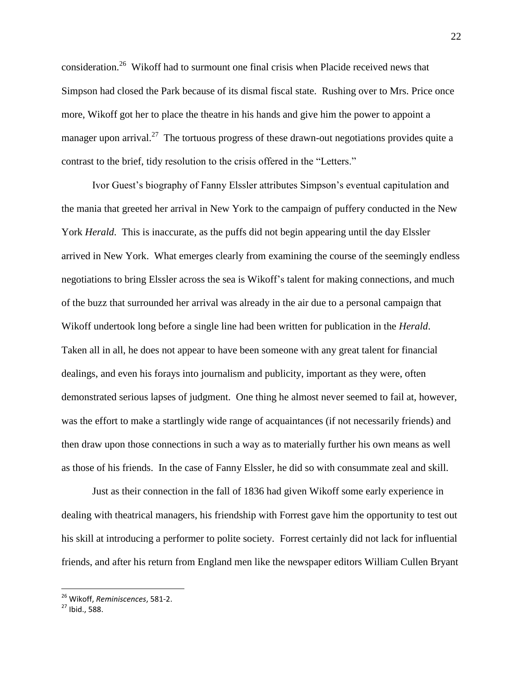consideration.<sup>26</sup> Wikoff had to surmount one final crisis when Placide received news that Simpson had closed the Park because of its dismal fiscal state. Rushing over to Mrs. Price once more, Wikoff got her to place the theatre in his hands and give him the power to appoint a manager upon arrival.<sup>27</sup> The tortuous progress of these drawn-out negotiations provides quite a contrast to the brief, tidy resolution to the crisis offered in the "Letters."

Ivor Guest"s biography of Fanny Elssler attributes Simpson"s eventual capitulation and the mania that greeted her arrival in New York to the campaign of puffery conducted in the New York *Herald*. This is inaccurate, as the puffs did not begin appearing until the day Elssler arrived in New York. What emerges clearly from examining the course of the seemingly endless negotiations to bring Elssler across the sea is Wikoff"s talent for making connections, and much of the buzz that surrounded her arrival was already in the air due to a personal campaign that Wikoff undertook long before a single line had been written for publication in the *Herald*. Taken all in all, he does not appear to have been someone with any great talent for financial dealings, and even his forays into journalism and publicity, important as they were, often demonstrated serious lapses of judgment. One thing he almost never seemed to fail at, however, was the effort to make a startlingly wide range of acquaintances (if not necessarily friends) and then draw upon those connections in such a way as to materially further his own means as well as those of his friends. In the case of Fanny Elssler, he did so with consummate zeal and skill.

Just as their connection in the fall of 1836 had given Wikoff some early experience in dealing with theatrical managers, his friendship with Forrest gave him the opportunity to test out his skill at introducing a performer to polite society. Forrest certainly did not lack for influential friends, and after his return from England men like the newspaper editors William Cullen Bryant

<sup>26</sup> Wikoff, *Reminiscences*, 581-2.

<sup>27</sup> Ibid., 588.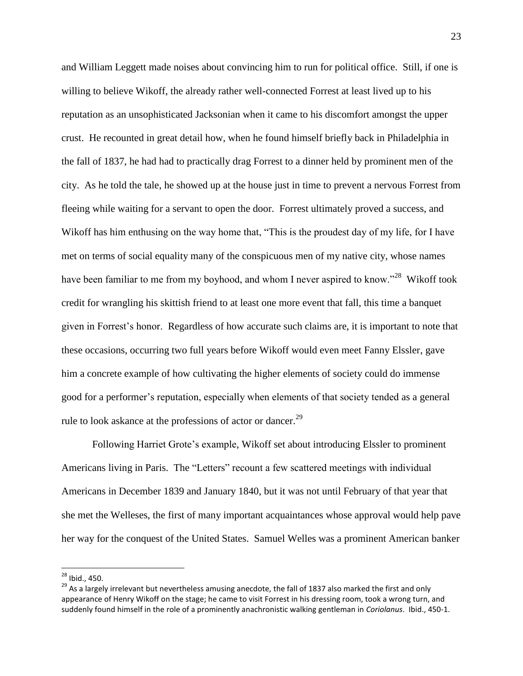and William Leggett made noises about convincing him to run for political office. Still, if one is willing to believe Wikoff, the already rather well-connected Forrest at least lived up to his reputation as an unsophisticated Jacksonian when it came to his discomfort amongst the upper crust. He recounted in great detail how, when he found himself briefly back in Philadelphia in the fall of 1837, he had had to practically drag Forrest to a dinner held by prominent men of the city. As he told the tale, he showed up at the house just in time to prevent a nervous Forrest from fleeing while waiting for a servant to open the door. Forrest ultimately proved a success, and Wikoff has him enthusing on the way home that, "This is the proudest day of my life, for I have met on terms of social equality many of the conspicuous men of my native city, whose names have been familiar to me from my boyhood, and whom I never aspired to know."<sup>28</sup> Wikoff took credit for wrangling his skittish friend to at least one more event that fall, this time a banquet given in Forrest"s honor. Regardless of how accurate such claims are, it is important to note that these occasions, occurring two full years before Wikoff would even meet Fanny Elssler, gave him a concrete example of how cultivating the higher elements of society could do immense good for a performer's reputation, especially when elements of that society tended as a general rule to look askance at the professions of actor or dancer.<sup>29</sup>

Following Harriet Grote"s example, Wikoff set about introducing Elssler to prominent Americans living in Paris. The "Letters" recount a few scattered meetings with individual Americans in December 1839 and January 1840, but it was not until February of that year that she met the Welleses, the first of many important acquaintances whose approval would help pave her way for the conquest of the United States. Samuel Welles was a prominent American banker

<sup>&</sup>lt;sup>28</sup> Ibid., 450.

<sup>&</sup>lt;sup>29</sup> As a largely irrelevant but nevertheless amusing anecdote, the fall of 1837 also marked the first and only appearance of Henry Wikoff on the stage; he came to visit Forrest in his dressing room, took a wrong turn, and suddenly found himself in the role of a prominently anachronistic walking gentleman in *Coriolanus*. Ibid., 450-1.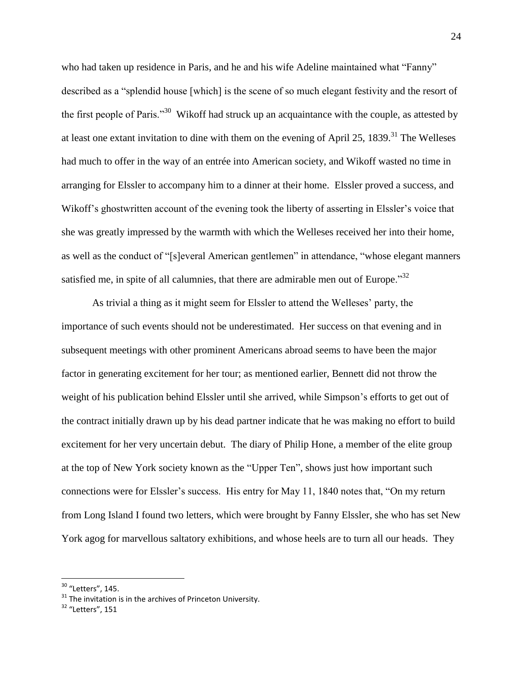who had taken up residence in Paris, and he and his wife Adeline maintained what "Fanny" described as a "splendid house [which] is the scene of so much elegant festivity and the resort of the first people of Paris."<sup>30</sup> Wikoff had struck up an acquaintance with the couple, as attested by at least one extant invitation to dine with them on the evening of April 25,  $1839$ <sup>31</sup>. The Welleses had much to offer in the way of an entrée into American society, and Wikoff wasted no time in arranging for Elssler to accompany him to a dinner at their home. Elssler proved a success, and Wikoff's ghostwritten account of the evening took the liberty of asserting in Elssler's voice that she was greatly impressed by the warmth with which the Welleses received her into their home, as well as the conduct of "[s]everal American gentlemen" in attendance, "whose elegant manners satisfied me, in spite of all calumnies, that there are admirable men out of Europe.<sup>32</sup>

As trivial a thing as it might seem for Elssler to attend the Welleses" party, the importance of such events should not be underestimated. Her success on that evening and in subsequent meetings with other prominent Americans abroad seems to have been the major factor in generating excitement for her tour; as mentioned earlier, Bennett did not throw the weight of his publication behind Elssler until she arrived, while Simpson"s efforts to get out of the contract initially drawn up by his dead partner indicate that he was making no effort to build excitement for her very uncertain debut. The diary of Philip Hone, a member of the elite group at the top of New York society known as the "Upper Ten", shows just how important such connections were for Elssler"s success. His entry for May 11, 1840 notes that, "On my return from Long Island I found two letters, which were brought by Fanny Elssler, she who has set New York agog for marvellous saltatory exhibitions, and whose heels are to turn all our heads. They

 $30$  "Letters", 145.

 $31$  The invitation is in the archives of Princeton University.

<sup>32</sup> "Letters", 151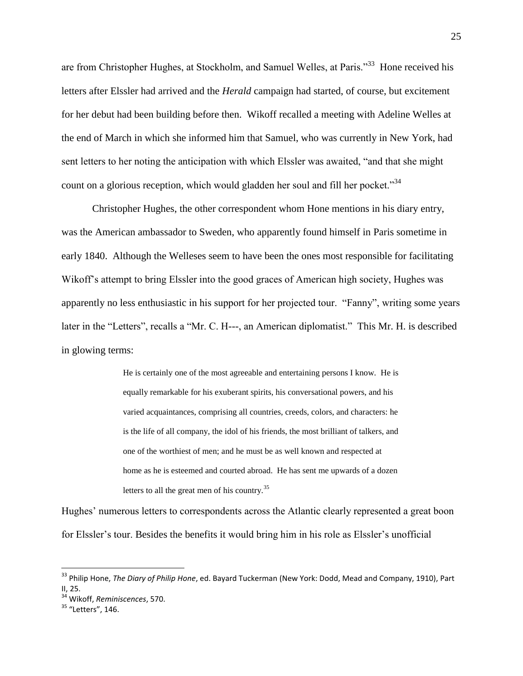are from Christopher Hughes, at Stockholm, and Samuel Welles, at Paris."<sup>33</sup> Hone received his letters after Elssler had arrived and the *Herald* campaign had started, of course, but excitement for her debut had been building before then. Wikoff recalled a meeting with Adeline Welles at the end of March in which she informed him that Samuel, who was currently in New York, had sent letters to her noting the anticipation with which Elssler was awaited, "and that she might count on a glorious reception, which would gladden her soul and fill her pocket."<sup>34</sup>

Christopher Hughes, the other correspondent whom Hone mentions in his diary entry, was the American ambassador to Sweden, who apparently found himself in Paris sometime in early 1840. Although the Welleses seem to have been the ones most responsible for facilitating Wikoff's attempt to bring Elssler into the good graces of American high society, Hughes was apparently no less enthusiastic in his support for her projected tour. "Fanny", writing some years later in the "Letters", recalls a "Mr. C. H---, an American diplomatist." This Mr. H. is described in glowing terms:

> He is certainly one of the most agreeable and entertaining persons I know. He is equally remarkable for his exuberant spirits, his conversational powers, and his varied acquaintances, comprising all countries, creeds, colors, and characters: he is the life of all company, the idol of his friends, the most brilliant of talkers, and one of the worthiest of men; and he must be as well known and respected at home as he is esteemed and courted abroad. He has sent me upwards of a dozen letters to all the great men of his country.<sup>35</sup>

Hughes" numerous letters to correspondents across the Atlantic clearly represented a great boon for Elssler"s tour. Besides the benefits it would bring him in his role as Elssler"s unofficial

<sup>33</sup> Philip Hone, *The Diary of Philip Hone*, ed. Bayard Tuckerman (New York: Dodd, Mead and Company, 1910), Part II, 25.

<sup>34</sup> Wikoff, *Reminiscences*, 570.

<sup>&</sup>lt;sup>35</sup> "Letters", 146.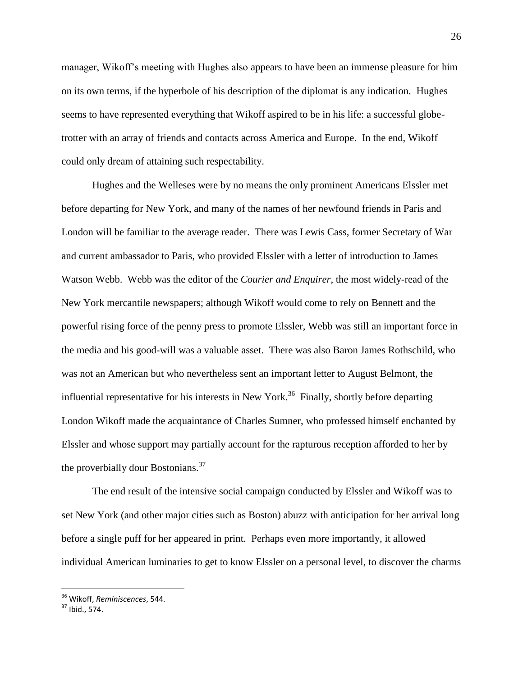manager, Wikoff"s meeting with Hughes also appears to have been an immense pleasure for him on its own terms, if the hyperbole of his description of the diplomat is any indication. Hughes seems to have represented everything that Wikoff aspired to be in his life: a successful globetrotter with an array of friends and contacts across America and Europe. In the end, Wikoff could only dream of attaining such respectability.

Hughes and the Welleses were by no means the only prominent Americans Elssler met before departing for New York, and many of the names of her newfound friends in Paris and London will be familiar to the average reader. There was Lewis Cass, former Secretary of War and current ambassador to Paris, who provided Elssler with a letter of introduction to James Watson Webb. Webb was the editor of the *Courier and Enquirer*, the most widely-read of the New York mercantile newspapers; although Wikoff would come to rely on Bennett and the powerful rising force of the penny press to promote Elssler, Webb was still an important force in the media and his good-will was a valuable asset. There was also Baron James Rothschild, who was not an American but who nevertheless sent an important letter to August Belmont, the influential representative for his interests in New York.<sup>36</sup> Finally, shortly before departing London Wikoff made the acquaintance of Charles Sumner, who professed himself enchanted by Elssler and whose support may partially account for the rapturous reception afforded to her by the proverbially dour Bostonians.<sup>37</sup>

The end result of the intensive social campaign conducted by Elssler and Wikoff was to set New York (and other major cities such as Boston) abuzz with anticipation for her arrival long before a single puff for her appeared in print. Perhaps even more importantly, it allowed individual American luminaries to get to know Elssler on a personal level, to discover the charms

<sup>36</sup> Wikoff, *Reminiscences*, 544.

<sup>37</sup> Ibid., 574.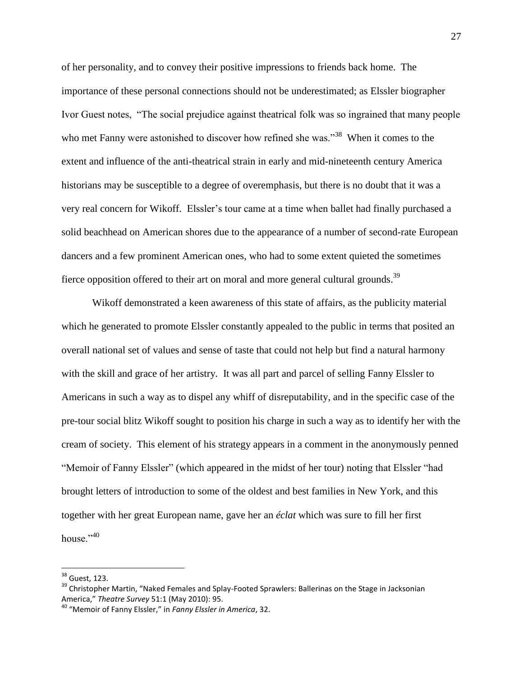of her personality, and to convey their positive impressions to friends back home. The importance of these personal connections should not be underestimated; as Elssler biographer Ivor Guest notes, "The social prejudice against theatrical folk was so ingrained that many people who met Fanny were astonished to discover how refined she was."<sup>38</sup> When it comes to the extent and influence of the anti-theatrical strain in early and mid-nineteenth century America historians may be susceptible to a degree of overemphasis, but there is no doubt that it was a very real concern for Wikoff. Elssler's tour came at a time when ballet had finally purchased a solid beachhead on American shores due to the appearance of a number of second-rate European dancers and a few prominent American ones, who had to some extent quieted the sometimes fierce opposition offered to their art on moral and more general cultural grounds.<sup>39</sup>

Wikoff demonstrated a keen awareness of this state of affairs, as the publicity material which he generated to promote Elssler constantly appealed to the public in terms that posited an overall national set of values and sense of taste that could not help but find a natural harmony with the skill and grace of her artistry. It was all part and parcel of selling Fanny Elssler to Americans in such a way as to dispel any whiff of disreputability, and in the specific case of the pre-tour social blitz Wikoff sought to position his charge in such a way as to identify her with the cream of society. This element of his strategy appears in a comment in the anonymously penned "Memoir of Fanny Elssler" (which appeared in the midst of her tour) noting that Elssler "had brought letters of introduction to some of the oldest and best families in New York, and this together with her great European name, gave her an *éclat* which was sure to fill her first house."<sup>40</sup>

<sup>&</sup>lt;sup>38</sup> Guest, 123.

<sup>&</sup>lt;sup>39</sup> Christopher Martin, "Naked Females and Splay-Footed Sprawlers: Ballerinas on the Stage in Jacksonian America," *Theatre Survey* 51:1 (May 2010): 95.

<sup>40</sup> "Memoir of Fanny Elssler," in *Fanny Elssler in America*, 32.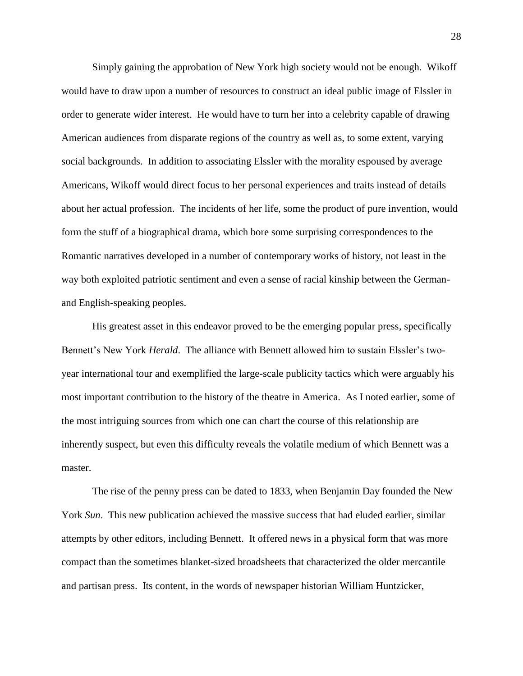Simply gaining the approbation of New York high society would not be enough. Wikoff would have to draw upon a number of resources to construct an ideal public image of Elssler in order to generate wider interest. He would have to turn her into a celebrity capable of drawing American audiences from disparate regions of the country as well as, to some extent, varying social backgrounds. In addition to associating Elssler with the morality espoused by average Americans, Wikoff would direct focus to her personal experiences and traits instead of details about her actual profession. The incidents of her life, some the product of pure invention, would form the stuff of a biographical drama, which bore some surprising correspondences to the Romantic narratives developed in a number of contemporary works of history, not least in the way both exploited patriotic sentiment and even a sense of racial kinship between the Germanand English-speaking peoples.

His greatest asset in this endeavor proved to be the emerging popular press, specifically Bennett's New York *Herald*. The alliance with Bennett allowed him to sustain Elssler's twoyear international tour and exemplified the large-scale publicity tactics which were arguably his most important contribution to the history of the theatre in America. As I noted earlier, some of the most intriguing sources from which one can chart the course of this relationship are inherently suspect, but even this difficulty reveals the volatile medium of which Bennett was a master.

The rise of the penny press can be dated to 1833, when Benjamin Day founded the New York *Sun*. This new publication achieved the massive success that had eluded earlier, similar attempts by other editors, including Bennett. It offered news in a physical form that was more compact than the sometimes blanket-sized broadsheets that characterized the older mercantile and partisan press. Its content, in the words of newspaper historian William Huntzicker,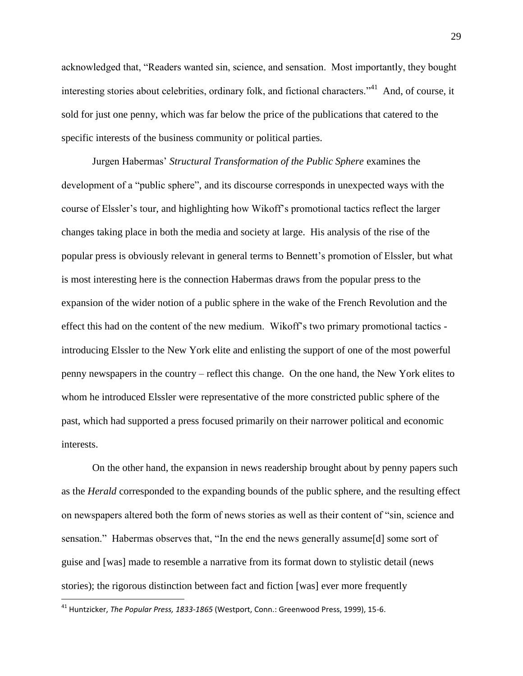acknowledged that, "Readers wanted sin, science, and sensation. Most importantly, they bought interesting stories about celebrities, ordinary folk, and fictional characters."<sup>41</sup> And, of course, it sold for just one penny, which was far below the price of the publications that catered to the specific interests of the business community or political parties.

Jurgen Habermas" *Structural Transformation of the Public Sphere* examines the development of a "public sphere", and its discourse corresponds in unexpected ways with the course of Elssler"s tour, and highlighting how Wikoff"s promotional tactics reflect the larger changes taking place in both the media and society at large. His analysis of the rise of the popular press is obviously relevant in general terms to Bennett"s promotion of Elssler, but what is most interesting here is the connection Habermas draws from the popular press to the expansion of the wider notion of a public sphere in the wake of the French Revolution and the effect this had on the content of the new medium. Wikoff"s two primary promotional tactics introducing Elssler to the New York elite and enlisting the support of one of the most powerful penny newspapers in the country – reflect this change. On the one hand, the New York elites to whom he introduced Elssler were representative of the more constricted public sphere of the past, which had supported a press focused primarily on their narrower political and economic interests.

On the other hand, the expansion in news readership brought about by penny papers such as the *Herald* corresponded to the expanding bounds of the public sphere, and the resulting effect on newspapers altered both the form of news stories as well as their content of "sin, science and sensation." Habermas observes that, "In the end the news generally assume[d] some sort of guise and [was] made to resemble a narrative from its format down to stylistic detail (news stories); the rigorous distinction between fact and fiction [was] ever more frequently

<sup>41</sup> Huntzicker, *The Popular Press, 1833-1865* (Westport, Conn.: Greenwood Press, 1999), 15-6.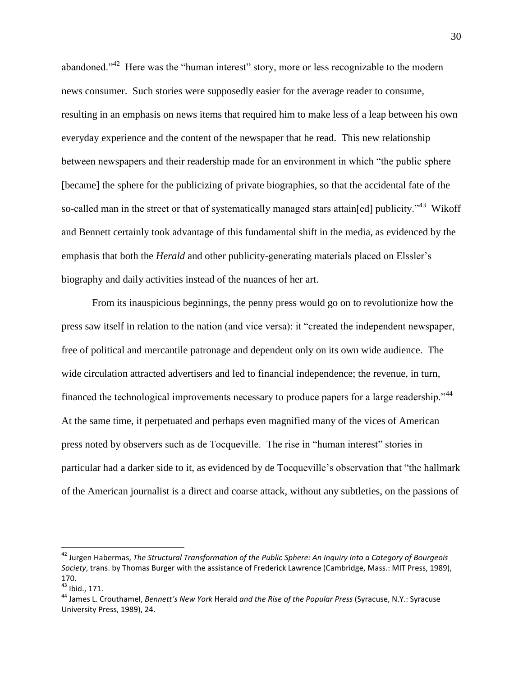abandoned.<sup> $342$ </sup> Here was the "human interest" story, more or less recognizable to the modern news consumer. Such stories were supposedly easier for the average reader to consume, resulting in an emphasis on news items that required him to make less of a leap between his own everyday experience and the content of the newspaper that he read. This new relationship between newspapers and their readership made for an environment in which "the public sphere [became] the sphere for the publicizing of private biographies, so that the accidental fate of the so-called man in the street or that of systematically managed stars attain[ed] publicity."<sup>43</sup> Wikoff and Bennett certainly took advantage of this fundamental shift in the media, as evidenced by the emphasis that both the *Herald* and other publicity-generating materials placed on Elssler"s biography and daily activities instead of the nuances of her art.

From its inauspicious beginnings, the penny press would go on to revolutionize how the press saw itself in relation to the nation (and vice versa): it "created the independent newspaper, free of political and mercantile patronage and dependent only on its own wide audience. The wide circulation attracted advertisers and led to financial independence; the revenue, in turn, financed the technological improvements necessary to produce papers for a large readership."<sup>44</sup> At the same time, it perpetuated and perhaps even magnified many of the vices of American press noted by observers such as de Tocqueville. The rise in "human interest" stories in particular had a darker side to it, as evidenced by de Tocqueville"s observation that "the hallmark of the American journalist is a direct and coarse attack, without any subtleties, on the passions of

<sup>42</sup> Jurgen Habermas, *The Structural Transformation of the Public Sphere: An Inquiry Into a Category of Bourgeois Society*, trans. by Thomas Burger with the assistance of Frederick Lawrence (Cambridge, Mass.: MIT Press, 1989), 170.

<sup>43</sup> Ibid., 171.

<sup>44</sup> James L. Crouthamel, *Bennett's New York* Herald *and the Rise of the Popular Press* (Syracuse, N.Y.: Syracuse University Press, 1989), 24.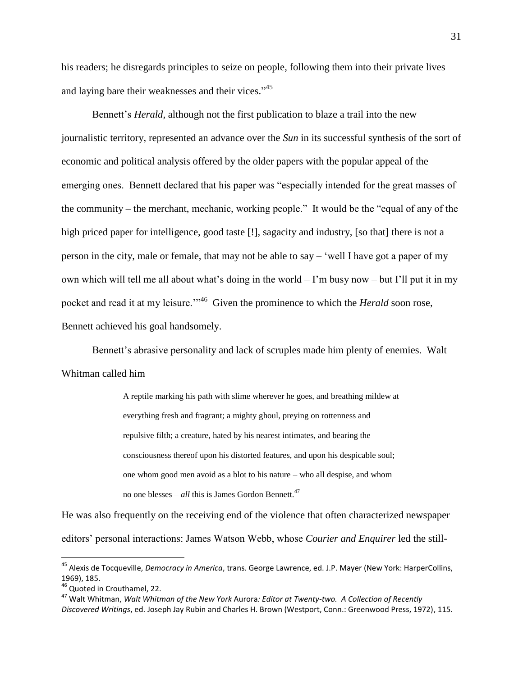his readers; he disregards principles to seize on people, following them into their private lives and laying bare their weaknesses and their vices."<sup>45</sup>

Bennett"s *Herald*, although not the first publication to blaze a trail into the new journalistic territory, represented an advance over the *Sun* in its successful synthesis of the sort of economic and political analysis offered by the older papers with the popular appeal of the emerging ones. Bennett declared that his paper was "especially intended for the great masses of the community – the merchant, mechanic, working people." It would be the "equal of any of the high priced paper for intelligence, good taste [!], sagacity and industry, [so that] there is not a person in the city, male or female, that may not be able to say – "well I have got a paper of my own which will tell me all about what's doing in the world  $-1$ 'm busy now  $-$  but I'll put it in my pocket and read it at my leisure."<sup>46</sup> Given the prominence to which the *Herald* soon rose, Bennett achieved his goal handsomely.

Bennett's abrasive personality and lack of scruples made him plenty of enemies. Walt Whitman called him

> A reptile marking his path with slime wherever he goes, and breathing mildew at everything fresh and fragrant; a mighty ghoul, preying on rottenness and repulsive filth; a creature, hated by his nearest intimates, and bearing the consciousness thereof upon his distorted features, and upon his despicable soul; one whom good men avoid as a blot to his nature – who all despise, and whom no one blesses –  $all$  this is James Gordon Bennett.<sup>47</sup>

He was also frequently on the receiving end of the violence that often characterized newspaper editors" personal interactions: James Watson Webb, whose *Courier and Enquirer* led the still-

<sup>45</sup> Alexis de Tocqueville, *Democracy in America*, trans. George Lawrence, ed. J.P. Mayer (New York: HarperCollins, 1969), 185.

<sup>&</sup>lt;sup>46</sup> Quoted in Crouthamel, 22.

<sup>47</sup> Walt Whitman, *Walt Whitman of the New York* Aurora*: Editor at Twenty-two. A Collection of Recently Discovered Writings*, ed. Joseph Jay Rubin and Charles H. Brown (Westport, Conn.: Greenwood Press, 1972), 115.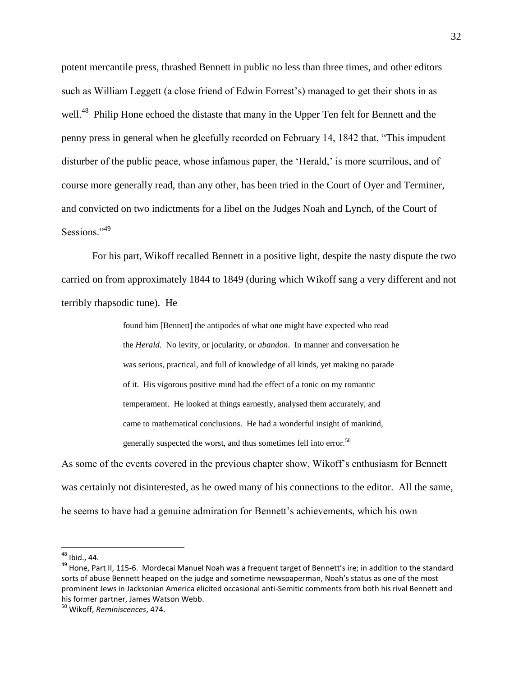potent mercantile press, thrashed Bennett in public no less than three times, and other editors such as William Leggett (a close friend of Edwin Forrest"s) managed to get their shots in as well.<sup>48</sup> Philip Hone echoed the distaste that many in the Upper Ten felt for Bennett and the penny press in general when he gleefully recorded on February 14, 1842 that, "This impudent disturber of the public peace, whose infamous paper, the 'Herald,' is more scurrilous, and of course more generally read, than any other, has been tried in the Court of Oyer and Terminer, and convicted on two indictments for a libel on the Judges Noah and Lynch, of the Court of Sessions<sup>"49</sup>

For his part, Wikoff recalled Bennett in a positive light, despite the nasty dispute the two carried on from approximately 1844 to 1849 (during which Wikoff sang a very different and not terribly rhapsodic tune). He

> found him [Bennett] the antipodes of what one might have expected who read the *Herald*. No levity, or jocularity, or *abandon*. In manner and conversation he was serious, practical, and full of knowledge of all kinds, yet making no parade of it. His vigorous positive mind had the effect of a tonic on my romantic temperament. He looked at things earnestly, analysed them accurately, and came to mathematical conclusions. He had a wonderful insight of mankind, generally suspected the worst, and thus sometimes fell into error.<sup>50</sup>

As some of the events covered in the previous chapter show, Wikoff"s enthusiasm for Bennett was certainly not disinterested, as he owed many of his connections to the editor. All the same, he seems to have had a genuine admiration for Bennett"s achievements, which his own

<sup>&</sup>lt;sup>48</sup> Ibid., 44.

<sup>&</sup>lt;sup>49</sup> Hone, Part II, 115-6. Mordecai Manuel Noah was a frequent target of Bennett's ire; in addition to the standard sorts of abuse Bennett heaped on the judge and sometime newspaperman, Noah's status as one of the most prominent Jews in Jacksonian America elicited occasional anti-Semitic comments from both his rival Bennett and his former partner, James Watson Webb.

<sup>50</sup> Wikoff, *Reminiscences*, 474.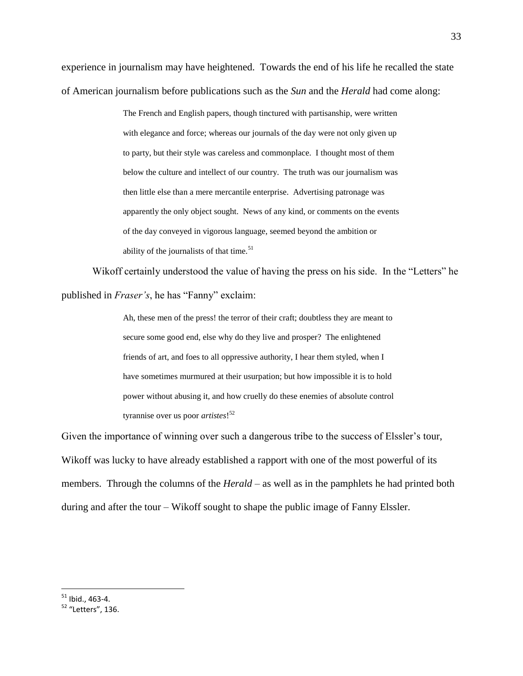experience in journalism may have heightened. Towards the end of his life he recalled the state of American journalism before publications such as the *Sun* and the *Herald* had come along:

> The French and English papers, though tinctured with partisanship, were written with elegance and force; whereas our journals of the day were not only given up to party, but their style was careless and commonplace. I thought most of them below the culture and intellect of our country. The truth was our journalism was then little else than a mere mercantile enterprise. Advertising patronage was apparently the only object sought. News of any kind, or comments on the events of the day conveyed in vigorous language, seemed beyond the ambition or ability of the journalists of that time. $51$

Wikoff certainly understood the value of having the press on his side. In the "Letters" he published in *Fraser's*, he has "Fanny" exclaim:

> Ah, these men of the press! the terror of their craft; doubtless they are meant to secure some good end, else why do they live and prosper? The enlightened friends of art, and foes to all oppressive authority, I hear them styled, when I have sometimes murmured at their usurpation; but how impossible it is to hold power without abusing it, and how cruelly do these enemies of absolute control tyrannise over us poor *artistes*! 52

Given the importance of winning over such a dangerous tribe to the success of Elssler's tour, Wikoff was lucky to have already established a rapport with one of the most powerful of its members. Through the columns of the *Herald* – as well as in the pamphlets he had printed both during and after the tour – Wikoff sought to shape the public image of Fanny Elssler.

 $51$  Ibid., 463-4.

<sup>52</sup> "Letters", 136.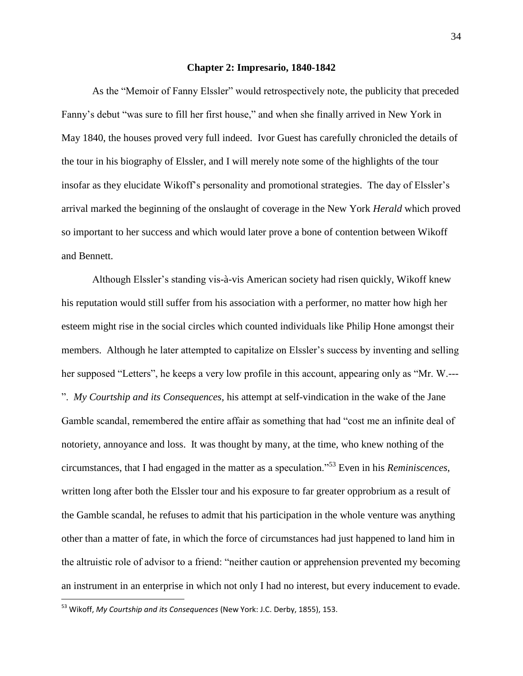## **Chapter 2: Impresario, 1840-1842**

As the "Memoir of Fanny Elssler" would retrospectively note, the publicity that preceded Fanny"s debut "was sure to fill her first house," and when she finally arrived in New York in May 1840, the houses proved very full indeed. Ivor Guest has carefully chronicled the details of the tour in his biography of Elssler, and I will merely note some of the highlights of the tour insofar as they elucidate Wikoff's personality and promotional strategies. The day of Elssler's arrival marked the beginning of the onslaught of coverage in the New York *Herald* which proved so important to her success and which would later prove a bone of contention between Wikoff and Bennett.

Although Elssler"s standing vis-à-vis American society had risen quickly, Wikoff knew his reputation would still suffer from his association with a performer, no matter how high her esteem might rise in the social circles which counted individuals like Philip Hone amongst their members. Although he later attempted to capitalize on Elssler's success by inventing and selling her supposed "Letters", he keeps a very low profile in this account, appearing only as "Mr. W.--- ". *My Courtship and its Consequences*, his attempt at self-vindication in the wake of the Jane Gamble scandal, remembered the entire affair as something that had "cost me an infinite deal of notoriety, annoyance and loss. It was thought by many, at the time, who knew nothing of the circumstances, that I had engaged in the matter as a speculation."<sup>53</sup> Even in his *Reminiscences*, written long after both the Elssler tour and his exposure to far greater opprobrium as a result of the Gamble scandal, he refuses to admit that his participation in the whole venture was anything other than a matter of fate, in which the force of circumstances had just happened to land him in the altruistic role of advisor to a friend: "neither caution or apprehension prevented my becoming an instrument in an enterprise in which not only I had no interest, but every inducement to evade.

<sup>53</sup> Wikoff, *My Courtship and its Consequences* (New York: J.C. Derby, 1855), 153.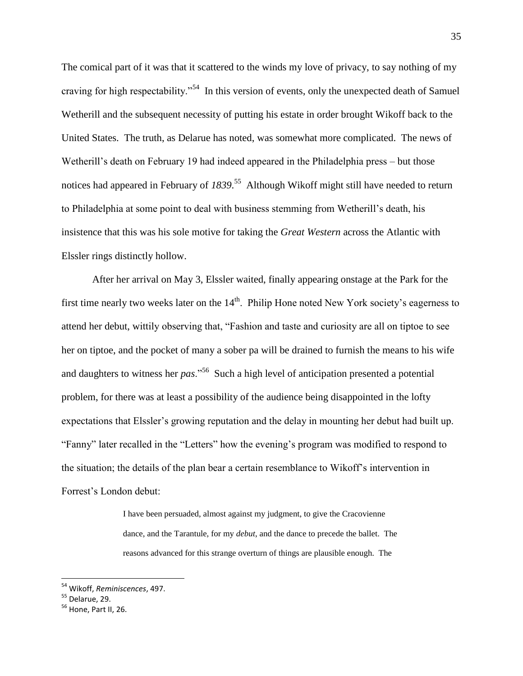The comical part of it was that it scattered to the winds my love of privacy, to say nothing of my craving for high respectability."<sup>54</sup> In this version of events, only the unexpected death of Samuel Wetherill and the subsequent necessity of putting his estate in order brought Wikoff back to the United States. The truth, as Delarue has noted, was somewhat more complicated. The news of Wetherill's death on February 19 had indeed appeared in the Philadelphia press – but those notices had appeared in February of *1839*. 55 Although Wikoff might still have needed to return to Philadelphia at some point to deal with business stemming from Wetherill"s death, his insistence that this was his sole motive for taking the *Great Western* across the Atlantic with Elssler rings distinctly hollow.

After her arrival on May 3, Elssler waited, finally appearing onstage at the Park for the first time nearly two weeks later on the  $14<sup>th</sup>$ . Philip Hone noted New York society's eagerness to attend her debut, wittily observing that, "Fashion and taste and curiosity are all on tiptoe to see her on tiptoe, and the pocket of many a sober pa will be drained to furnish the means to his wife and daughters to witness her *pas*."<sup>56</sup> Such a high level of anticipation presented a potential problem, for there was at least a possibility of the audience being disappointed in the lofty expectations that Elssler's growing reputation and the delay in mounting her debut had built up. "Fanny" later recalled in the "Letters" how the evening"s program was modified to respond to the situation; the details of the plan bear a certain resemblance to Wikoff"s intervention in Forrest"s London debut:

> I have been persuaded, almost against my judgment, to give the Cracovienne dance, and the Tarantule, for my *debut*, and the dance to precede the ballet. The reasons advanced for this strange overturn of things are plausible enough. The

<sup>54</sup> Wikoff, *Reminiscences*, 497.

 $55$  Delarue, 29.

<sup>&</sup>lt;sup>56</sup> Hone, Part II, 26.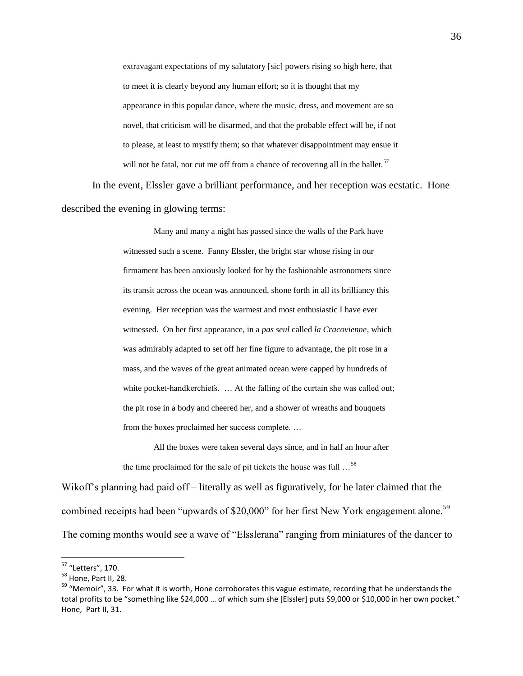extravagant expectations of my salutatory [sic] powers rising so high here, that to meet it is clearly beyond any human effort; so it is thought that my appearance in this popular dance, where the music, dress, and movement are so novel, that criticism will be disarmed, and that the probable effect will be, if not to please, at least to mystify them; so that whatever disappointment may ensue it will not be fatal, nor cut me off from a chance of recovering all in the ballet.<sup>57</sup>

In the event, Elssler gave a brilliant performance, and her reception was ecstatic. Hone described the evening in glowing terms:

> Many and many a night has passed since the walls of the Park have witnessed such a scene. Fanny Elssler, the bright star whose rising in our firmament has been anxiously looked for by the fashionable astronomers since its transit across the ocean was announced, shone forth in all its brilliancy this evening. Her reception was the warmest and most enthusiastic I have ever witnessed. On her first appearance, in a *pas seul* called *la Cracovienne*, which was admirably adapted to set off her fine figure to advantage, the pit rose in a mass, and the waves of the great animated ocean were capped by hundreds of white pocket-handkerchiefs. ... At the falling of the curtain she was called out; the pit rose in a body and cheered her, and a shower of wreaths and bouquets from the boxes proclaimed her success complete. …

All the boxes were taken several days since, and in half an hour after the time proclaimed for the sale of pit tickets the house was full  $\ldots$ <sup>58</sup>

Wikoff's planning had paid off – literally as well as figuratively, for he later claimed that the combined receipts had been "upwards of \$20,000" for her first New York engagement alone.<sup>59</sup> The coming months would see a wave of "Elsslerana" ranging from miniatures of the dancer to

<sup>&</sup>lt;sup>57</sup> "Letters", 170.

<sup>58</sup> Hone, Part II, 28.

<sup>&</sup>lt;sup>59</sup> "Memoir", 33. For what it is worth, Hone corroborates this vague estimate, recording that he understands the total profits to be "something like \$24,000 ... of which sum she [Elssler] puts \$9,000 or \$10,000 in her own pocket." Hone, Part II, 31.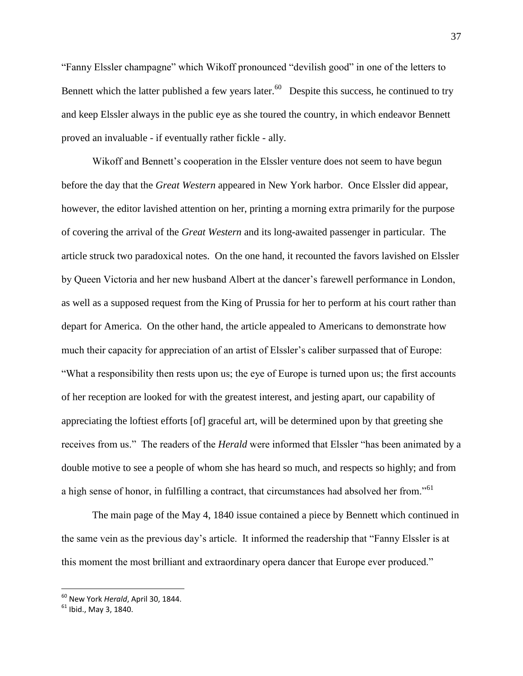"Fanny Elssler champagne" which Wikoff pronounced "devilish good" in one of the letters to Bennett which the latter published a few years later.  $60$  Despite this success, he continued to try and keep Elssler always in the public eye as she toured the country, in which endeavor Bennett proved an invaluable - if eventually rather fickle - ally.

Wikoff and Bennett's cooperation in the Elssler venture does not seem to have begun before the day that the *Great Western* appeared in New York harbor. Once Elssler did appear, however, the editor lavished attention on her, printing a morning extra primarily for the purpose of covering the arrival of the *Great Western* and its long-awaited passenger in particular. The article struck two paradoxical notes. On the one hand, it recounted the favors lavished on Elssler by Queen Victoria and her new husband Albert at the dancer"s farewell performance in London, as well as a supposed request from the King of Prussia for her to perform at his court rather than depart for America. On the other hand, the article appealed to Americans to demonstrate how much their capacity for appreciation of an artist of Elssler's caliber surpassed that of Europe: "What a responsibility then rests upon us; the eye of Europe is turned upon us; the first accounts of her reception are looked for with the greatest interest, and jesting apart, our capability of appreciating the loftiest efforts [of] graceful art, will be determined upon by that greeting she receives from us." The readers of the *Herald* were informed that Elssler "has been animated by a double motive to see a people of whom she has heard so much, and respects so highly; and from a high sense of honor, in fulfilling a contract, that circumstances had absolved her from."<sup>61</sup>

The main page of the May 4, 1840 issue contained a piece by Bennett which continued in the same vein as the previous day"s article. It informed the readership that "Fanny Elssler is at this moment the most brilliant and extraordinary opera dancer that Europe ever produced."

<sup>60</sup> New York *Herald*, April 30, 1844.

 $61$  Ibid., May 3, 1840.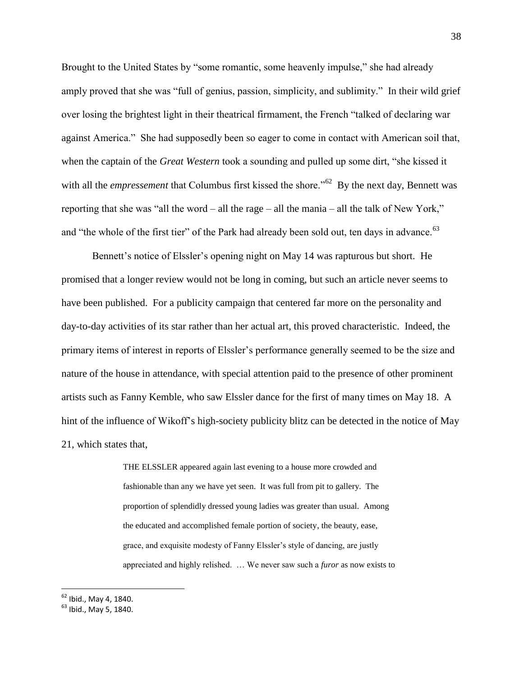Brought to the United States by "some romantic, some heavenly impulse," she had already amply proved that she was "full of genius, passion, simplicity, and sublimity." In their wild grief over losing the brightest light in their theatrical firmament, the French "talked of declaring war against America." She had supposedly been so eager to come in contact with American soil that, when the captain of the *Great Western* took a sounding and pulled up some dirt, "she kissed it with all the *empressement* that Columbus first kissed the shore."<sup>62</sup> By the next day, Bennett was reporting that she was "all the word – all the rage – all the mania – all the talk of New York," and "the whole of the first tier" of the Park had already been sold out, ten days in advance.<sup>63</sup>

Bennett's notice of Elssler's opening night on May 14 was rapturous but short. He promised that a longer review would not be long in coming, but such an article never seems to have been published. For a publicity campaign that centered far more on the personality and day-to-day activities of its star rather than her actual art, this proved characteristic. Indeed, the primary items of interest in reports of Elssler"s performance generally seemed to be the size and nature of the house in attendance, with special attention paid to the presence of other prominent artists such as Fanny Kemble, who saw Elssler dance for the first of many times on May 18. A hint of the influence of Wikoff"s high-society publicity blitz can be detected in the notice of May 21, which states that,

> THE ELSSLER appeared again last evening to a house more crowded and fashionable than any we have yet seen. It was full from pit to gallery. The proportion of splendidly dressed young ladies was greater than usual. Among the educated and accomplished female portion of society, the beauty, ease, grace, and exquisite modesty of Fanny Elssler"s style of dancing, are justly appreciated and highly relished. … We never saw such a *furor* as now exists to

 $62$  Ibid., May 4, 1840.

<sup>&</sup>lt;sup>63</sup> Ibid., May 5, 1840.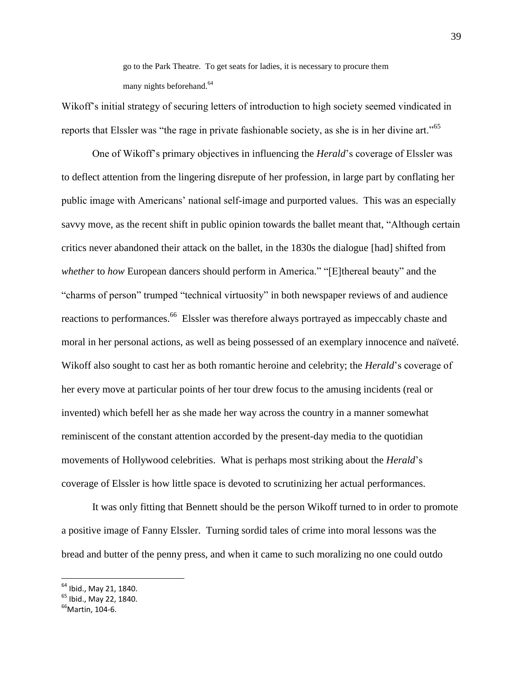go to the Park Theatre. To get seats for ladies, it is necessary to procure them many nights beforehand.<sup>64</sup>

Wikoff"s initial strategy of securing letters of introduction to high society seemed vindicated in reports that Elssler was "the rage in private fashionable society, as she is in her divine art."<sup>65</sup>

One of Wikoff"s primary objectives in influencing the *Herald*"s coverage of Elssler was to deflect attention from the lingering disrepute of her profession, in large part by conflating her public image with Americans" national self-image and purported values. This was an especially savvy move, as the recent shift in public opinion towards the ballet meant that, "Although certain critics never abandoned their attack on the ballet, in the 1830s the dialogue [had] shifted from *whether* to *how* European dancers should perform in America." "[E]thereal beauty" and the "charms of person" trumped "technical virtuosity" in both newspaper reviews of and audience reactions to performances.<sup>66</sup> Elssler was therefore always portrayed as impeccably chaste and moral in her personal actions, as well as being possessed of an exemplary innocence and naïveté. Wikoff also sought to cast her as both romantic heroine and celebrity; the *Herald*"s coverage of her every move at particular points of her tour drew focus to the amusing incidents (real or invented) which befell her as she made her way across the country in a manner somewhat reminiscent of the constant attention accorded by the present-day media to the quotidian movements of Hollywood celebrities. What is perhaps most striking about the *Herald*"s coverage of Elssler is how little space is devoted to scrutinizing her actual performances.

It was only fitting that Bennett should be the person Wikoff turned to in order to promote a positive image of Fanny Elssler. Turning sordid tales of crime into moral lessons was the bread and butter of the penny press, and when it came to such moralizing no one could outdo

<sup>&</sup>lt;sup>64</sup> Ibid., May 21, 1840.

 $<sup>65</sup>$  Ibid., May 22, 1840.</sup>

 $66$ Martin, 104-6.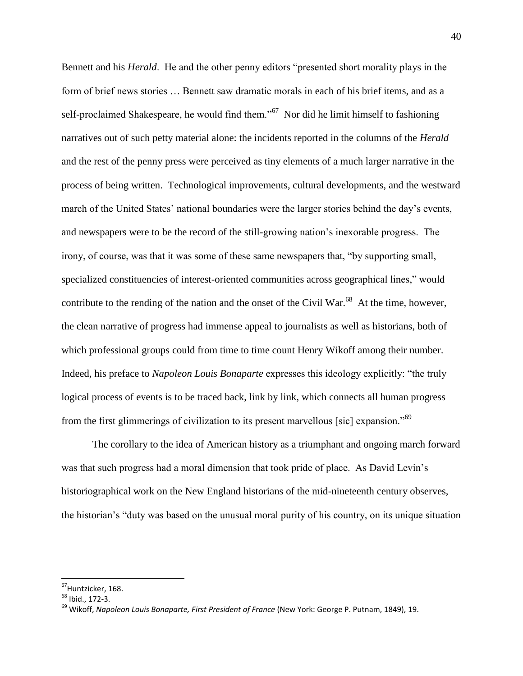Bennett and his *Herald*. He and the other penny editors "presented short morality plays in the form of brief news stories … Bennett saw dramatic morals in each of his brief items, and as a self-proclaimed Shakespeare, he would find them."<sup>67</sup> Nor did he limit himself to fashioning narratives out of such petty material alone: the incidents reported in the columns of the *Herald* and the rest of the penny press were perceived as tiny elements of a much larger narrative in the process of being written. Technological improvements, cultural developments, and the westward march of the United States' national boundaries were the larger stories behind the day's events, and newspapers were to be the record of the still-growing nation"s inexorable progress. The irony, of course, was that it was some of these same newspapers that, "by supporting small, specialized constituencies of interest-oriented communities across geographical lines," would contribute to the rending of the nation and the onset of the Civil War.<sup>68</sup> At the time, however, the clean narrative of progress had immense appeal to journalists as well as historians, both of which professional groups could from time to time count Henry Wikoff among their number. Indeed, his preface to *Napoleon Louis Bonaparte* expresses this ideology explicitly: "the truly logical process of events is to be traced back, link by link, which connects all human progress from the first glimmerings of civilization to its present marvellous [sic] expansion."<sup>69</sup>

The corollary to the idea of American history as a triumphant and ongoing march forward was that such progress had a moral dimension that took pride of place. As David Levin's historiographical work on the New England historians of the mid-nineteenth century observes, the historian"s "duty was based on the unusual moral purity of his country, on its unique situation

<sup>&</sup>lt;sup>67</sup>Huntzicker, 168.

 $68$  Ibid., 172-3.

<sup>69</sup> Wikoff, *Napoleon Louis Bonaparte, First President of France* (New York: George P. Putnam, 1849), 19.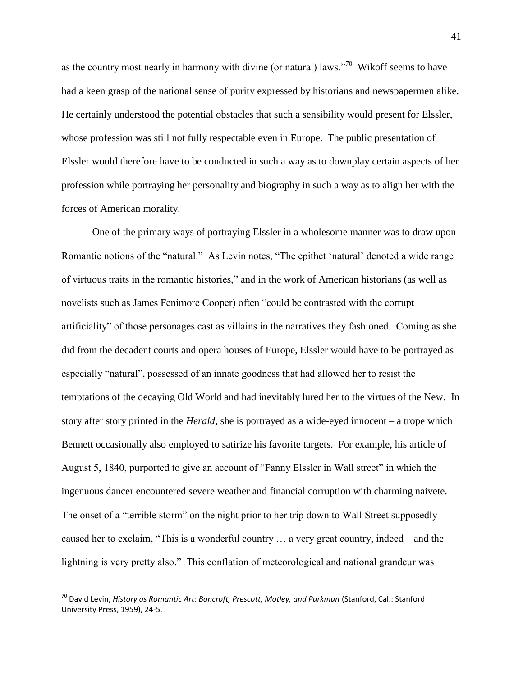as the country most nearly in harmony with divine (or natural) laws."<sup>70</sup> Wikoff seems to have had a keen grasp of the national sense of purity expressed by historians and newspapermen alike. He certainly understood the potential obstacles that such a sensibility would present for Elssler, whose profession was still not fully respectable even in Europe. The public presentation of Elssler would therefore have to be conducted in such a way as to downplay certain aspects of her profession while portraying her personality and biography in such a way as to align her with the forces of American morality.

One of the primary ways of portraying Elssler in a wholesome manner was to draw upon Romantic notions of the "natural." As Levin notes, "The epithet 'natural' denoted a wide range of virtuous traits in the romantic histories," and in the work of American historians (as well as novelists such as James Fenimore Cooper) often "could be contrasted with the corrupt artificiality" of those personages cast as villains in the narratives they fashioned. Coming as she did from the decadent courts and opera houses of Europe, Elssler would have to be portrayed as especially "natural", possessed of an innate goodness that had allowed her to resist the temptations of the decaying Old World and had inevitably lured her to the virtues of the New. In story after story printed in the *Herald*, she is portrayed as a wide-eyed innocent – a trope which Bennett occasionally also employed to satirize his favorite targets. For example, his article of August 5, 1840, purported to give an account of "Fanny Elssler in Wall street" in which the ingenuous dancer encountered severe weather and financial corruption with charming naivete. The onset of a "terrible storm" on the night prior to her trip down to Wall Street supposedly caused her to exclaim, "This is a wonderful country … a very great country, indeed – and the lightning is very pretty also." This conflation of meteorological and national grandeur was

<sup>&</sup>lt;sup>70</sup> David Levin, *History as Romantic Art: Bancroft, Prescott, Motley, and Parkman (Stanford, Cal.: Stanford* University Press, 1959), 24-5.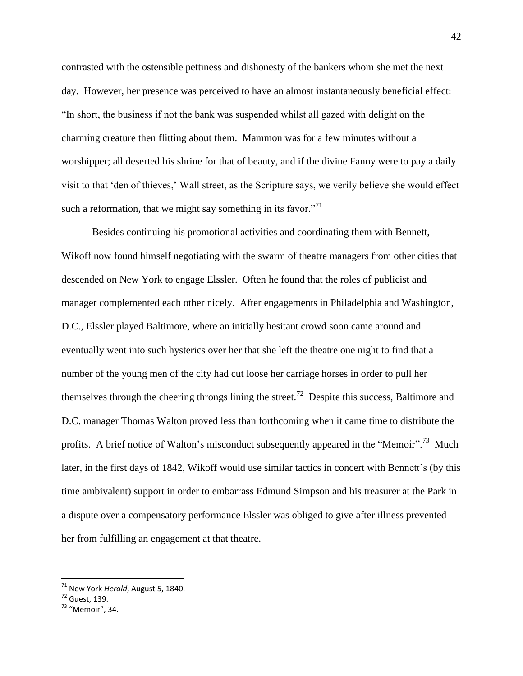contrasted with the ostensible pettiness and dishonesty of the bankers whom she met the next day. However, her presence was perceived to have an almost instantaneously beneficial effect: "In short, the business if not the bank was suspended whilst all gazed with delight on the charming creature then flitting about them. Mammon was for a few minutes without a worshipper; all deserted his shrine for that of beauty, and if the divine Fanny were to pay a daily visit to that "den of thieves," Wall street, as the Scripture says, we verily believe she would effect such a reformation, that we might say something in its favor."<sup>71</sup>

Besides continuing his promotional activities and coordinating them with Bennett, Wikoff now found himself negotiating with the swarm of theatre managers from other cities that descended on New York to engage Elssler. Often he found that the roles of publicist and manager complemented each other nicely. After engagements in Philadelphia and Washington, D.C., Elssler played Baltimore, where an initially hesitant crowd soon came around and eventually went into such hysterics over her that she left the theatre one night to find that a number of the young men of the city had cut loose her carriage horses in order to pull her themselves through the cheering throngs lining the street.<sup>72</sup> Despite this success, Baltimore and D.C. manager Thomas Walton proved less than forthcoming when it came time to distribute the profits. A brief notice of Walton's misconduct subsequently appeared in the "Memoir".<sup>73</sup> Much later, in the first days of 1842, Wikoff would use similar tactics in concert with Bennett's (by this time ambivalent) support in order to embarrass Edmund Simpson and his treasurer at the Park in a dispute over a compensatory performance Elssler was obliged to give after illness prevented her from fulfilling an engagement at that theatre.

<sup>71</sup> New York *Herald*, August 5, 1840.

 $<sup>72</sup>$  Guest, 139.</sup>

<sup>73</sup> "Memoir", 34.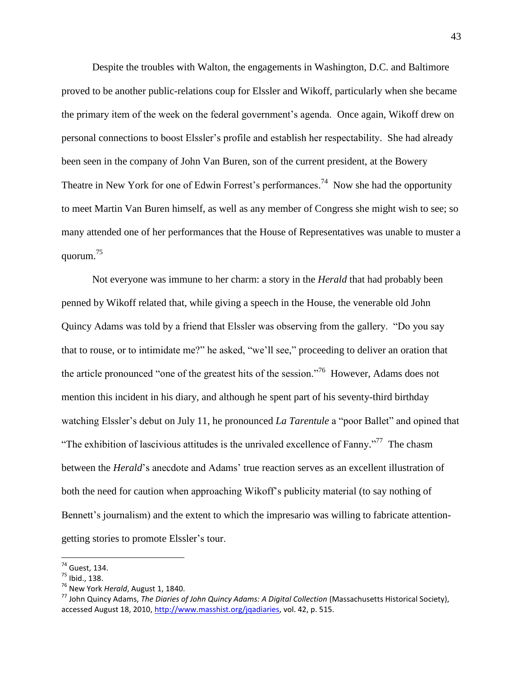Despite the troubles with Walton, the engagements in Washington, D.C. and Baltimore proved to be another public-relations coup for Elssler and Wikoff, particularly when she became the primary item of the week on the federal government"s agenda. Once again, Wikoff drew on personal connections to boost Elssler"s profile and establish her respectability. She had already been seen in the company of John Van Buren, son of the current president, at the Bowery Theatre in New York for one of Edwin Forrest's performances.<sup>74</sup> Now she had the opportunity to meet Martin Van Buren himself, as well as any member of Congress she might wish to see; so many attended one of her performances that the House of Representatives was unable to muster a quorum. 75

Not everyone was immune to her charm: a story in the *Herald* that had probably been penned by Wikoff related that, while giving a speech in the House, the venerable old John Quincy Adams was told by a friend that Elssler was observing from the gallery. "Do you say that to rouse, or to intimidate me?" he asked, "we"ll see," proceeding to deliver an oration that the article pronounced "one of the greatest hits of the session."<sup>76</sup> However, Adams does not mention this incident in his diary, and although he spent part of his seventy-third birthday watching Elssler's debut on July 11, he pronounced *La Tarentule* a "poor Ballet" and opined that "The exhibition of lascivious attitudes is the unrivaled excellence of Fanny."<sup>77</sup> The chasm between the *Herald*"s anecdote and Adams" true reaction serves as an excellent illustration of both the need for caution when approaching Wikoff"s publicity material (to say nothing of Bennett's journalism) and the extent to which the impresario was willing to fabricate attentiongetting stories to promote Elssler"s tour.

<sup>74</sup> Guest, 134.

<sup>75</sup> Ibid., 138.

<sup>76</sup> New York *Herald*, August 1, 1840.

<sup>77</sup> John Quincy Adams, *The Diaries of John Quincy Adams: A Digital Collection* (Massachusetts Historical Society), accessed August 18, 2010, [http://www.masshist.org/jqadiaries,](http://www.masshist.org/jqadiaries) vol. 42, p. 515.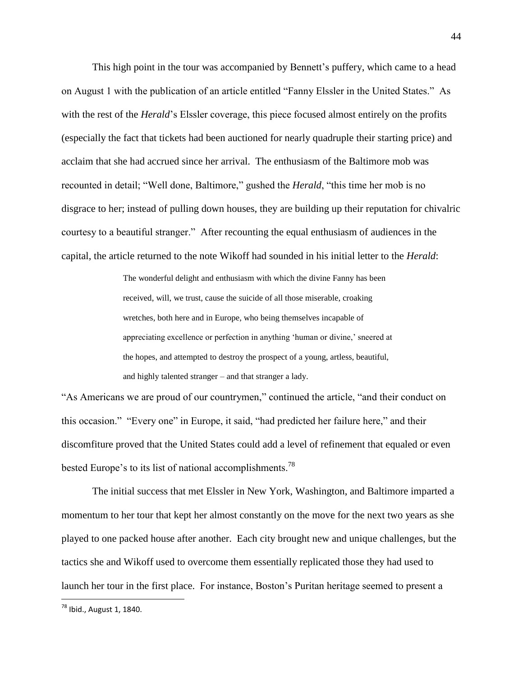This high point in the tour was accompanied by Bennett's puffery, which came to a head on August 1 with the publication of an article entitled "Fanny Elssler in the United States." As with the rest of the *Herald*'s Elssler coverage, this piece focused almost entirely on the profits (especially the fact that tickets had been auctioned for nearly quadruple their starting price) and acclaim that she had accrued since her arrival. The enthusiasm of the Baltimore mob was recounted in detail; "Well done, Baltimore," gushed the *Herald*, "this time her mob is no disgrace to her; instead of pulling down houses, they are building up their reputation for chivalric courtesy to a beautiful stranger." After recounting the equal enthusiasm of audiences in the capital, the article returned to the note Wikoff had sounded in his initial letter to the *Herald*:

> The wonderful delight and enthusiasm with which the divine Fanny has been received, will, we trust, cause the suicide of all those miserable, croaking wretches, both here and in Europe, who being themselves incapable of appreciating excellence or perfection in anything "human or divine," sneered at the hopes, and attempted to destroy the prospect of a young, artless, beautiful, and highly talented stranger – and that stranger a lady.

"As Americans we are proud of our countrymen," continued the article, "and their conduct on this occasion." "Every one" in Europe, it said, "had predicted her failure here," and their discomfiture proved that the United States could add a level of refinement that equaled or even bested Europe's to its list of national accomplishments.<sup>78</sup>

The initial success that met Elssler in New York, Washington, and Baltimore imparted a momentum to her tour that kept her almost constantly on the move for the next two years as she played to one packed house after another. Each city brought new and unique challenges, but the tactics she and Wikoff used to overcome them essentially replicated those they had used to launch her tour in the first place. For instance, Boston"s Puritan heritage seemed to present a

<sup>78</sup> Ibid., August 1, 1840.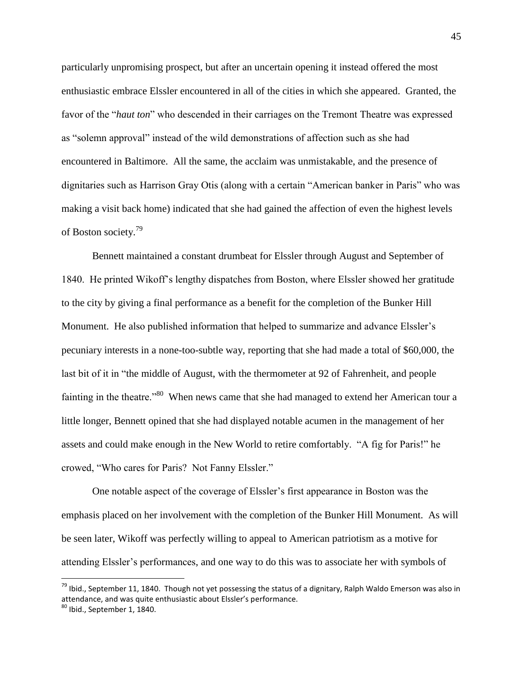particularly unpromising prospect, but after an uncertain opening it instead offered the most enthusiastic embrace Elssler encountered in all of the cities in which she appeared. Granted, the favor of the "*haut ton*" who descended in their carriages on the Tremont Theatre was expressed as "solemn approval" instead of the wild demonstrations of affection such as she had encountered in Baltimore. All the same, the acclaim was unmistakable, and the presence of dignitaries such as Harrison Gray Otis (along with a certain "American banker in Paris" who was making a visit back home) indicated that she had gained the affection of even the highest levels of Boston society.<sup>79</sup>

Bennett maintained a constant drumbeat for Elssler through August and September of 1840. He printed Wikoff"s lengthy dispatches from Boston, where Elssler showed her gratitude to the city by giving a final performance as a benefit for the completion of the Bunker Hill Monument. He also published information that helped to summarize and advance Elssler"s pecuniary interests in a none-too-subtle way, reporting that she had made a total of \$60,000, the last bit of it in "the middle of August, with the thermometer at 92 of Fahrenheit, and people fainting in the theatre."<sup>80</sup> When news came that she had managed to extend her American tour a little longer, Bennett opined that she had displayed notable acumen in the management of her assets and could make enough in the New World to retire comfortably. "A fig for Paris!" he crowed, "Who cares for Paris? Not Fanny Elssler."

One notable aspect of the coverage of Elssler"s first appearance in Boston was the emphasis placed on her involvement with the completion of the Bunker Hill Monument. As will be seen later, Wikoff was perfectly willing to appeal to American patriotism as a motive for attending Elssler"s performances, and one way to do this was to associate her with symbols of

<sup>&</sup>lt;sup>79</sup> Ibid., September 11, 1840. Though not yet possessing the status of a dignitary, Ralph Waldo Emerson was also in attendance, and was quite enthusiastic about Elssler's performance.

 $80$  Ibid., September 1, 1840.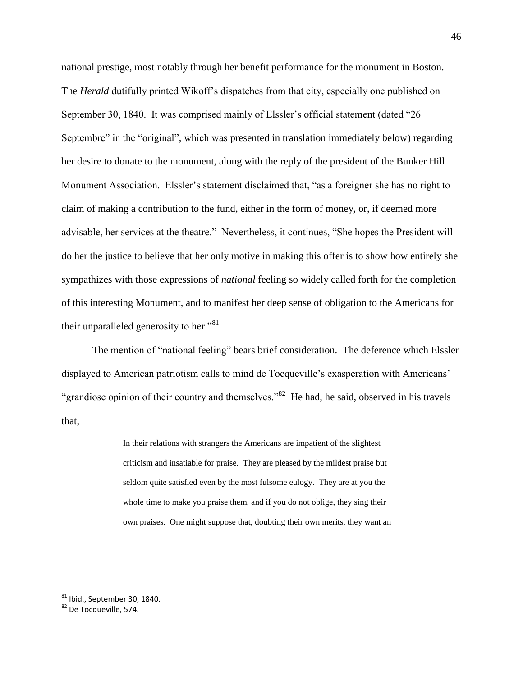national prestige, most notably through her benefit performance for the monument in Boston. The *Herald* dutifully printed Wikoff"s dispatches from that city, especially one published on September 30, 1840. It was comprised mainly of Elssler's official statement (dated "26 Septembre" in the "original", which was presented in translation immediately below) regarding her desire to donate to the monument, along with the reply of the president of the Bunker Hill Monument Association. Elssler's statement disclaimed that, "as a foreigner she has no right to claim of making a contribution to the fund, either in the form of money, or, if deemed more advisable, her services at the theatre." Nevertheless, it continues, "She hopes the President will do her the justice to believe that her only motive in making this offer is to show how entirely she sympathizes with those expressions of *national* feeling so widely called forth for the completion of this interesting Monument, and to manifest her deep sense of obligation to the Americans for their unparalleled generosity to her."<sup>81</sup>

The mention of "national feeling" bears brief consideration. The deference which Elssler displayed to American patriotism calls to mind de Tocqueville's exasperation with Americans' "grandiose opinion of their country and themselves."<sup>82</sup> He had, he said, observed in his travels that,

> In their relations with strangers the Americans are impatient of the slightest criticism and insatiable for praise. They are pleased by the mildest praise but seldom quite satisfied even by the most fulsome eulogy. They are at you the whole time to make you praise them, and if you do not oblige, they sing their own praises. One might suppose that, doubting their own merits, they want an

 $^{81}$  Ibid., September 30, 1840.

<sup>82</sup> De Tocqueville, 574.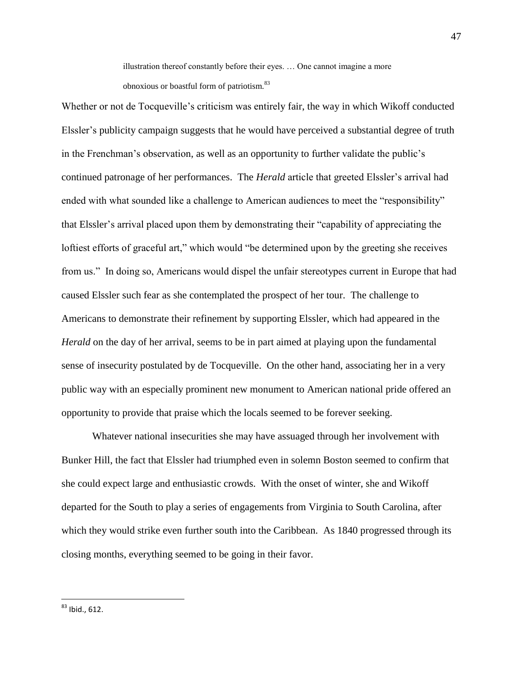illustration thereof constantly before their eyes. … One cannot imagine a more obnoxious or boastful form of patriotism.<sup>83</sup>

Whether or not de Tocqueville's criticism was entirely fair, the way in which Wikoff conducted Elssler"s publicity campaign suggests that he would have perceived a substantial degree of truth in the Frenchman"s observation, as well as an opportunity to further validate the public"s continued patronage of her performances. The *Herald* article that greeted Elssler"s arrival had ended with what sounded like a challenge to American audiences to meet the "responsibility" that Elssler"s arrival placed upon them by demonstrating their "capability of appreciating the loftiest efforts of graceful art," which would "be determined upon by the greeting she receives from us." In doing so, Americans would dispel the unfair stereotypes current in Europe that had caused Elssler such fear as she contemplated the prospect of her tour. The challenge to Americans to demonstrate their refinement by supporting Elssler, which had appeared in the *Herald* on the day of her arrival, seems to be in part aimed at playing upon the fundamental sense of insecurity postulated by de Tocqueville. On the other hand, associating her in a very public way with an especially prominent new monument to American national pride offered an opportunity to provide that praise which the locals seemed to be forever seeking.

Whatever national insecurities she may have assuaged through her involvement with Bunker Hill, the fact that Elssler had triumphed even in solemn Boston seemed to confirm that she could expect large and enthusiastic crowds. With the onset of winter, she and Wikoff departed for the South to play a series of engagements from Virginia to South Carolina, after which they would strike even further south into the Caribbean. As 1840 progressed through its closing months, everything seemed to be going in their favor.

 $^{83}$  Ibid., 612.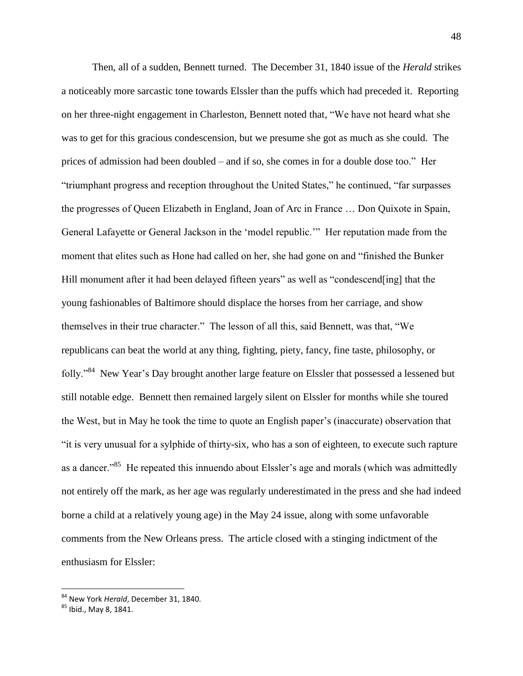Then, all of a sudden, Bennett turned. The December 31, 1840 issue of the *Herald* strikes a noticeably more sarcastic tone towards Elssler than the puffs which had preceded it. Reporting on her three-night engagement in Charleston, Bennett noted that, "We have not heard what she was to get for this gracious condescension, but we presume she got as much as she could. The prices of admission had been doubled – and if so, she comes in for a double dose too." Her "triumphant progress and reception throughout the United States," he continued, "far surpasses the progresses of Queen Elizabeth in England, Joan of Arc in France … Don Quixote in Spain, General Lafayette or General Jackson in the "model republic."" Her reputation made from the moment that elites such as Hone had called on her, she had gone on and "finished the Bunker Hill monument after it had been delayed fifteen years" as well as "condescend[ing] that the young fashionables of Baltimore should displace the horses from her carriage, and show themselves in their true character." The lesson of all this, said Bennett, was that, "We republicans can beat the world at any thing, fighting, piety, fancy, fine taste, philosophy, or folly."<sup>84</sup> New Year's Day brought another large feature on Elssler that possessed a lessened but still notable edge. Bennett then remained largely silent on Elssler for months while she toured the West, but in May he took the time to quote an English paper"s (inaccurate) observation that "it is very unusual for a sylphide of thirty-six, who has a son of eighteen, to execute such rapture as a dancer."<sup>85</sup> He repeated this innuendo about Elssler's age and morals (which was admittedly not entirely off the mark, as her age was regularly underestimated in the press and she had indeed borne a child at a relatively young age) in the May 24 issue, along with some unfavorable comments from the New Orleans press. The article closed with a stinging indictment of the enthusiasm for Elssler:

<sup>84</sup> New York *Herald*, December 31, 1840.

<sup>85</sup> Ibid., May 8, 1841.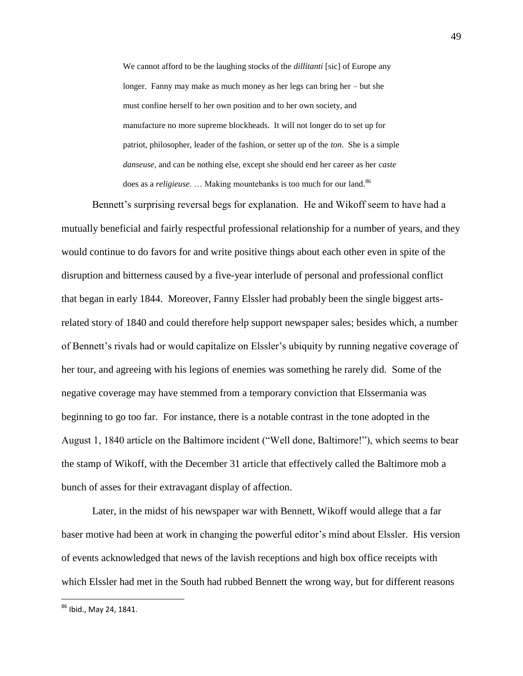We cannot afford to be the laughing stocks of the *dillitanti* [sic] of Europe any longer. Fanny may make as much money as her legs can bring her – but she must confine herself to her own position and to her own society, and manufacture no more supreme blockheads. It will not longer do to set up for patriot, philosopher, leader of the fashion, or setter up of the *ton*. She is a simple *danseuse*, and can be nothing else, except she should end her career as her *caste* does as a *religieuse*. ... Making mountebanks is too much for our land.<sup>86</sup>

Bennett's surprising reversal begs for explanation. He and Wikoff seem to have had a mutually beneficial and fairly respectful professional relationship for a number of years, and they would continue to do favors for and write positive things about each other even in spite of the disruption and bitterness caused by a five-year interlude of personal and professional conflict that began in early 1844. Moreover, Fanny Elssler had probably been the single biggest artsrelated story of 1840 and could therefore help support newspaper sales; besides which, a number of Bennett"s rivals had or would capitalize on Elssler"s ubiquity by running negative coverage of her tour, and agreeing with his legions of enemies was something he rarely did. Some of the negative coverage may have stemmed from a temporary conviction that Elssermania was beginning to go too far. For instance, there is a notable contrast in the tone adopted in the August 1, 1840 article on the Baltimore incident ("Well done, Baltimore!"), which seems to bear the stamp of Wikoff, with the December 31 article that effectively called the Baltimore mob a bunch of asses for their extravagant display of affection.

Later, in the midst of his newspaper war with Bennett, Wikoff would allege that a far baser motive had been at work in changing the powerful editor"s mind about Elssler. His version of events acknowledged that news of the lavish receptions and high box office receipts with which Elssler had met in the South had rubbed Bennett the wrong way, but for different reasons

<sup>86</sup> Ibid., May 24, 1841.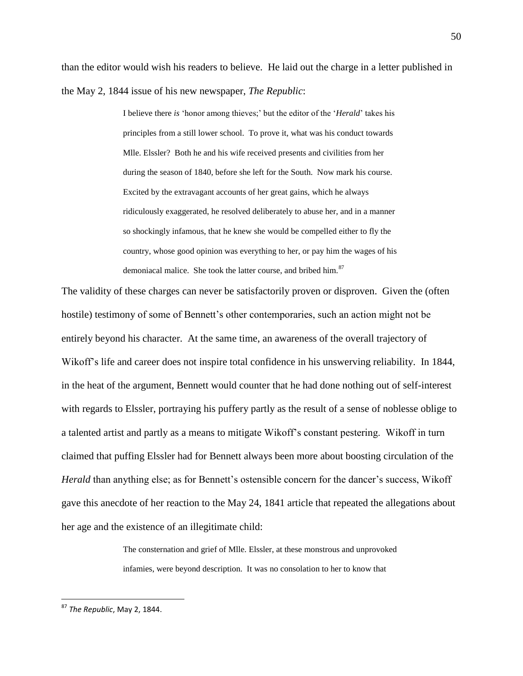than the editor would wish his readers to believe. He laid out the charge in a letter published in the May 2, 1844 issue of his new newspaper, *The Republic*:

> I believe there *is* "honor among thieves;" but the editor of the "*Herald*" takes his principles from a still lower school. To prove it, what was his conduct towards Mlle. Elssler? Both he and his wife received presents and civilities from her during the season of 1840, before she left for the South. Now mark his course. Excited by the extravagant accounts of her great gains, which he always ridiculously exaggerated, he resolved deliberately to abuse her, and in a manner so shockingly infamous, that he knew she would be compelled either to fly the country, whose good opinion was everything to her, or pay him the wages of his demoniacal malice. She took the latter course, and bribed him.<sup>87</sup>

The validity of these charges can never be satisfactorily proven or disproven. Given the (often hostile) testimony of some of Bennett's other contemporaries, such an action might not be entirely beyond his character. At the same time, an awareness of the overall trajectory of Wikoff"s life and career does not inspire total confidence in his unswerving reliability. In 1844, in the heat of the argument, Bennett would counter that he had done nothing out of self-interest with regards to Elssler, portraying his puffery partly as the result of a sense of noblesse oblige to a talented artist and partly as a means to mitigate Wikoff"s constant pestering. Wikoff in turn claimed that puffing Elssler had for Bennett always been more about boosting circulation of the *Herald* than anything else; as for Bennett's ostensible concern for the dancer's success, Wikoff gave this anecdote of her reaction to the May 24, 1841 article that repeated the allegations about her age and the existence of an illegitimate child:

> The consternation and grief of Mlle. Elssler, at these monstrous and unprovoked infamies, were beyond description. It was no consolation to her to know that

<sup>87</sup> *The Republic*, May 2, 1844.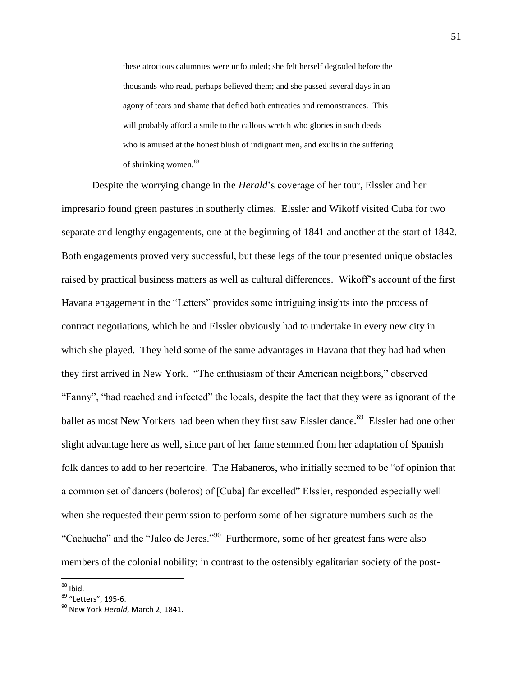these atrocious calumnies were unfounded; she felt herself degraded before the thousands who read, perhaps believed them; and she passed several days in an agony of tears and shame that defied both entreaties and remonstrances. This will probably afford a smile to the callous wretch who glories in such deeds – who is amused at the honest blush of indignant men, and exults in the suffering of shrinking women.<sup>88</sup>

Despite the worrying change in the *Herald*"s coverage of her tour, Elssler and her impresario found green pastures in southerly climes. Elssler and Wikoff visited Cuba for two separate and lengthy engagements, one at the beginning of 1841 and another at the start of 1842. Both engagements proved very successful, but these legs of the tour presented unique obstacles raised by practical business matters as well as cultural differences. Wikoff"s account of the first Havana engagement in the "Letters" provides some intriguing insights into the process of contract negotiations, which he and Elssler obviously had to undertake in every new city in which she played. They held some of the same advantages in Havana that they had had when they first arrived in New York. "The enthusiasm of their American neighbors," observed "Fanny", "had reached and infected" the locals, despite the fact that they were as ignorant of the ballet as most New Yorkers had been when they first saw Elssler dance.<sup>89</sup> Elssler had one other slight advantage here as well, since part of her fame stemmed from her adaptation of Spanish folk dances to add to her repertoire. The Habaneros, who initially seemed to be "of opinion that a common set of dancers (boleros) of [Cuba] far excelled" Elssler, responded especially well when she requested their permission to perform some of her signature numbers such as the "Cachucha" and the "Jaleo de Jeres."<sup>90</sup> Furthermore, some of her greatest fans were also members of the colonial nobility; in contrast to the ostensibly egalitarian society of the post-

 $^{88}$  Ibid.

<sup>&</sup>lt;sup>89</sup> "Letters", 195-6.

<sup>90</sup> New York *Herald*, March 2, 1841.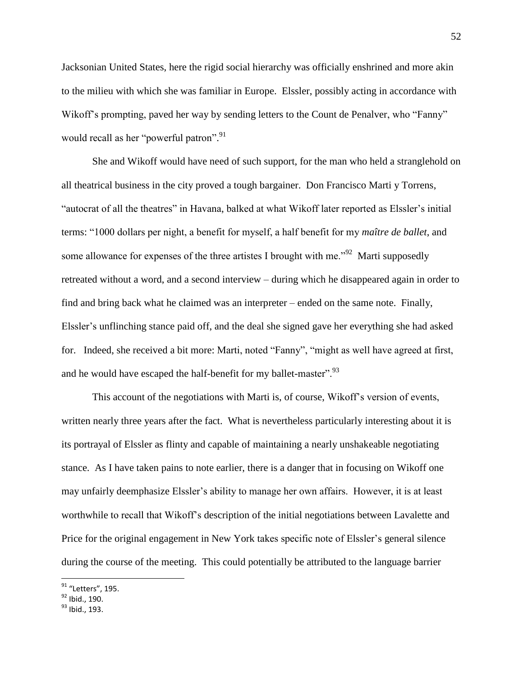Jacksonian United States, here the rigid social hierarchy was officially enshrined and more akin to the milieu with which she was familiar in Europe. Elssler, possibly acting in accordance with Wikoff's prompting, paved her way by sending letters to the Count de Penalver, who "Fanny" would recall as her "powerful patron".<sup>91</sup>

She and Wikoff would have need of such support, for the man who held a stranglehold on all theatrical business in the city proved a tough bargainer. Don Francisco Marti y Torrens, "autocrat of all the theatres" in Havana, balked at what Wikoff later reported as Elssler"s initial terms: "1000 dollars per night, a benefit for myself, a half benefit for my *maître de ballet*, and some allowance for expenses of the three artistes I brought with me.<sup> $292$ </sup> Marti supposedly retreated without a word, and a second interview – during which he disappeared again in order to find and bring back what he claimed was an interpreter – ended on the same note. Finally, Elssler"s unflinching stance paid off, and the deal she signed gave her everything she had asked for. Indeed, she received a bit more: Marti, noted "Fanny", "might as well have agreed at first, and he would have escaped the half-benefit for my ballet-master".<sup>93</sup>

This account of the negotiations with Marti is, of course, Wikoff"s version of events, written nearly three years after the fact. What is nevertheless particularly interesting about it is its portrayal of Elssler as flinty and capable of maintaining a nearly unshakeable negotiating stance. As I have taken pains to note earlier, there is a danger that in focusing on Wikoff one may unfairly deemphasize Elssler"s ability to manage her own affairs. However, it is at least worthwhile to recall that Wikoff"s description of the initial negotiations between Lavalette and Price for the original engagement in New York takes specific note of Elssler"s general silence during the course of the meeting. This could potentially be attributed to the language barrier

<sup>&</sup>lt;sup>91</sup> "Letters", 195.

<sup>92</sup> Ibid., 190.

<sup>93</sup> Ibid., 193.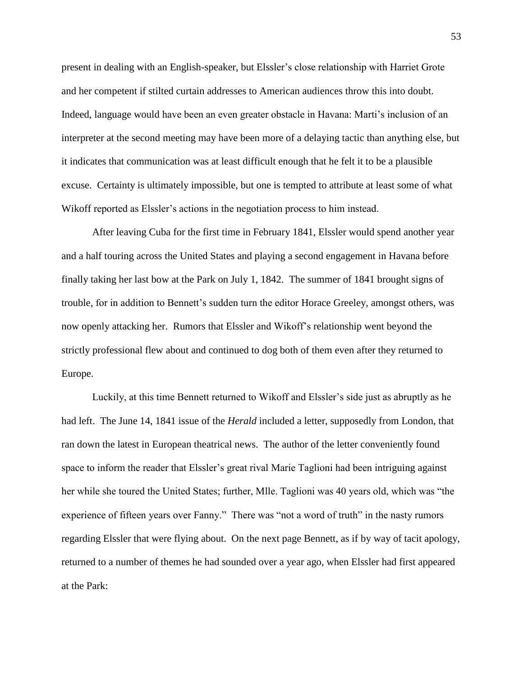present in dealing with an English-speaker, but Elssler"s close relationship with Harriet Grote and her competent if stilted curtain addresses to American audiences throw this into doubt. Indeed, language would have been an even greater obstacle in Havana: Marti"s inclusion of an interpreter at the second meeting may have been more of a delaying tactic than anything else, but it indicates that communication was at least difficult enough that he felt it to be a plausible excuse. Certainty is ultimately impossible, but one is tempted to attribute at least some of what Wikoff reported as Elssler's actions in the negotiation process to him instead.

After leaving Cuba for the first time in February 1841, Elssler would spend another year and a half touring across the United States and playing a second engagement in Havana before finally taking her last bow at the Park on July 1, 1842. The summer of 1841 brought signs of trouble, for in addition to Bennett's sudden turn the editor Horace Greeley, amongst others, was now openly attacking her. Rumors that Elssler and Wikoff"s relationship went beyond the strictly professional flew about and continued to dog both of them even after they returned to Europe.

Luckily, at this time Bennett returned to Wikoff and Elssler"s side just as abruptly as he had left. The June 14, 1841 issue of the *Herald* included a letter, supposedly from London, that ran down the latest in European theatrical news. The author of the letter conveniently found space to inform the reader that Elssler's great rival Marie Taglioni had been intriguing against her while she toured the United States; further, Mlle. Taglioni was 40 years old, which was "the experience of fifteen years over Fanny." There was "not a word of truth" in the nasty rumors regarding Elssler that were flying about. On the next page Bennett, as if by way of tacit apology, returned to a number of themes he had sounded over a year ago, when Elssler had first appeared at the Park: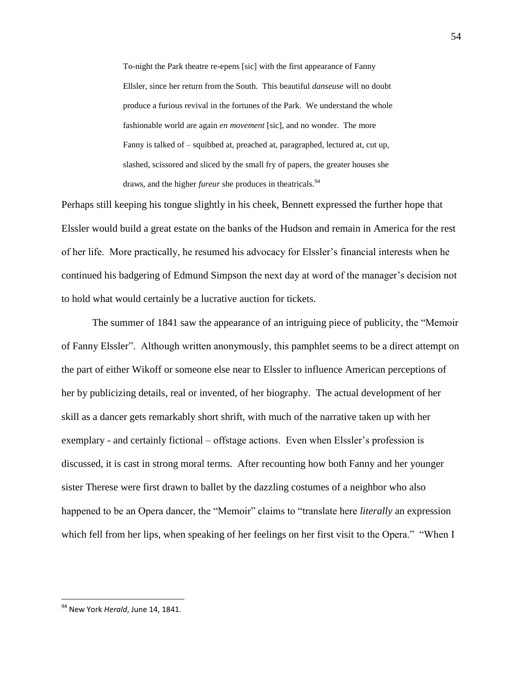To-night the Park theatre re-epens [sic] with the first appearance of Fanny Ellsler, since her return from the South. This beautiful *danseuse* will no doubt produce a furious revival in the fortunes of the Park. We understand the whole fashionable world are again *en movement* [sic], and no wonder. The more Fanny is talked of – squibbed at, preached at, paragraphed, lectured at, cut up, slashed, scissored and sliced by the small fry of papers, the greater houses she draws, and the higher *fureur* she produces in theatricals.<sup>94</sup>

Perhaps still keeping his tongue slightly in his cheek, Bennett expressed the further hope that Elssler would build a great estate on the banks of the Hudson and remain in America for the rest of her life. More practically, he resumed his advocacy for Elssler"s financial interests when he continued his badgering of Edmund Simpson the next day at word of the manager"s decision not to hold what would certainly be a lucrative auction for tickets.

The summer of 1841 saw the appearance of an intriguing piece of publicity, the "Memoir of Fanny Elssler". Although written anonymously, this pamphlet seems to be a direct attempt on the part of either Wikoff or someone else near to Elssler to influence American perceptions of her by publicizing details, real or invented, of her biography. The actual development of her skill as a dancer gets remarkably short shrift, with much of the narrative taken up with her exemplary - and certainly fictional – offstage actions. Even when Elssler"s profession is discussed, it is cast in strong moral terms. After recounting how both Fanny and her younger sister Therese were first drawn to ballet by the dazzling costumes of a neighbor who also happened to be an Opera dancer, the "Memoir" claims to "translate here *literally* an expression which fell from her lips, when speaking of her feelings on her first visit to the Opera." "When I

<sup>94</sup> New York *Herald*, June 14, 1841.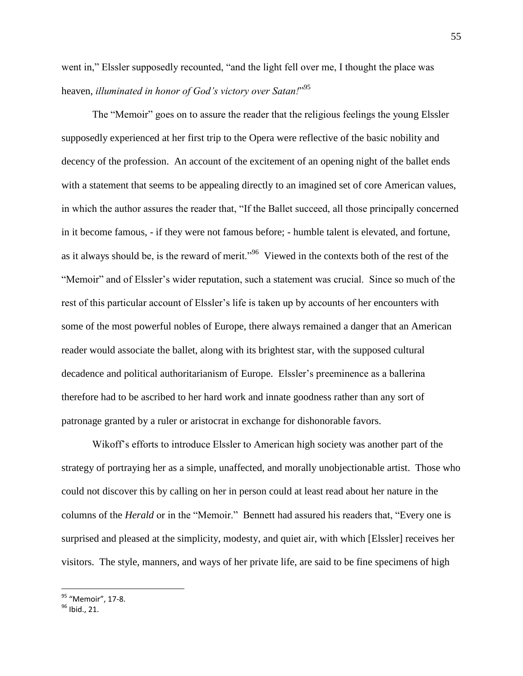went in," Elssler supposedly recounted, "and the light fell over me, I thought the place was heaven, *illuminated in honor of God's victory over Satan!*" 95

The "Memoir" goes on to assure the reader that the religious feelings the young Elssler supposedly experienced at her first trip to the Opera were reflective of the basic nobility and decency of the profession. An account of the excitement of an opening night of the ballet ends with a statement that seems to be appealing directly to an imagined set of core American values, in which the author assures the reader that, "If the Ballet succeed, all those principally concerned in it become famous, - if they were not famous before; - humble talent is elevated, and fortune, as it always should be, is the reward of merit."<sup>96</sup> Viewed in the contexts both of the rest of the "Memoir" and of Elssler"s wider reputation, such a statement was crucial. Since so much of the rest of this particular account of Elssler's life is taken up by accounts of her encounters with some of the most powerful nobles of Europe, there always remained a danger that an American reader would associate the ballet, along with its brightest star, with the supposed cultural decadence and political authoritarianism of Europe. Elssler"s preeminence as a ballerina therefore had to be ascribed to her hard work and innate goodness rather than any sort of patronage granted by a ruler or aristocrat in exchange for dishonorable favors.

Wikoff"s efforts to introduce Elssler to American high society was another part of the strategy of portraying her as a simple, unaffected, and morally unobjectionable artist. Those who could not discover this by calling on her in person could at least read about her nature in the columns of the *Herald* or in the "Memoir." Bennett had assured his readers that, "Every one is surprised and pleased at the simplicity, modesty, and quiet air, with which [Elssler] receives her visitors. The style, manners, and ways of her private life, are said to be fine specimens of high

<sup>&</sup>lt;sup>95</sup> "Memoir", 17-8.

<sup>96</sup> Ibid., 21.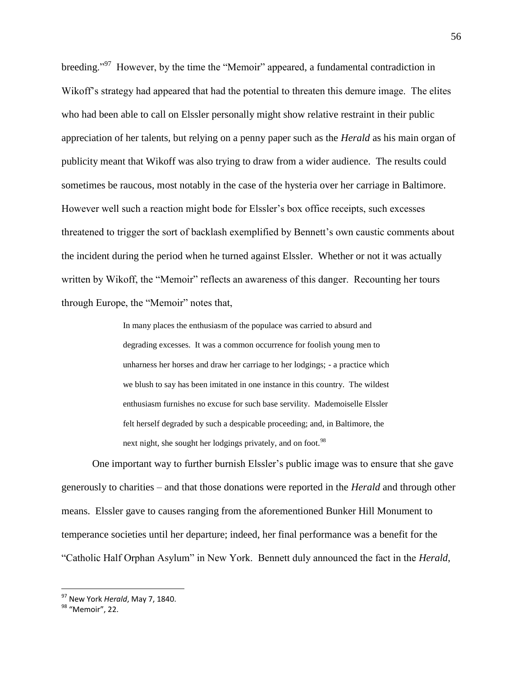breeding."<sup>97</sup> However, by the time the "Memoir" appeared, a fundamental contradiction in Wikoff"s strategy had appeared that had the potential to threaten this demure image. The elites who had been able to call on Elssler personally might show relative restraint in their public appreciation of her talents, but relying on a penny paper such as the *Herald* as his main organ of publicity meant that Wikoff was also trying to draw from a wider audience. The results could sometimes be raucous, most notably in the case of the hysteria over her carriage in Baltimore. However well such a reaction might bode for Elssler's box office receipts, such excesses threatened to trigger the sort of backlash exemplified by Bennett"s own caustic comments about the incident during the period when he turned against Elssler. Whether or not it was actually written by Wikoff, the "Memoir" reflects an awareness of this danger. Recounting her tours through Europe, the "Memoir" notes that,

> In many places the enthusiasm of the populace was carried to absurd and degrading excesses. It was a common occurrence for foolish young men to unharness her horses and draw her carriage to her lodgings; - a practice which we blush to say has been imitated in one instance in this country. The wildest enthusiasm furnishes no excuse for such base servility. Mademoiselle Elssler felt herself degraded by such a despicable proceeding; and, in Baltimore, the next night, she sought her lodgings privately, and on foot.<sup>98</sup>

One important way to further burnish Elssler's public image was to ensure that she gave generously to charities – and that those donations were reported in the *Herald* and through other means. Elssler gave to causes ranging from the aforementioned Bunker Hill Monument to temperance societies until her departure; indeed, her final performance was a benefit for the "Catholic Half Orphan Asylum" in New York. Bennett duly announced the fact in the *Herald*,

<sup>97</sup> New York *Herald*, May 7, 1840.

<sup>&</sup>lt;sup>98</sup> "Memoir", 22.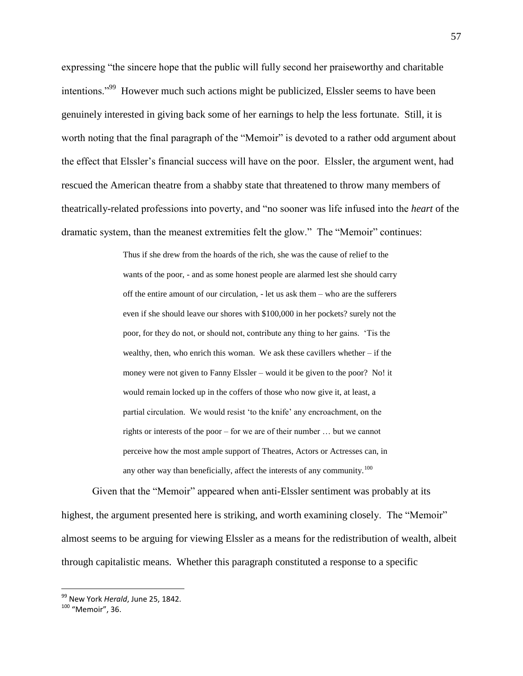expressing "the sincere hope that the public will fully second her praiseworthy and charitable intentions."<sup>99</sup> However much such actions might be publicized, Elssler seems to have been genuinely interested in giving back some of her earnings to help the less fortunate. Still, it is worth noting that the final paragraph of the "Memoir" is devoted to a rather odd argument about the effect that Elssler"s financial success will have on the poor. Elssler, the argument went, had rescued the American theatre from a shabby state that threatened to throw many members of theatrically-related professions into poverty, and "no sooner was life infused into the *heart* of the dramatic system, than the meanest extremities felt the glow." The "Memoir" continues:

> Thus if she drew from the hoards of the rich, she was the cause of relief to the wants of the poor, - and as some honest people are alarmed lest she should carry off the entire amount of our circulation, - let us ask them – who are the sufferers even if she should leave our shores with \$100,000 in her pockets? surely not the poor, for they do not, or should not, contribute any thing to her gains. "Tis the wealthy, then, who enrich this woman. We ask these cavillers whether – if the money were not given to Fanny Elssler – would it be given to the poor? No! it would remain locked up in the coffers of those who now give it, at least, a partial circulation. We would resist "to the knife" any encroachment, on the rights or interests of the poor – for we are of their number … but we cannot perceive how the most ample support of Theatres, Actors or Actresses can, in any other way than beneficially, affect the interests of any community.<sup>100</sup>

Given that the "Memoir" appeared when anti-Elssler sentiment was probably at its highest, the argument presented here is striking, and worth examining closely. The "Memoir" almost seems to be arguing for viewing Elssler as a means for the redistribution of wealth, albeit through capitalistic means. Whether this paragraph constituted a response to a specific

<sup>99</sup> New York *Herald*, June 25, 1842.

<sup>100</sup> "Memoir", 36.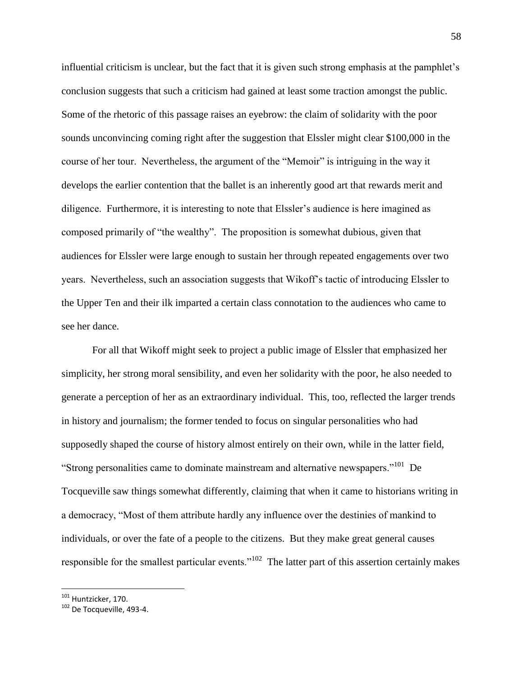influential criticism is unclear, but the fact that it is given such strong emphasis at the pamphlet"s conclusion suggests that such a criticism had gained at least some traction amongst the public. Some of the rhetoric of this passage raises an eyebrow: the claim of solidarity with the poor sounds unconvincing coming right after the suggestion that Elssler might clear \$100,000 in the course of her tour. Nevertheless, the argument of the "Memoir" is intriguing in the way it develops the earlier contention that the ballet is an inherently good art that rewards merit and diligence. Furthermore, it is interesting to note that Elssler's audience is here imagined as composed primarily of "the wealthy". The proposition is somewhat dubious, given that audiences for Elssler were large enough to sustain her through repeated engagements over two years. Nevertheless, such an association suggests that Wikoff"s tactic of introducing Elssler to the Upper Ten and their ilk imparted a certain class connotation to the audiences who came to see her dance.

For all that Wikoff might seek to project a public image of Elssler that emphasized her simplicity, her strong moral sensibility, and even her solidarity with the poor, he also needed to generate a perception of her as an extraordinary individual. This, too, reflected the larger trends in history and journalism; the former tended to focus on singular personalities who had supposedly shaped the course of history almost entirely on their own, while in the latter field, "Strong personalities came to dominate mainstream and alternative newspapers."<sup>101</sup> De Tocqueville saw things somewhat differently, claiming that when it came to historians writing in a democracy, "Most of them attribute hardly any influence over the destinies of mankind to individuals, or over the fate of a people to the citizens. But they make great general causes responsible for the smallest particular events."<sup>102</sup> The latter part of this assertion certainly makes

<sup>&</sup>lt;sup>101</sup> Huntzicker, 170.

<sup>102</sup> De Tocqueville, 493-4.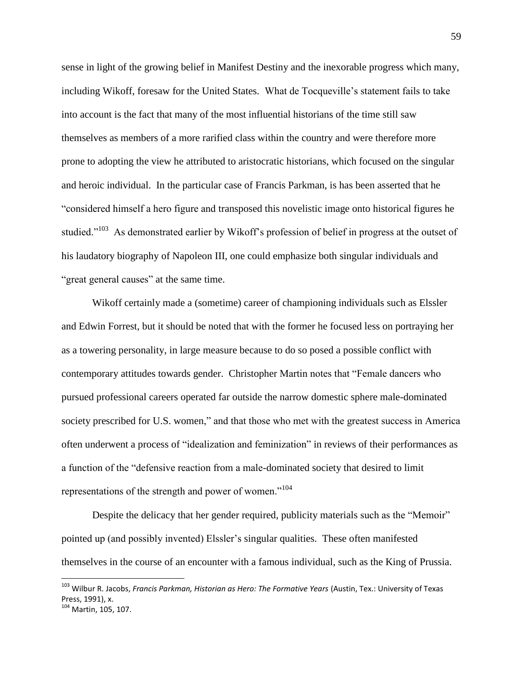sense in light of the growing belief in Manifest Destiny and the inexorable progress which many, including Wikoff, foresaw for the United States. What de Tocqueville"s statement fails to take into account is the fact that many of the most influential historians of the time still saw themselves as members of a more rarified class within the country and were therefore more prone to adopting the view he attributed to aristocratic historians, which focused on the singular and heroic individual. In the particular case of Francis Parkman, is has been asserted that he "considered himself a hero figure and transposed this novelistic image onto historical figures he studied."<sup>103</sup> As demonstrated earlier by Wikoff's profession of belief in progress at the outset of his laudatory biography of Napoleon III, one could emphasize both singular individuals and "great general causes" at the same time.

Wikoff certainly made a (sometime) career of championing individuals such as Elssler and Edwin Forrest, but it should be noted that with the former he focused less on portraying her as a towering personality, in large measure because to do so posed a possible conflict with contemporary attitudes towards gender. Christopher Martin notes that "Female dancers who pursued professional careers operated far outside the narrow domestic sphere male-dominated society prescribed for U.S. women," and that those who met with the greatest success in America often underwent a process of "idealization and feminization" in reviews of their performances as a function of the "defensive reaction from a male-dominated society that desired to limit representations of the strength and power of women."<sup>104</sup>

Despite the delicacy that her gender required, publicity materials such as the "Memoir" pointed up (and possibly invented) Elssler"s singular qualities. These often manifested themselves in the course of an encounter with a famous individual, such as the King of Prussia.

<sup>103</sup> Wilbur R. Jacobs, *Francis Parkman, Historian as Hero: The Formative Years* (Austin, Tex.: University of Texas Press, 1991), x.

<sup>104</sup> Martin, 105, 107.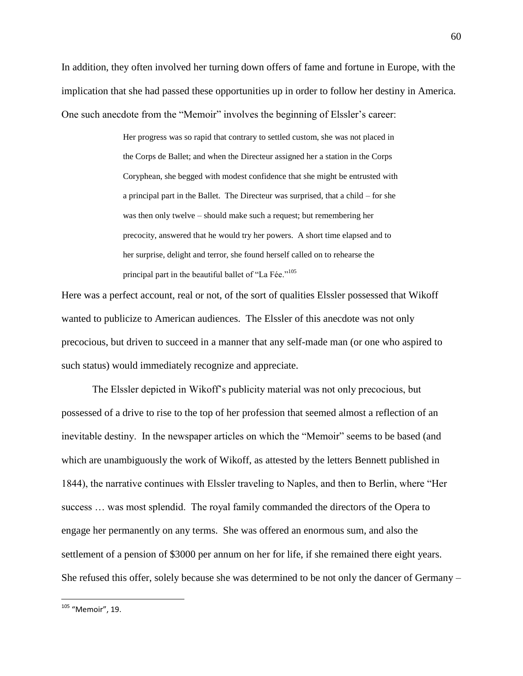In addition, they often involved her turning down offers of fame and fortune in Europe, with the implication that she had passed these opportunities up in order to follow her destiny in America. One such anecdote from the "Memoir" involves the beginning of Elssler's career:

> Her progress was so rapid that contrary to settled custom, she was not placed in the Corps de Ballet; and when the Directeur assigned her a station in the Corps Coryphean, she begged with modest confidence that she might be entrusted with a principal part in the Ballet. The Directeur was surprised, that a child – for she was then only twelve – should make such a request; but remembering her precocity, answered that he would try her powers. A short time elapsed and to her surprise, delight and terror, she found herself called on to rehearse the principal part in the beautiful ballet of "La Fée."<sup>105</sup>

Here was a perfect account, real or not, of the sort of qualities Elssler possessed that Wikoff wanted to publicize to American audiences. The Elssler of this anecdote was not only precocious, but driven to succeed in a manner that any self-made man (or one who aspired to such status) would immediately recognize and appreciate.

The Elssler depicted in Wikoff"s publicity material was not only precocious, but possessed of a drive to rise to the top of her profession that seemed almost a reflection of an inevitable destiny. In the newspaper articles on which the "Memoir" seems to be based (and which are unambiguously the work of Wikoff, as attested by the letters Bennett published in 1844), the narrative continues with Elssler traveling to Naples, and then to Berlin, where "Her success … was most splendid. The royal family commanded the directors of the Opera to engage her permanently on any terms. She was offered an enormous sum, and also the settlement of a pension of \$3000 per annum on her for life, if she remained there eight years. She refused this offer, solely because she was determined to be not only the dancer of Germany –

<sup>60</sup>

<sup>&</sup>lt;sup>105</sup> "Memoir", 19.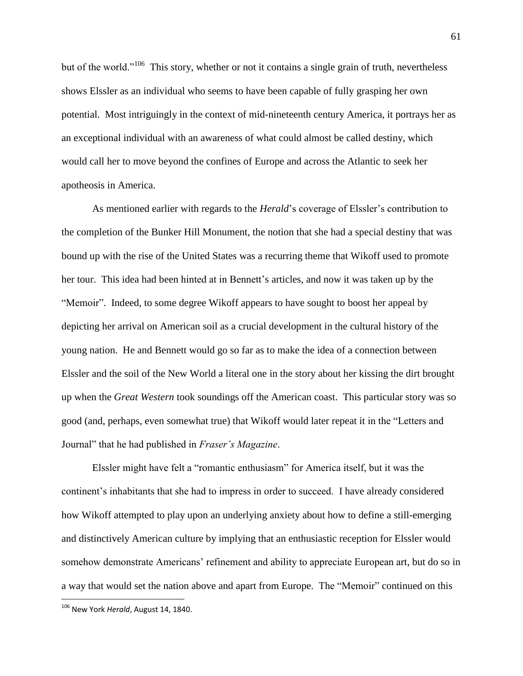but of the world."<sup>106</sup> This story, whether or not it contains a single grain of truth, nevertheless shows Elssler as an individual who seems to have been capable of fully grasping her own potential. Most intriguingly in the context of mid-nineteenth century America, it portrays her as an exceptional individual with an awareness of what could almost be called destiny, which would call her to move beyond the confines of Europe and across the Atlantic to seek her apotheosis in America.

As mentioned earlier with regards to the *Herald*'s coverage of Elssler's contribution to the completion of the Bunker Hill Monument, the notion that she had a special destiny that was bound up with the rise of the United States was a recurring theme that Wikoff used to promote her tour. This idea had been hinted at in Bennett's articles, and now it was taken up by the "Memoir". Indeed, to some degree Wikoff appears to have sought to boost her appeal by depicting her arrival on American soil as a crucial development in the cultural history of the young nation. He and Bennett would go so far as to make the idea of a connection between Elssler and the soil of the New World a literal one in the story about her kissing the dirt brought up when the *Great Western* took soundings off the American coast. This particular story was so good (and, perhaps, even somewhat true) that Wikoff would later repeat it in the "Letters and Journal" that he had published in *Fraser's Magazine*.

Elssler might have felt a "romantic enthusiasm" for America itself, but it was the continent"s inhabitants that she had to impress in order to succeed. I have already considered how Wikoff attempted to play upon an underlying anxiety about how to define a still-emerging and distinctively American culture by implying that an enthusiastic reception for Elssler would somehow demonstrate Americans" refinement and ability to appreciate European art, but do so in a way that would set the nation above and apart from Europe. The "Memoir" continued on this

<sup>106</sup> New York *Herald*, August 14, 1840.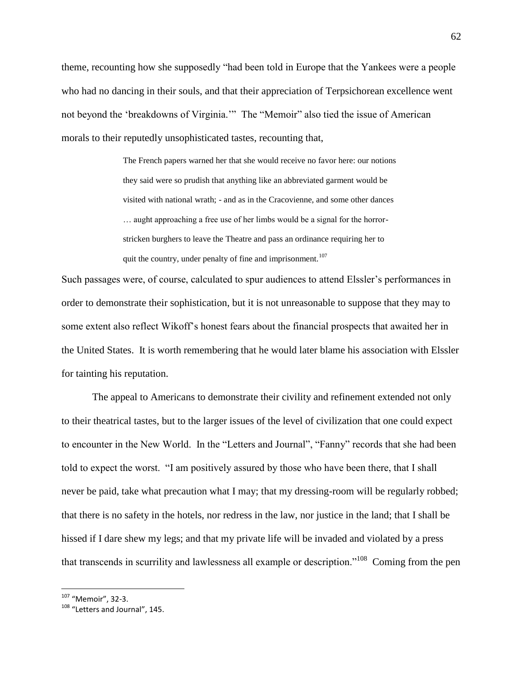theme, recounting how she supposedly "had been told in Europe that the Yankees were a people who had no dancing in their souls, and that their appreciation of Terpsichorean excellence went not beyond the "breakdowns of Virginia."" The "Memoir" also tied the issue of American morals to their reputedly unsophisticated tastes, recounting that,

> The French papers warned her that she would receive no favor here: our notions they said were so prudish that anything like an abbreviated garment would be visited with national wrath; - and as in the Cracovienne, and some other dances … aught approaching a free use of her limbs would be a signal for the horrorstricken burghers to leave the Theatre and pass an ordinance requiring her to quit the country, under penalty of fine and imprisonment.<sup>107</sup>

Such passages were, of course, calculated to spur audiences to attend Elssler"s performances in order to demonstrate their sophistication, but it is not unreasonable to suppose that they may to some extent also reflect Wikoff"s honest fears about the financial prospects that awaited her in the United States. It is worth remembering that he would later blame his association with Elssler for tainting his reputation.

The appeal to Americans to demonstrate their civility and refinement extended not only to their theatrical tastes, but to the larger issues of the level of civilization that one could expect to encounter in the New World. In the "Letters and Journal", "Fanny" records that she had been told to expect the worst. "I am positively assured by those who have been there, that I shall never be paid, take what precaution what I may; that my dressing-room will be regularly robbed; that there is no safety in the hotels, nor redress in the law, nor justice in the land; that I shall be hissed if I dare shew my legs; and that my private life will be invaded and violated by a press that transcends in scurrility and lawlessness all example or description."<sup>108</sup> Coming from the pen

<sup>107</sup> "Memoir", 32-3.

<sup>&</sup>lt;sup>108</sup> "Letters and Journal", 145.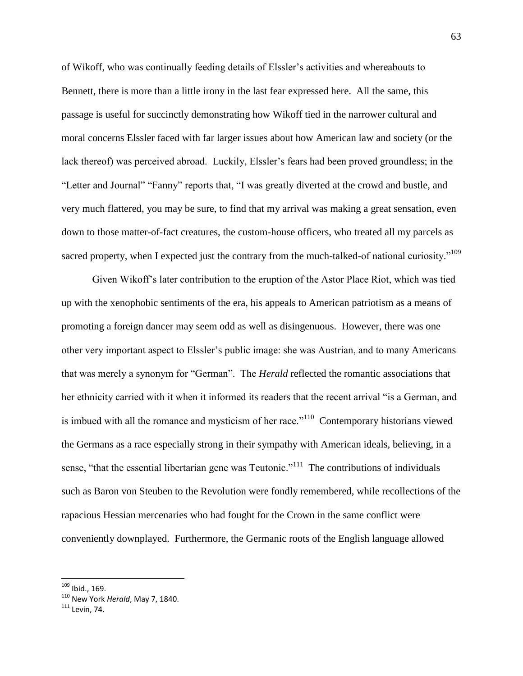of Wikoff, who was continually feeding details of Elssler"s activities and whereabouts to Bennett, there is more than a little irony in the last fear expressed here. All the same, this passage is useful for succinctly demonstrating how Wikoff tied in the narrower cultural and moral concerns Elssler faced with far larger issues about how American law and society (or the lack thereof) was perceived abroad. Luckily, Elssler's fears had been proved groundless; in the "Letter and Journal" "Fanny" reports that, "I was greatly diverted at the crowd and bustle, and very much flattered, you may be sure, to find that my arrival was making a great sensation, even down to those matter-of-fact creatures, the custom-house officers, who treated all my parcels as sacred property, when I expected just the contrary from the much-talked-of national curiosity."<sup>109</sup>

Given Wikoff"s later contribution to the eruption of the Astor Place Riot, which was tied up with the xenophobic sentiments of the era, his appeals to American patriotism as a means of promoting a foreign dancer may seem odd as well as disingenuous. However, there was one other very important aspect to Elssler"s public image: she was Austrian, and to many Americans that was merely a synonym for "German". The *Herald* reflected the romantic associations that her ethnicity carried with it when it informed its readers that the recent arrival "is a German, and is imbued with all the romance and mysticism of her race."<sup>110</sup> Contemporary historians viewed the Germans as a race especially strong in their sympathy with American ideals, believing, in a sense, "that the essential libertarian gene was Teutonic."<sup>111</sup> The contributions of individuals such as Baron von Steuben to the Revolution were fondly remembered, while recollections of the rapacious Hessian mercenaries who had fought for the Crown in the same conflict were conveniently downplayed. Furthermore, the Germanic roots of the English language allowed

<sup>&</sup>lt;sup>109</sup> Ibid., 169.

<sup>110</sup> New York *Herald*, May 7, 1840.

<sup>111</sup> Levin, 74.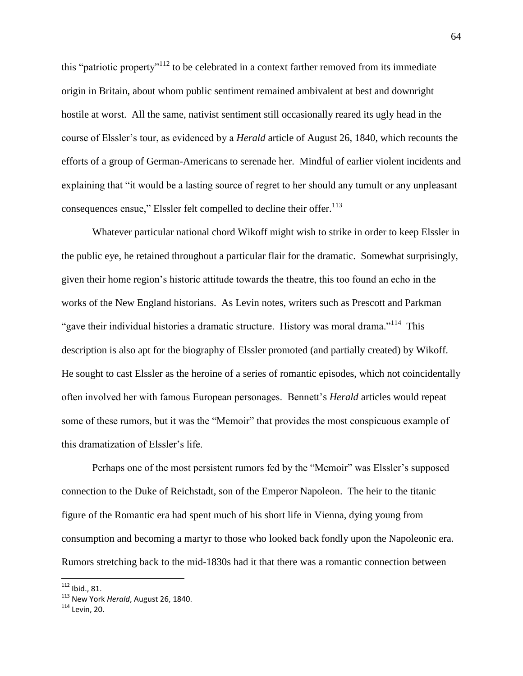this "patriotic property"<sup>112</sup> to be celebrated in a context farther removed from its immediate origin in Britain, about whom public sentiment remained ambivalent at best and downright hostile at worst. All the same, nativist sentiment still occasionally reared its ugly head in the course of Elssler"s tour, as evidenced by a *Herald* article of August 26, 1840, which recounts the efforts of a group of German-Americans to serenade her. Mindful of earlier violent incidents and explaining that "it would be a lasting source of regret to her should any tumult or any unpleasant consequences ensue," Elssler felt compelled to decline their offer.<sup>113</sup>

Whatever particular national chord Wikoff might wish to strike in order to keep Elssler in the public eye, he retained throughout a particular flair for the dramatic. Somewhat surprisingly, given their home region"s historic attitude towards the theatre, this too found an echo in the works of the New England historians. As Levin notes, writers such as Prescott and Parkman "gave their individual histories a dramatic structure. History was moral drama."<sup>114</sup> This description is also apt for the biography of Elssler promoted (and partially created) by Wikoff. He sought to cast Elssler as the heroine of a series of romantic episodes, which not coincidentally often involved her with famous European personages. Bennett"s *Herald* articles would repeat some of these rumors, but it was the "Memoir" that provides the most conspicuous example of this dramatization of Elssler"s life.

Perhaps one of the most persistent rumors fed by the "Memoir" was Elssler's supposed connection to the Duke of Reichstadt, son of the Emperor Napoleon. The heir to the titanic figure of the Romantic era had spent much of his short life in Vienna, dying young from consumption and becoming a martyr to those who looked back fondly upon the Napoleonic era. Rumors stretching back to the mid-1830s had it that there was a romantic connection between

<sup>112</sup> Ibid., 81.

<sup>113</sup> New York *Herald*, August 26, 1840.

<sup>114</sup> Levin, 20.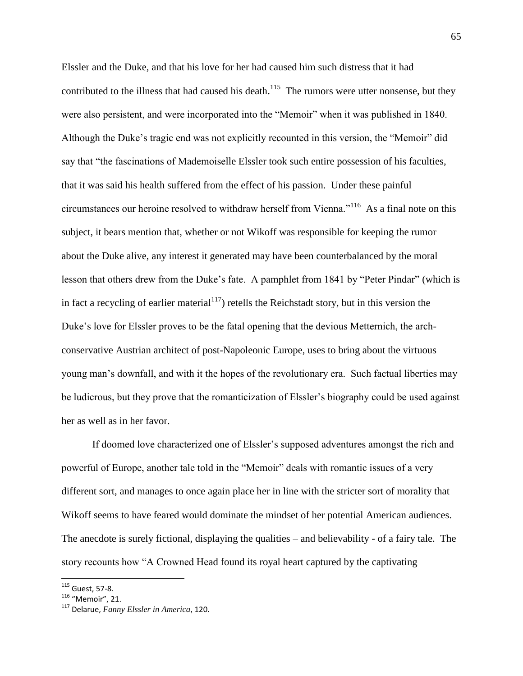Elssler and the Duke, and that his love for her had caused him such distress that it had contributed to the illness that had caused his death.<sup>115</sup> The rumors were utter nonsense, but they were also persistent, and were incorporated into the "Memoir" when it was published in 1840. Although the Duke"s tragic end was not explicitly recounted in this version, the "Memoir" did say that "the fascinations of Mademoiselle Elssler took such entire possession of his faculties, that it was said his health suffered from the effect of his passion. Under these painful circumstances our heroine resolved to withdraw herself from Vienna."<sup>116</sup> As a final note on this subject, it bears mention that, whether or not Wikoff was responsible for keeping the rumor about the Duke alive, any interest it generated may have been counterbalanced by the moral lesson that others drew from the Duke"s fate. A pamphlet from 1841 by "Peter Pindar" (which is in fact a recycling of earlier material<sup>117</sup>) retells the Reichstadt story, but in this version the Duke's love for Elssler proves to be the fatal opening that the devious Metternich, the archconservative Austrian architect of post-Napoleonic Europe, uses to bring about the virtuous young man"s downfall, and with it the hopes of the revolutionary era. Such factual liberties may be ludicrous, but they prove that the romanticization of Elssler's biography could be used against her as well as in her favor.

If doomed love characterized one of Elssler"s supposed adventures amongst the rich and powerful of Europe, another tale told in the "Memoir" deals with romantic issues of a very different sort, and manages to once again place her in line with the stricter sort of morality that Wikoff seems to have feared would dominate the mindset of her potential American audiences. The anecdote is surely fictional, displaying the qualities – and believability - of a fairy tale. The story recounts how "A Crowned Head found its royal heart captured by the captivating

 $115$  Guest, 57-8.

<sup>116</sup> "Memoir", 21.

<sup>117</sup> Delarue, *Fanny Elssler in America*, 120.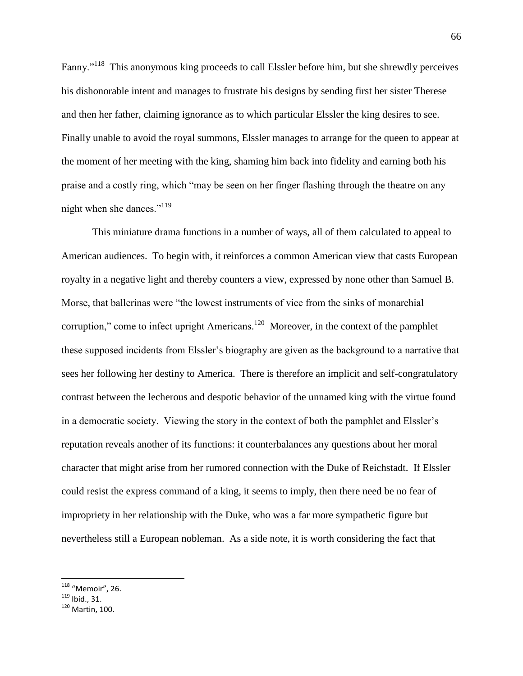Fanny."<sup>118</sup> This anonymous king proceeds to call Elssler before him, but she shrewdly perceives his dishonorable intent and manages to frustrate his designs by sending first her sister Therese and then her father, claiming ignorance as to which particular Elssler the king desires to see. Finally unable to avoid the royal summons, Elssler manages to arrange for the queen to appear at the moment of her meeting with the king, shaming him back into fidelity and earning both his praise and a costly ring, which "may be seen on her finger flashing through the theatre on any night when she dances."<sup>119</sup>

This miniature drama functions in a number of ways, all of them calculated to appeal to American audiences. To begin with, it reinforces a common American view that casts European royalty in a negative light and thereby counters a view, expressed by none other than Samuel B. Morse, that ballerinas were "the lowest instruments of vice from the sinks of monarchial corruption," come to infect upright Americans.<sup>120</sup> Moreover, in the context of the pamphlet these supposed incidents from Elssler"s biography are given as the background to a narrative that sees her following her destiny to America. There is therefore an implicit and self-congratulatory contrast between the lecherous and despotic behavior of the unnamed king with the virtue found in a democratic society. Viewing the story in the context of both the pamphlet and Elssler"s reputation reveals another of its functions: it counterbalances any questions about her moral character that might arise from her rumored connection with the Duke of Reichstadt. If Elssler could resist the express command of a king, it seems to imply, then there need be no fear of impropriety in her relationship with the Duke, who was a far more sympathetic figure but nevertheless still a European nobleman. As a side note, it is worth considering the fact that

<sup>&</sup>lt;sup>118</sup> "Memoir", 26.

 $119$  Ibid., 31.

<sup>120</sup> Martin, 100.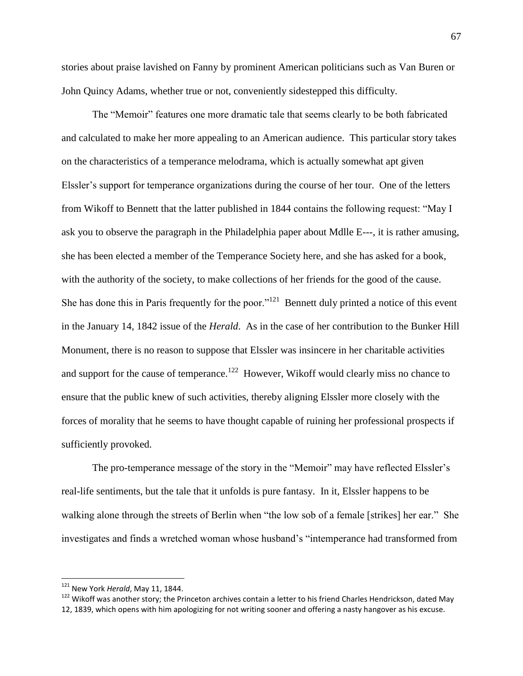stories about praise lavished on Fanny by prominent American politicians such as Van Buren or John Quincy Adams, whether true or not, conveniently sidestepped this difficulty.

The "Memoir" features one more dramatic tale that seems clearly to be both fabricated and calculated to make her more appealing to an American audience. This particular story takes on the characteristics of a temperance melodrama, which is actually somewhat apt given Elssler's support for temperance organizations during the course of her tour. One of the letters from Wikoff to Bennett that the latter published in 1844 contains the following request: "May I ask you to observe the paragraph in the Philadelphia paper about Mdlle E---, it is rather amusing, she has been elected a member of the Temperance Society here, and she has asked for a book, with the authority of the society, to make collections of her friends for the good of the cause. She has done this in Paris frequently for the poor."<sup>121</sup> Bennett duly printed a notice of this event in the January 14, 1842 issue of the *Herald*. As in the case of her contribution to the Bunker Hill Monument, there is no reason to suppose that Elssler was insincere in her charitable activities and support for the cause of temperance.<sup>122</sup> However, Wikoff would clearly miss no chance to ensure that the public knew of such activities, thereby aligning Elssler more closely with the forces of morality that he seems to have thought capable of ruining her professional prospects if sufficiently provoked.

The pro-temperance message of the story in the "Memoir" may have reflected Elssler's real-life sentiments, but the tale that it unfolds is pure fantasy. In it, Elssler happens to be walking alone through the streets of Berlin when "the low sob of a female [strikes] her ear." She investigates and finds a wretched woman whose husband"s "intemperance had transformed from

 $\overline{a}$ 

<sup>122</sup> Wikoff was another story; the Princeton archives contain a letter to his friend Charles Hendrickson, dated May 12, 1839, which opens with him apologizing for not writing sooner and offering a nasty hangover as his excuse.

<sup>121</sup> New York *Herald*, May 11, 1844.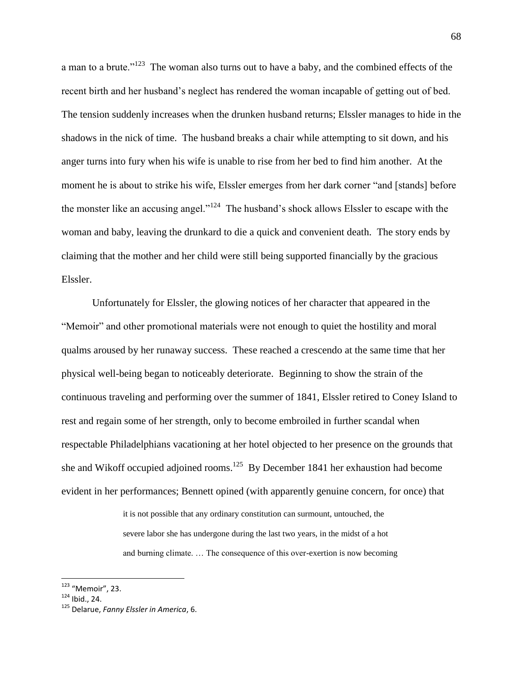a man to a brute."<sup>123</sup> The woman also turns out to have a baby, and the combined effects of the recent birth and her husband"s neglect has rendered the woman incapable of getting out of bed. The tension suddenly increases when the drunken husband returns; Elssler manages to hide in the shadows in the nick of time. The husband breaks a chair while attempting to sit down, and his anger turns into fury when his wife is unable to rise from her bed to find him another. At the moment he is about to strike his wife, Elssler emerges from her dark corner "and [stands] before the monster like an accusing angel."<sup>124</sup> The husband's shock allows Elssler to escape with the woman and baby, leaving the drunkard to die a quick and convenient death. The story ends by claiming that the mother and her child were still being supported financially by the gracious Elssler.

Unfortunately for Elssler, the glowing notices of her character that appeared in the "Memoir" and other promotional materials were not enough to quiet the hostility and moral qualms aroused by her runaway success. These reached a crescendo at the same time that her physical well-being began to noticeably deteriorate. Beginning to show the strain of the continuous traveling and performing over the summer of 1841, Elssler retired to Coney Island to rest and regain some of her strength, only to become embroiled in further scandal when respectable Philadelphians vacationing at her hotel objected to her presence on the grounds that she and Wikoff occupied adjoined rooms.<sup>125</sup> By December 1841 her exhaustion had become evident in her performances; Bennett opined (with apparently genuine concern, for once) that

> it is not possible that any ordinary constitution can surmount, untouched, the severe labor she has undergone during the last two years, in the midst of a hot and burning climate. … The consequence of this over-exertion is now becoming

<sup>&</sup>lt;sup>123</sup> "Memoir", 23.

 $124$  Ibid., 24.

<sup>125</sup> Delarue, *Fanny Elssler in America*, 6.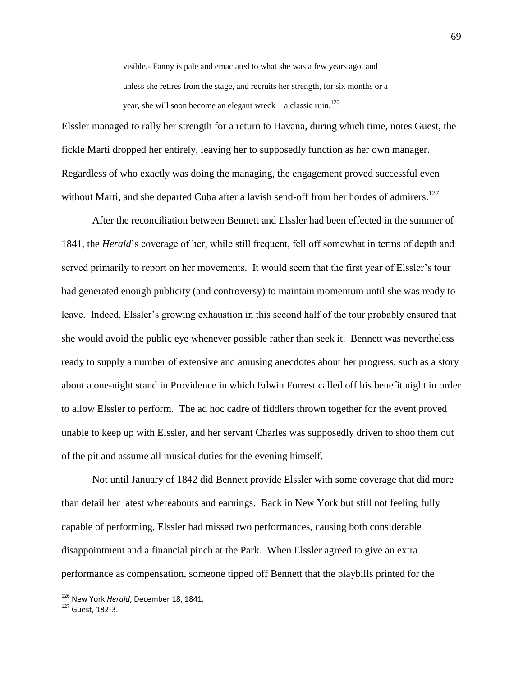visible.- Fanny is pale and emaciated to what she was a few years ago, and unless she retires from the stage, and recruits her strength, for six months or a year, she will soon become an elegant wreck – a classic ruin.<sup>126</sup>

Elssler managed to rally her strength for a return to Havana, during which time, notes Guest, the fickle Marti dropped her entirely, leaving her to supposedly function as her own manager. Regardless of who exactly was doing the managing, the engagement proved successful even without Marti, and she departed Cuba after a lavish send-off from her hordes of admirers.<sup>127</sup>

After the reconciliation between Bennett and Elssler had been effected in the summer of 1841, the *Herald*"s coverage of her, while still frequent, fell off somewhat in terms of depth and served primarily to report on her movements. It would seem that the first year of Elssler's tour had generated enough publicity (and controversy) to maintain momentum until she was ready to leave. Indeed, Elssler"s growing exhaustion in this second half of the tour probably ensured that she would avoid the public eye whenever possible rather than seek it. Bennett was nevertheless ready to supply a number of extensive and amusing anecdotes about her progress, such as a story about a one-night stand in Providence in which Edwin Forrest called off his benefit night in order to allow Elssler to perform. The ad hoc cadre of fiddlers thrown together for the event proved unable to keep up with Elssler, and her servant Charles was supposedly driven to shoo them out of the pit and assume all musical duties for the evening himself.

Not until January of 1842 did Bennett provide Elssler with some coverage that did more than detail her latest whereabouts and earnings. Back in New York but still not feeling fully capable of performing, Elssler had missed two performances, causing both considerable disappointment and a financial pinch at the Park. When Elssler agreed to give an extra performance as compensation, someone tipped off Bennett that the playbills printed for the

<sup>126</sup> New York *Herald*, December 18, 1841.

<sup>127</sup> Guest, 182-3.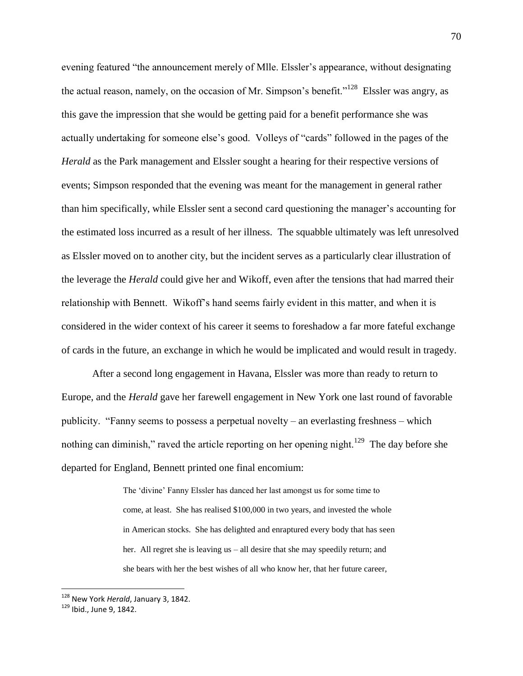evening featured "the announcement merely of Mlle. Elssler"s appearance, without designating the actual reason, namely, on the occasion of Mr. Simpson's benefit."<sup>128</sup> Elssler was angry, as this gave the impression that she would be getting paid for a benefit performance she was actually undertaking for someone else"s good. Volleys of "cards" followed in the pages of the *Herald* as the Park management and Elssler sought a hearing for their respective versions of events; Simpson responded that the evening was meant for the management in general rather than him specifically, while Elssler sent a second card questioning the manager's accounting for the estimated loss incurred as a result of her illness. The squabble ultimately was left unresolved as Elssler moved on to another city, but the incident serves as a particularly clear illustration of the leverage the *Herald* could give her and Wikoff, even after the tensions that had marred their relationship with Bennett. Wikoff"s hand seems fairly evident in this matter, and when it is considered in the wider context of his career it seems to foreshadow a far more fateful exchange of cards in the future, an exchange in which he would be implicated and would result in tragedy.

After a second long engagement in Havana, Elssler was more than ready to return to Europe, and the *Herald* gave her farewell engagement in New York one last round of favorable publicity. "Fanny seems to possess a perpetual novelty – an everlasting freshness – which nothing can diminish," raved the article reporting on her opening night.<sup>129</sup> The day before she departed for England, Bennett printed one final encomium:

> The "divine" Fanny Elssler has danced her last amongst us for some time to come, at least. She has realised \$100,000 in two years, and invested the whole in American stocks. She has delighted and enraptured every body that has seen her. All regret she is leaving us – all desire that she may speedily return; and she bears with her the best wishes of all who know her, that her future career,

<sup>128</sup> New York *Herald*, January 3, 1842.

<sup>129</sup> Ibid., June 9, 1842.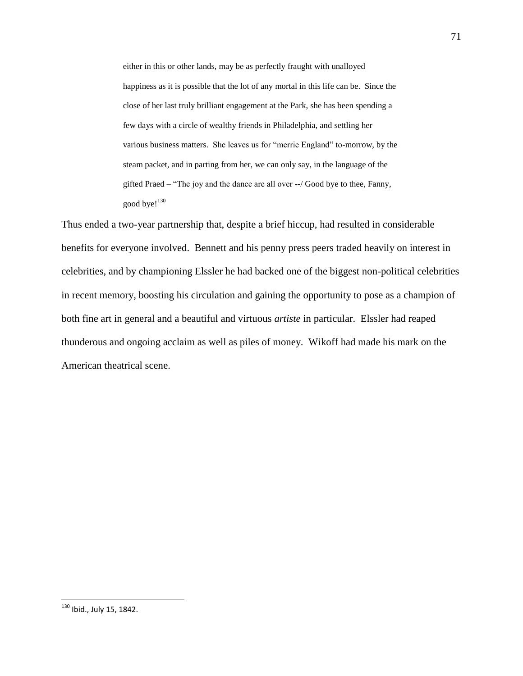either in this or other lands, may be as perfectly fraught with unalloyed happiness as it is possible that the lot of any mortal in this life can be. Since the close of her last truly brilliant engagement at the Park, she has been spending a few days with a circle of wealthy friends in Philadelphia, and settling her various business matters. She leaves us for "merrie England" to-morrow, by the steam packet, and in parting from her, we can only say, in the language of the gifted Praed – "The joy and the dance are all over --/ Good bye to thee, Fanny, good bye! $130$ 

Thus ended a two-year partnership that, despite a brief hiccup, had resulted in considerable benefits for everyone involved. Bennett and his penny press peers traded heavily on interest in celebrities, and by championing Elssler he had backed one of the biggest non-political celebrities in recent memory, boosting his circulation and gaining the opportunity to pose as a champion of both fine art in general and a beautiful and virtuous *artiste* in particular. Elssler had reaped thunderous and ongoing acclaim as well as piles of money. Wikoff had made his mark on the American theatrical scene.

<sup>&</sup>lt;sup>130</sup> Ibid., July 15, 1842.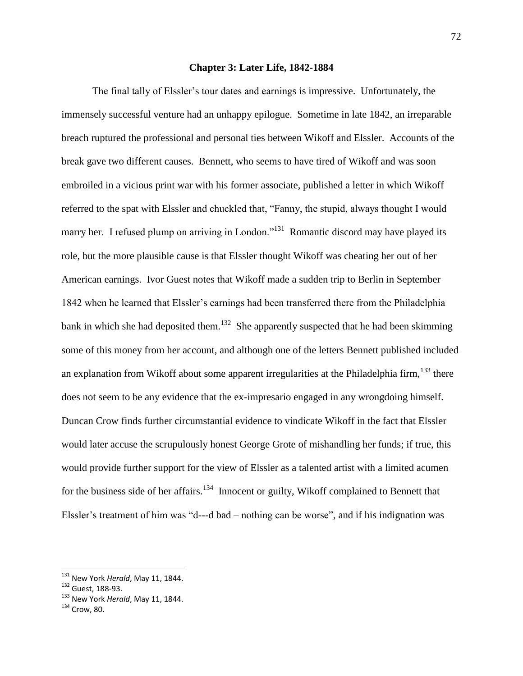## **Chapter 3: Later Life, 1842-1884**

The final tally of Elssler's tour dates and earnings is impressive. Unfortunately, the immensely successful venture had an unhappy epilogue. Sometime in late 1842, an irreparable breach ruptured the professional and personal ties between Wikoff and Elssler. Accounts of the break gave two different causes. Bennett, who seems to have tired of Wikoff and was soon embroiled in a vicious print war with his former associate, published a letter in which Wikoff referred to the spat with Elssler and chuckled that, "Fanny, the stupid, always thought I would marry her. I refused plump on arriving in London."<sup>131</sup> Romantic discord may have played its role, but the more plausible cause is that Elssler thought Wikoff was cheating her out of her American earnings. Ivor Guest notes that Wikoff made a sudden trip to Berlin in September 1842 when he learned that Elssler"s earnings had been transferred there from the Philadelphia bank in which she had deposited them.<sup>132</sup> She apparently suspected that he had been skimming some of this money from her account, and although one of the letters Bennett published included an explanation from Wikoff about some apparent irregularities at the Philadelphia firm,  $133$  there does not seem to be any evidence that the ex-impresario engaged in any wrongdoing himself. Duncan Crow finds further circumstantial evidence to vindicate Wikoff in the fact that Elssler would later accuse the scrupulously honest George Grote of mishandling her funds; if true, this would provide further support for the view of Elssler as a talented artist with a limited acumen for the business side of her affairs.<sup>134</sup> Innocent or guilty, Wikoff complained to Bennett that Elssler's treatment of him was "d---d bad – nothing can be worse", and if his indignation was

<sup>131</sup> New York *Herald*, May 11, 1844.

<sup>132</sup> Guest, 188-93.

<sup>133</sup> New York *Herald*, May 11, 1844.

<sup>134</sup> Crow, 80.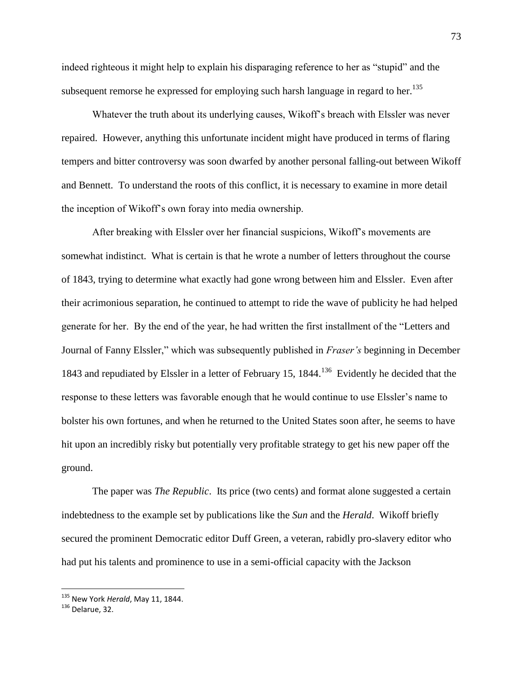indeed righteous it might help to explain his disparaging reference to her as "stupid" and the subsequent remorse he expressed for employing such harsh language in regard to her.<sup>135</sup>

Whatever the truth about its underlying causes, Wikoff"s breach with Elssler was never repaired. However, anything this unfortunate incident might have produced in terms of flaring tempers and bitter controversy was soon dwarfed by another personal falling-out between Wikoff and Bennett. To understand the roots of this conflict, it is necessary to examine in more detail the inception of Wikoff"s own foray into media ownership.

After breaking with Elssler over her financial suspicions, Wikoff"s movements are somewhat indistinct. What is certain is that he wrote a number of letters throughout the course of 1843, trying to determine what exactly had gone wrong between him and Elssler. Even after their acrimonious separation, he continued to attempt to ride the wave of publicity he had helped generate for her. By the end of the year, he had written the first installment of the "Letters and Journal of Fanny Elssler," which was subsequently published in *Fraser's* beginning in December 1843 and repudiated by Elssler in a letter of February 15, 1844.<sup>136</sup> Evidently he decided that the response to these letters was favorable enough that he would continue to use Elssler"s name to bolster his own fortunes, and when he returned to the United States soon after, he seems to have hit upon an incredibly risky but potentially very profitable strategy to get his new paper off the ground.

The paper was *The Republic*. Its price (two cents) and format alone suggested a certain indebtedness to the example set by publications like the *Sun* and the *Herald*. Wikoff briefly secured the prominent Democratic editor Duff Green, a veteran, rabidly pro-slavery editor who had put his talents and prominence to use in a semi-official capacity with the Jackson

<sup>135</sup> New York *Herald*, May 11, 1844.

<sup>136</sup> Delarue, 32.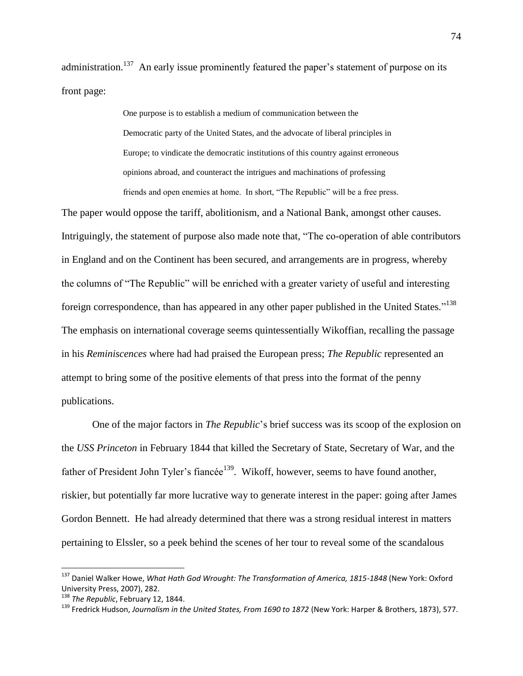administration.<sup>137</sup> An early issue prominently featured the paper's statement of purpose on its front page:

> One purpose is to establish a medium of communication between the Democratic party of the United States, and the advocate of liberal principles in Europe; to vindicate the democratic institutions of this country against erroneous opinions abroad, and counteract the intrigues and machinations of professing friends and open enemies at home. In short, "The Republic" will be a free press.

The paper would oppose the tariff, abolitionism, and a National Bank, amongst other causes. Intriguingly, the statement of purpose also made note that, "The co-operation of able contributors in England and on the Continent has been secured, and arrangements are in progress, whereby the columns of "The Republic" will be enriched with a greater variety of useful and interesting foreign correspondence, than has appeared in any other paper published in the United States."<sup>138</sup> The emphasis on international coverage seems quintessentially Wikoffian, recalling the passage in his *Reminiscences* where had had praised the European press; *The Republic* represented an attempt to bring some of the positive elements of that press into the format of the penny publications.

One of the major factors in *The Republic*"s brief success was its scoop of the explosion on the *USS Princeton* in February 1844 that killed the Secretary of State, Secretary of War, and the father of President John Tyler's fiancée<sup>139</sup>. Wikoff, however, seems to have found another, riskier, but potentially far more lucrative way to generate interest in the paper: going after James Gordon Bennett. He had already determined that there was a strong residual interest in matters pertaining to Elssler, so a peek behind the scenes of her tour to reveal some of the scandalous

<sup>&</sup>lt;sup>137</sup> Daniel Walker Howe, *What Hath God Wrought: The Transformation of America, 1815-1848* (New York: Oxford University Press, 2007), 282.

<sup>138</sup> *The Republic*, February 12, 1844.

<sup>&</sup>lt;sup>139</sup> Fredrick Hudson, *Journalism in the United States, From 1690 to 1872* (New York: Harper & Brothers, 1873), 577.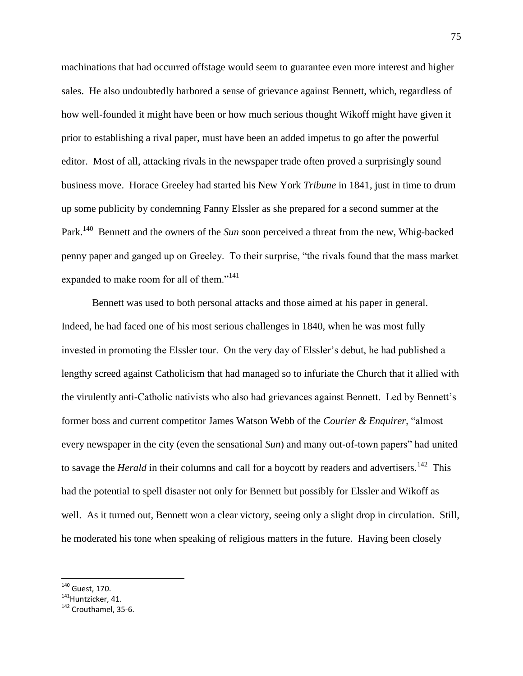machinations that had occurred offstage would seem to guarantee even more interest and higher sales. He also undoubtedly harbored a sense of grievance against Bennett, which, regardless of how well-founded it might have been or how much serious thought Wikoff might have given it prior to establishing a rival paper, must have been an added impetus to go after the powerful editor. Most of all, attacking rivals in the newspaper trade often proved a surprisingly sound business move. Horace Greeley had started his New York *Tribune* in 1841, just in time to drum up some publicity by condemning Fanny Elssler as she prepared for a second summer at the Park.<sup>140</sup> Bennett and the owners of the *Sun* soon perceived a threat from the new, Whig-backed penny paper and ganged up on Greeley. To their surprise, "the rivals found that the mass market expanded to make room for all of them."<sup>141</sup>

Bennett was used to both personal attacks and those aimed at his paper in general. Indeed, he had faced one of his most serious challenges in 1840, when he was most fully invested in promoting the Elssler tour. On the very day of Elssler's debut, he had published a lengthy screed against Catholicism that had managed so to infuriate the Church that it allied with the virulently anti-Catholic nativists who also had grievances against Bennett. Led by Bennett"s former boss and current competitor James Watson Webb of the *Courier & Enquirer*, "almost every newspaper in the city (even the sensational *Sun*) and many out-of-town papers" had united to savage the *Herald* in their columns and call for a boycott by readers and advertisers.<sup>142</sup> This had the potential to spell disaster not only for Bennett but possibly for Elssler and Wikoff as well. As it turned out, Bennett won a clear victory, seeing only a slight drop in circulation. Still, he moderated his tone when speaking of religious matters in the future. Having been closely

<sup>&</sup>lt;sup>140</sup> Guest, 170.

<sup>&</sup>lt;sup>141</sup>Huntzicker, 41.

<sup>&</sup>lt;sup>142</sup> Crouthamel, 35-6.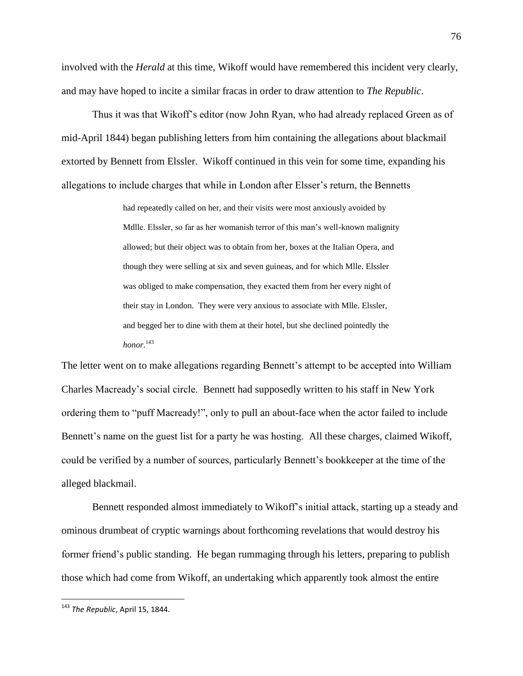involved with the *Herald* at this time, Wikoff would have remembered this incident very clearly, and may have hoped to incite a similar fracas in order to draw attention to *The Republic*.

Thus it was that Wikoff"s editor (now John Ryan, who had already replaced Green as of mid-April 1844) began publishing letters from him containing the allegations about blackmail extorted by Bennett from Elssler. Wikoff continued in this vein for some time, expanding his allegations to include charges that while in London after Elsser"s return, the Bennetts

> had repeatedly called on her, and their visits were most anxiously avoided by Mdlle. Elssler, so far as her womanish terror of this man"s well-known malignity allowed; but their object was to obtain from her, boxes at the Italian Opera, and though they were selling at six and seven guineas, and for which Mlle. Elssler was obliged to make compensation, they exacted them from her every night of their stay in London. They were very anxious to associate with Mlle. Elssler, and begged her to dine with them at their hotel, but she declined pointedly the *honor*. 143

The letter went on to make allegations regarding Bennett's attempt to be accepted into William Charles Macready"s social circle. Bennett had supposedly written to his staff in New York ordering them to "puff Macready!", only to pull an about-face when the actor failed to include Bennett's name on the guest list for a party he was hosting. All these charges, claimed Wikoff, could be verified by a number of sources, particularly Bennett"s bookkeeper at the time of the alleged blackmail.

Bennett responded almost immediately to Wikoff"s initial attack, starting up a steady and ominous drumbeat of cryptic warnings about forthcoming revelations that would destroy his former friend"s public standing. He began rummaging through his letters, preparing to publish those which had come from Wikoff, an undertaking which apparently took almost the entire

<sup>143</sup> *The Republic*, April 15, 1844.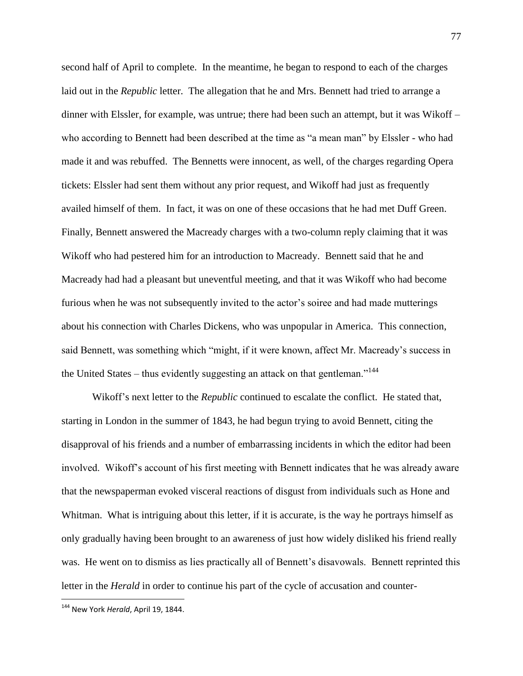second half of April to complete. In the meantime, he began to respond to each of the charges laid out in the *Republic* letter. The allegation that he and Mrs. Bennett had tried to arrange a dinner with Elssler, for example, was untrue; there had been such an attempt, but it was Wikoff – who according to Bennett had been described at the time as "a mean man" by Elssler - who had made it and was rebuffed. The Bennetts were innocent, as well, of the charges regarding Opera tickets: Elssler had sent them without any prior request, and Wikoff had just as frequently availed himself of them. In fact, it was on one of these occasions that he had met Duff Green. Finally, Bennett answered the Macready charges with a two-column reply claiming that it was Wikoff who had pestered him for an introduction to Macready. Bennett said that he and Macready had had a pleasant but uneventful meeting, and that it was Wikoff who had become furious when he was not subsequently invited to the actor's soiree and had made mutterings about his connection with Charles Dickens, who was unpopular in America. This connection, said Bennett, was something which "might, if it were known, affect Mr. Macready"s success in the United States – thus evidently suggesting an attack on that gentleman.<sup> $144$ </sup>

Wikoff"s next letter to the *Republic* continued to escalate the conflict. He stated that, starting in London in the summer of 1843, he had begun trying to avoid Bennett, citing the disapproval of his friends and a number of embarrassing incidents in which the editor had been involved. Wikoff"s account of his first meeting with Bennett indicates that he was already aware that the newspaperman evoked visceral reactions of disgust from individuals such as Hone and Whitman. What is intriguing about this letter, if it is accurate, is the way he portrays himself as only gradually having been brought to an awareness of just how widely disliked his friend really was. He went on to dismiss as lies practically all of Bennett's disavowals. Bennett reprinted this letter in the *Herald* in order to continue his part of the cycle of accusation and counter-

<sup>144</sup> New York *Herald*, April 19, 1844.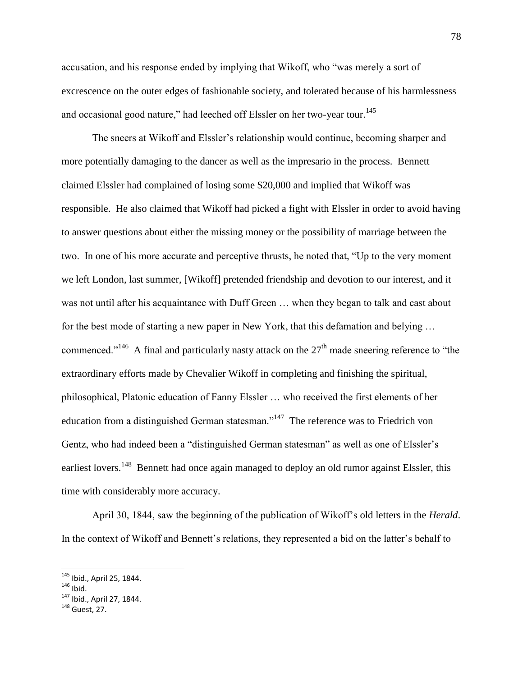accusation, and his response ended by implying that Wikoff, who "was merely a sort of excrescence on the outer edges of fashionable society, and tolerated because of his harmlessness and occasional good nature," had leeched off Elssler on her two-year tour.<sup>145</sup>

The sneers at Wikoff and Elssler"s relationship would continue, becoming sharper and more potentially damaging to the dancer as well as the impresario in the process. Bennett claimed Elssler had complained of losing some \$20,000 and implied that Wikoff was responsible. He also claimed that Wikoff had picked a fight with Elssler in order to avoid having to answer questions about either the missing money or the possibility of marriage between the two. In one of his more accurate and perceptive thrusts, he noted that, "Up to the very moment we left London, last summer, [Wikoff] pretended friendship and devotion to our interest, and it was not until after his acquaintance with Duff Green … when they began to talk and cast about for the best mode of starting a new paper in New York, that this defamation and belying … commenced."<sup>146</sup> A final and particularly nasty attack on the  $27<sup>th</sup>$  made sneering reference to "the extraordinary efforts made by Chevalier Wikoff in completing and finishing the spiritual, philosophical, Platonic education of Fanny Elssler … who received the first elements of her education from a distinguished German statesman."<sup>147</sup> The reference was to Friedrich von Gentz, who had indeed been a "distinguished German statesman" as well as one of Elssler"s earliest lovers.<sup>148</sup> Bennett had once again managed to deploy an old rumor against Elssler, this time with considerably more accuracy.

April 30, 1844, saw the beginning of the publication of Wikoff"s old letters in the *Herald*. In the context of Wikoff and Bennett"s relations, they represented a bid on the latter"s behalf to

<sup>&</sup>lt;sup>145</sup> Ibid., April 25, 1844.

 $146$  Ibid.

<sup>147</sup> Ibid., April 27, 1844.

<sup>148</sup> Guest, 27.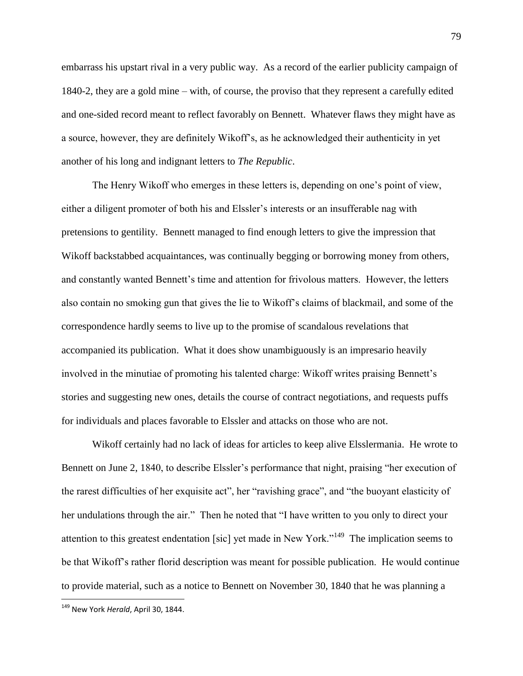embarrass his upstart rival in a very public way. As a record of the earlier publicity campaign of 1840-2, they are a gold mine – with, of course, the proviso that they represent a carefully edited and one-sided record meant to reflect favorably on Bennett. Whatever flaws they might have as a source, however, they are definitely Wikoff"s, as he acknowledged their authenticity in yet another of his long and indignant letters to *The Republic*.

The Henry Wikoff who emerges in these letters is, depending on one"s point of view, either a diligent promoter of both his and Elssler's interests or an insufferable nag with pretensions to gentility. Bennett managed to find enough letters to give the impression that Wikoff backstabbed acquaintances, was continually begging or borrowing money from others, and constantly wanted Bennett's time and attention for frivolous matters. However, the letters also contain no smoking gun that gives the lie to Wikoff"s claims of blackmail, and some of the correspondence hardly seems to live up to the promise of scandalous revelations that accompanied its publication. What it does show unambiguously is an impresario heavily involved in the minutiae of promoting his talented charge: Wikoff writes praising Bennett"s stories and suggesting new ones, details the course of contract negotiations, and requests puffs for individuals and places favorable to Elssler and attacks on those who are not.

Wikoff certainly had no lack of ideas for articles to keep alive Elsslermania. He wrote to Bennett on June 2, 1840, to describe Elssler's performance that night, praising "her execution of the rarest difficulties of her exquisite act", her "ravishing grace", and "the buoyant elasticity of her undulations through the air." Then he noted that "I have written to you only to direct your attention to this greatest endentation [sic] yet made in New York."<sup>149</sup> The implication seems to be that Wikoff"s rather florid description was meant for possible publication. He would continue to provide material, such as a notice to Bennett on November 30, 1840 that he was planning a

<sup>149</sup> New York *Herald*, April 30, 1844.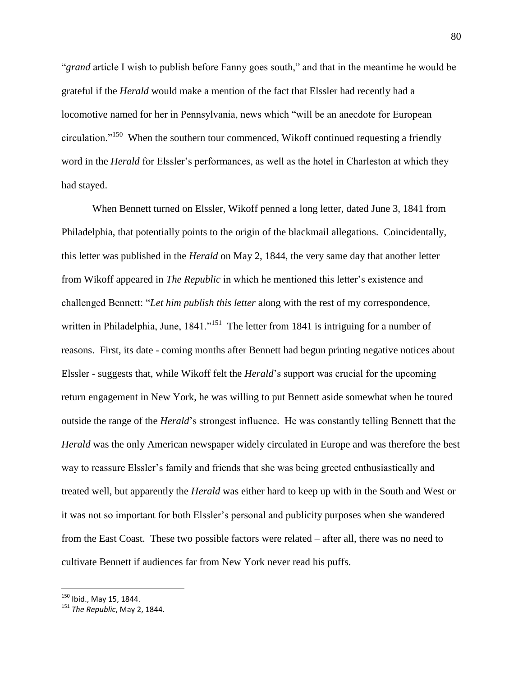"*grand* article I wish to publish before Fanny goes south," and that in the meantime he would be grateful if the *Herald* would make a mention of the fact that Elssler had recently had a locomotive named for her in Pennsylvania, news which "will be an anecdote for European circulation."<sup>150</sup> When the southern tour commenced, Wikoff continued requesting a friendly word in the *Herald* for Elssler's performances, as well as the hotel in Charleston at which they had stayed.

When Bennett turned on Elssler, Wikoff penned a long letter, dated June 3, 1841 from Philadelphia, that potentially points to the origin of the blackmail allegations. Coincidentally, this letter was published in the *Herald* on May 2, 1844, the very same day that another letter from Wikoff appeared in *The Republic* in which he mentioned this letter"s existence and challenged Bennett: "*Let him publish this letter* along with the rest of my correspondence, written in Philadelphia, June,  $1841.^{,151}$  The letter from 1841 is intriguing for a number of reasons. First, its date - coming months after Bennett had begun printing negative notices about Elssler - suggests that, while Wikoff felt the *Herald*"s support was crucial for the upcoming return engagement in New York, he was willing to put Bennett aside somewhat when he toured outside the range of the *Herald*"s strongest influence. He was constantly telling Bennett that the *Herald* was the only American newspaper widely circulated in Europe and was therefore the best way to reassure Elssler's family and friends that she was being greeted enthusiastically and treated well, but apparently the *Herald* was either hard to keep up with in the South and West or it was not so important for both Elssler"s personal and publicity purposes when she wandered from the East Coast. These two possible factors were related – after all, there was no need to cultivate Bennett if audiences far from New York never read his puffs.

<sup>&</sup>lt;sup>150</sup> Ibid., May 15, 1844.

<sup>151</sup> *The Republic*, May 2, 1844.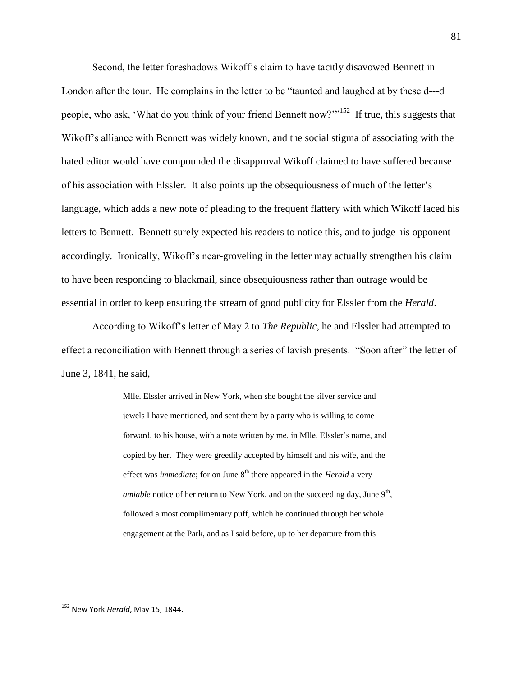Second, the letter foreshadows Wikoff"s claim to have tacitly disavowed Bennett in London after the tour. He complains in the letter to be "taunted and laughed at by these d---d people, who ask, 'What do you think of your friend Bennett now?"<sup>152</sup> If true, this suggests that Wikoff's alliance with Bennett was widely known, and the social stigma of associating with the hated editor would have compounded the disapproval Wikoff claimed to have suffered because of his association with Elssler. It also points up the obsequiousness of much of the letter"s language, which adds a new note of pleading to the frequent flattery with which Wikoff laced his letters to Bennett. Bennett surely expected his readers to notice this, and to judge his opponent accordingly. Ironically, Wikoff"s near-groveling in the letter may actually strengthen his claim to have been responding to blackmail, since obsequiousness rather than outrage would be essential in order to keep ensuring the stream of good publicity for Elssler from the *Herald*.

According to Wikoff"s letter of May 2 to *The Republic*, he and Elssler had attempted to effect a reconciliation with Bennett through a series of lavish presents. "Soon after" the letter of June 3, 1841, he said,

> Mlle. Elssler arrived in New York, when she bought the silver service and jewels I have mentioned, and sent them by a party who is willing to come forward, to his house, with a note written by me, in Mlle. Elssler's name, and copied by her. They were greedily accepted by himself and his wife, and the effect was *immediate*; for on June 8<sup>th</sup> there appeared in the *Herald* a very *amiable* notice of her return to New York, and on the succeeding day, June 9<sup>th</sup>, followed a most complimentary puff, which he continued through her whole engagement at the Park, and as I said before, up to her departure from this

<sup>152</sup> New York *Herald*, May 15, 1844.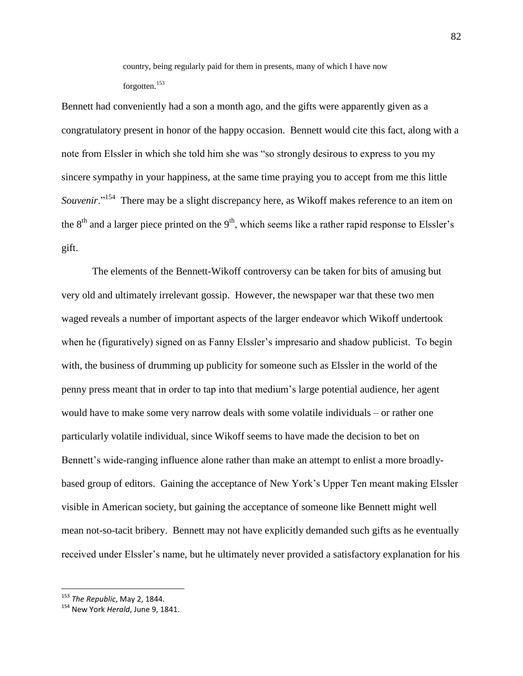country, being regularly paid for them in presents, many of which I have now forgotten.<sup>153</sup>

Bennett had conveniently had a son a month ago, and the gifts were apparently given as a congratulatory present in honor of the happy occasion. Bennett would cite this fact, along with a note from Elssler in which she told him she was "so strongly desirous to express to you my sincere sympathy in your happiness, at the same time praying you to accept from me this little Souvenir."<sup>154</sup> There may be a slight discrepancy here, as Wikoff makes reference to an item on the  $8<sup>th</sup>$  and a larger piece printed on the  $9<sup>th</sup>$ , which seems like a rather rapid response to Elssler's gift.

The elements of the Bennett-Wikoff controversy can be taken for bits of amusing but very old and ultimately irrelevant gossip. However, the newspaper war that these two men waged reveals a number of important aspects of the larger endeavor which Wikoff undertook when he (figuratively) signed on as Fanny Elssler's impresario and shadow publicist. To begin with, the business of drumming up publicity for someone such as Elssler in the world of the penny press meant that in order to tap into that medium"s large potential audience, her agent would have to make some very narrow deals with some volatile individuals – or rather one particularly volatile individual, since Wikoff seems to have made the decision to bet on Bennett's wide-ranging influence alone rather than make an attempt to enlist a more broadlybased group of editors. Gaining the acceptance of New York"s Upper Ten meant making Elssler visible in American society, but gaining the acceptance of someone like Bennett might well mean not-so-tacit bribery. Bennett may not have explicitly demanded such gifts as he eventually received under Elssler"s name, but he ultimately never provided a satisfactory explanation for his

<sup>153</sup> *The Republic*, May 2, 1844.

<sup>154</sup> New York *Herald*, June 9, 1841.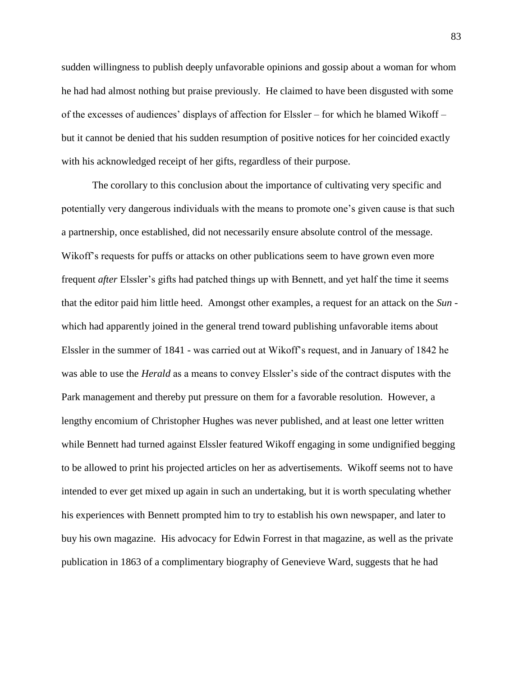sudden willingness to publish deeply unfavorable opinions and gossip about a woman for whom he had had almost nothing but praise previously. He claimed to have been disgusted with some of the excesses of audiences' displays of affection for Elssler – for which he blamed Wikoff – but it cannot be denied that his sudden resumption of positive notices for her coincided exactly with his acknowledged receipt of her gifts, regardless of their purpose.

The corollary to this conclusion about the importance of cultivating very specific and potentially very dangerous individuals with the means to promote one"s given cause is that such a partnership, once established, did not necessarily ensure absolute control of the message. Wikoff's requests for puffs or attacks on other publications seem to have grown even more frequent *after* Elssler"s gifts had patched things up with Bennett, and yet half the time it seems that the editor paid him little heed. Amongst other examples, a request for an attack on the *Sun* which had apparently joined in the general trend toward publishing unfavorable items about Elssler in the summer of 1841 - was carried out at Wikoff"s request, and in January of 1842 he was able to use the *Herald* as a means to convey Elssler"s side of the contract disputes with the Park management and thereby put pressure on them for a favorable resolution. However, a lengthy encomium of Christopher Hughes was never published, and at least one letter written while Bennett had turned against Elssler featured Wikoff engaging in some undignified begging to be allowed to print his projected articles on her as advertisements. Wikoff seems not to have intended to ever get mixed up again in such an undertaking, but it is worth speculating whether his experiences with Bennett prompted him to try to establish his own newspaper, and later to buy his own magazine. His advocacy for Edwin Forrest in that magazine, as well as the private publication in 1863 of a complimentary biography of Genevieve Ward, suggests that he had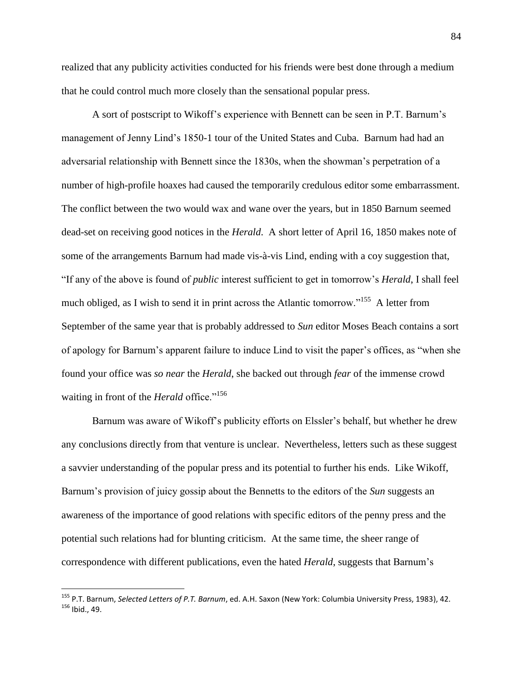realized that any publicity activities conducted for his friends were best done through a medium that he could control much more closely than the sensational popular press.

A sort of postscript to Wikoff"s experience with Bennett can be seen in P.T. Barnum"s management of Jenny Lind"s 1850-1 tour of the United States and Cuba. Barnum had had an adversarial relationship with Bennett since the 1830s, when the showman"s perpetration of a number of high-profile hoaxes had caused the temporarily credulous editor some embarrassment. The conflict between the two would wax and wane over the years, but in 1850 Barnum seemed dead-set on receiving good notices in the *Herald*. A short letter of April 16, 1850 makes note of some of the arrangements Barnum had made vis-à-vis Lind, ending with a coy suggestion that, "If any of the above is found of *public* interest sufficient to get in tomorrow"s *Herald*, I shall feel much obliged, as I wish to send it in print across the Atlantic tomorrow."<sup>155</sup> A letter from September of the same year that is probably addressed to *Sun* editor Moses Beach contains a sort of apology for Barnum"s apparent failure to induce Lind to visit the paper"s offices, as "when she found your office was *so near* the *Herald*, she backed out through *fear* of the immense crowd waiting in front of the *Herald* office."<sup>156</sup>

Barnum was aware of Wikoff's publicity efforts on Elssler's behalf, but whether he drew any conclusions directly from that venture is unclear. Nevertheless, letters such as these suggest a savvier understanding of the popular press and its potential to further his ends. Like Wikoff, Barnum"s provision of juicy gossip about the Bennetts to the editors of the *Sun* suggests an awareness of the importance of good relations with specific editors of the penny press and the potential such relations had for blunting criticism. At the same time, the sheer range of correspondence with different publications, even the hated *Herald*, suggests that Barnum"s

<sup>155</sup> P.T. Barnum, *Selected Letters of P.T. Barnum*, ed. A.H. Saxon (New York: Columbia University Press, 1983), 42. <sup>156</sup> Ibid., 49.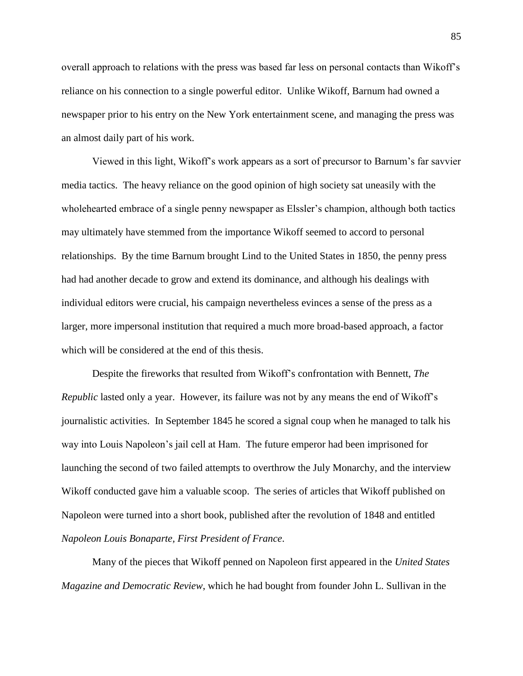overall approach to relations with the press was based far less on personal contacts than Wikoff"s reliance on his connection to a single powerful editor. Unlike Wikoff, Barnum had owned a newspaper prior to his entry on the New York entertainment scene, and managing the press was an almost daily part of his work.

Viewed in this light, Wikoff"s work appears as a sort of precursor to Barnum"s far savvier media tactics. The heavy reliance on the good opinion of high society sat uneasily with the wholehearted embrace of a single penny newspaper as Elssler's champion, although both tactics may ultimately have stemmed from the importance Wikoff seemed to accord to personal relationships. By the time Barnum brought Lind to the United States in 1850, the penny press had had another decade to grow and extend its dominance, and although his dealings with individual editors were crucial, his campaign nevertheless evinces a sense of the press as a larger, more impersonal institution that required a much more broad-based approach, a factor which will be considered at the end of this thesis.

Despite the fireworks that resulted from Wikoff"s confrontation with Bennett, *The Republic* lasted only a year. However, its failure was not by any means the end of Wikoff"s journalistic activities. In September 1845 he scored a signal coup when he managed to talk his way into Louis Napoleon"s jail cell at Ham. The future emperor had been imprisoned for launching the second of two failed attempts to overthrow the July Monarchy, and the interview Wikoff conducted gave him a valuable scoop. The series of articles that Wikoff published on Napoleon were turned into a short book, published after the revolution of 1848 and entitled *Napoleon Louis Bonaparte, First President of France*.

Many of the pieces that Wikoff penned on Napoleon first appeared in the *United States Magazine and Democratic Review*, which he had bought from founder John L. Sullivan in the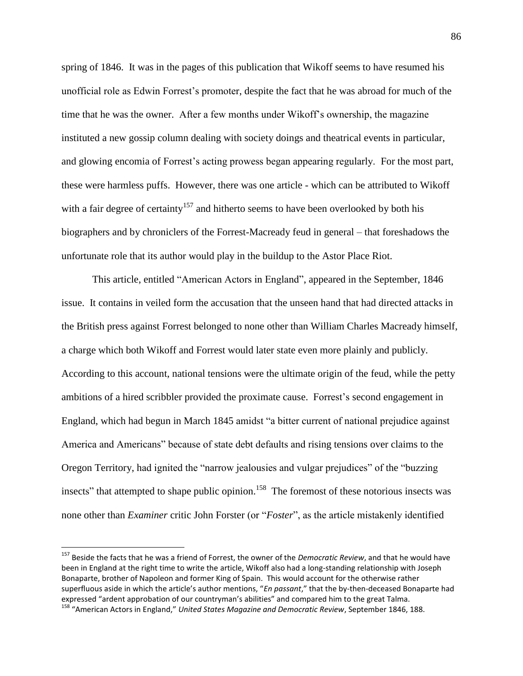spring of 1846. It was in the pages of this publication that Wikoff seems to have resumed his unofficial role as Edwin Forrest"s promoter, despite the fact that he was abroad for much of the time that he was the owner. After a few months under Wikoff"s ownership, the magazine instituted a new gossip column dealing with society doings and theatrical events in particular, and glowing encomia of Forrest"s acting prowess began appearing regularly. For the most part, these were harmless puffs. However, there was one article - which can be attributed to Wikoff with a fair degree of certainty<sup>157</sup> and hitherto seems to have been overlooked by both his biographers and by chroniclers of the Forrest-Macready feud in general – that foreshadows the unfortunate role that its author would play in the buildup to the Astor Place Riot.

This article, entitled "American Actors in England", appeared in the September, 1846 issue. It contains in veiled form the accusation that the unseen hand that had directed attacks in the British press against Forrest belonged to none other than William Charles Macready himself, a charge which both Wikoff and Forrest would later state even more plainly and publicly. According to this account, national tensions were the ultimate origin of the feud, while the petty ambitions of a hired scribbler provided the proximate cause. Forrest"s second engagement in England, which had begun in March 1845 amidst "a bitter current of national prejudice against America and Americans" because of state debt defaults and rising tensions over claims to the Oregon Territory, had ignited the "narrow jealousies and vulgar prejudices" of the "buzzing insects" that attempted to shape public opinion.<sup>158</sup> The foremost of these notorious insects was none other than *Examiner* critic John Forster (or "*Foster*", as the article mistakenly identified

<sup>157</sup> Beside the facts that he was a friend of Forrest, the owner of the *Democratic Review*, and that he would have been in England at the right time to write the article, Wikoff also had a long-standing relationship with Joseph Bonaparte, brother of Napoleon and former King of Spain. This would account for the otherwise rather superfluous aside in which the article's author mentions, "*En passant*," that the by-then-deceased Bonaparte had expressed "ardent approbation of our countryman's abilities" and compared him to the great Talma. <sup>158</sup> "American Actors in England," *United States Magazine and Democratic Review*, September 1846, 188.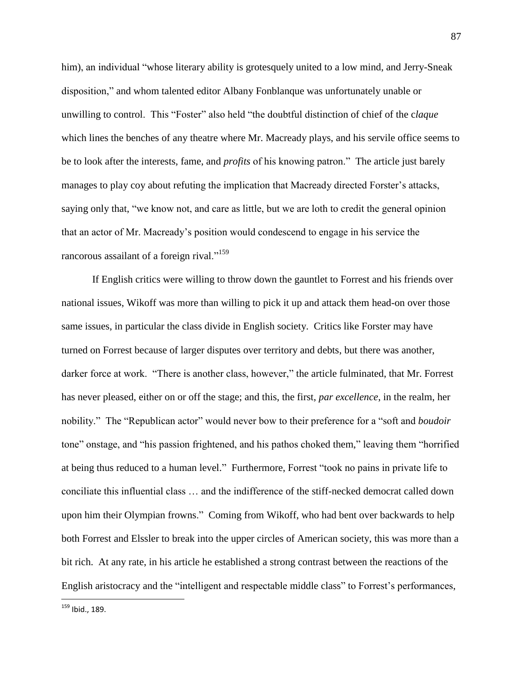him), an individual "whose literary ability is grotesquely united to a low mind, and Jerry-Sneak disposition," and whom talented editor Albany Fonblanque was unfortunately unable or unwilling to control. This "Foster" also held "the doubtful distinction of chief of the c*laque* which lines the benches of any theatre where Mr. Macready plays, and his servile office seems to be to look after the interests, fame, and *profits* of his knowing patron." The article just barely manages to play coy about refuting the implication that Macready directed Forster's attacks, saying only that, "we know not, and care as little, but we are loth to credit the general opinion that an actor of Mr. Macready"s position would condescend to engage in his service the rancorous assailant of a foreign rival."<sup>159</sup>

If English critics were willing to throw down the gauntlet to Forrest and his friends over national issues, Wikoff was more than willing to pick it up and attack them head-on over those same issues, in particular the class divide in English society. Critics like Forster may have turned on Forrest because of larger disputes over territory and debts, but there was another, darker force at work. "There is another class, however," the article fulminated, that Mr. Forrest has never pleased, either on or off the stage; and this, the first, *par excellence*, in the realm, her nobility." The "Republican actor" would never bow to their preference for a "soft and *boudoir* tone" onstage, and "his passion frightened, and his pathos choked them," leaving them "horrified at being thus reduced to a human level." Furthermore, Forrest "took no pains in private life to conciliate this influential class … and the indifference of the stiff-necked democrat called down upon him their Olympian frowns." Coming from Wikoff, who had bent over backwards to help both Forrest and Elssler to break into the upper circles of American society, this was more than a bit rich. At any rate, in his article he established a strong contrast between the reactions of the English aristocracy and the "intelligent and respectable middle class" to Forrest's performances,

<sup>&</sup>lt;sup>159</sup> Ibid., 189.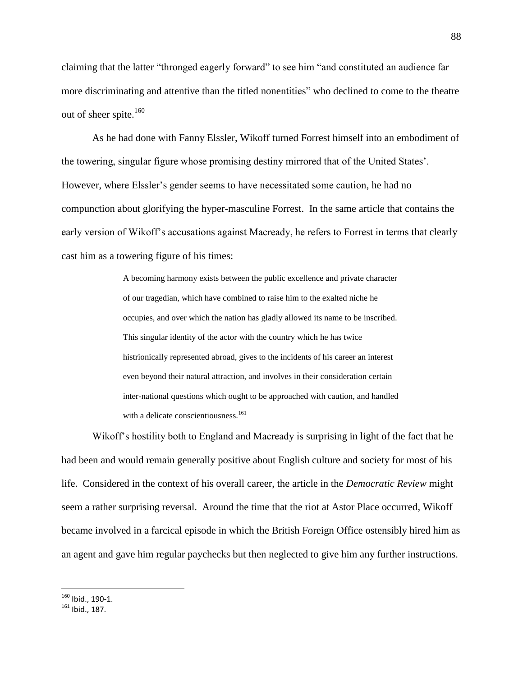claiming that the latter "thronged eagerly forward" to see him "and constituted an audience far more discriminating and attentive than the titled nonentities" who declined to come to the theatre out of sheer spite. $160$ 

As he had done with Fanny Elssler, Wikoff turned Forrest himself into an embodiment of the towering, singular figure whose promising destiny mirrored that of the United States". However, where Elssler"s gender seems to have necessitated some caution, he had no compunction about glorifying the hyper-masculine Forrest. In the same article that contains the early version of Wikoff"s accusations against Macready, he refers to Forrest in terms that clearly cast him as a towering figure of his times:

> A becoming harmony exists between the public excellence and private character of our tragedian, which have combined to raise him to the exalted niche he occupies, and over which the nation has gladly allowed its name to be inscribed. This singular identity of the actor with the country which he has twice histrionically represented abroad, gives to the incidents of his career an interest even beyond their natural attraction, and involves in their consideration certain inter-national questions which ought to be approached with caution, and handled with a delicate conscientiousness.<sup>161</sup>

Wikoff"s hostility both to England and Macready is surprising in light of the fact that he had been and would remain generally positive about English culture and society for most of his life. Considered in the context of his overall career, the article in the *Democratic Review* might seem a rather surprising reversal. Around the time that the riot at Astor Place occurred, Wikoff became involved in a farcical episode in which the British Foreign Office ostensibly hired him as an agent and gave him regular paychecks but then neglected to give him any further instructions.

 $^{160}$  Ibid., 190-1.

<sup>161</sup> Ibid., 187.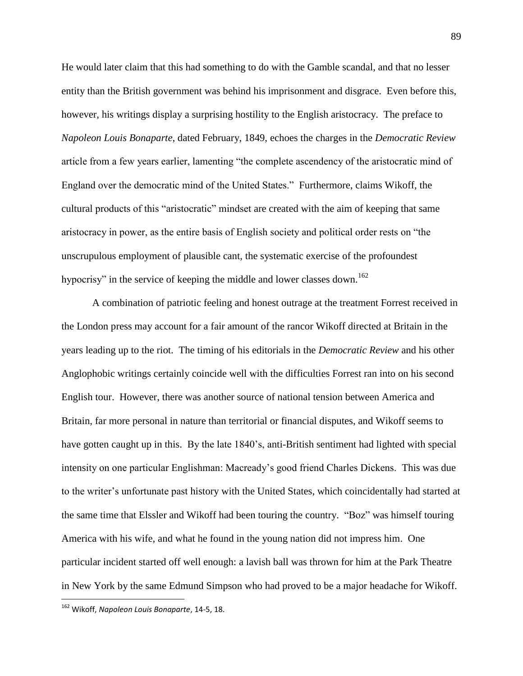He would later claim that this had something to do with the Gamble scandal, and that no lesser entity than the British government was behind his imprisonment and disgrace. Even before this, however, his writings display a surprising hostility to the English aristocracy. The preface to *Napoleon Louis Bonaparte*, dated February, 1849, echoes the charges in the *Democratic Review* article from a few years earlier, lamenting "the complete ascendency of the aristocratic mind of England over the democratic mind of the United States." Furthermore, claims Wikoff, the cultural products of this "aristocratic" mindset are created with the aim of keeping that same aristocracy in power, as the entire basis of English society and political order rests on "the unscrupulous employment of plausible cant, the systematic exercise of the profoundest hypocrisy" in the service of keeping the middle and lower classes down.<sup>162</sup>

A combination of patriotic feeling and honest outrage at the treatment Forrest received in the London press may account for a fair amount of the rancor Wikoff directed at Britain in the years leading up to the riot. The timing of his editorials in the *Democratic Review* and his other Anglophobic writings certainly coincide well with the difficulties Forrest ran into on his second English tour. However, there was another source of national tension between America and Britain, far more personal in nature than territorial or financial disputes, and Wikoff seems to have gotten caught up in this. By the late 1840"s, anti-British sentiment had lighted with special intensity on one particular Englishman: Macready"s good friend Charles Dickens. This was due to the writer"s unfortunate past history with the United States, which coincidentally had started at the same time that Elssler and Wikoff had been touring the country. "Boz" was himself touring America with his wife, and what he found in the young nation did not impress him. One particular incident started off well enough: a lavish ball was thrown for him at the Park Theatre in New York by the same Edmund Simpson who had proved to be a major headache for Wikoff.

<sup>162</sup> Wikoff, *Napoleon Louis Bonaparte*, 14-5, 18.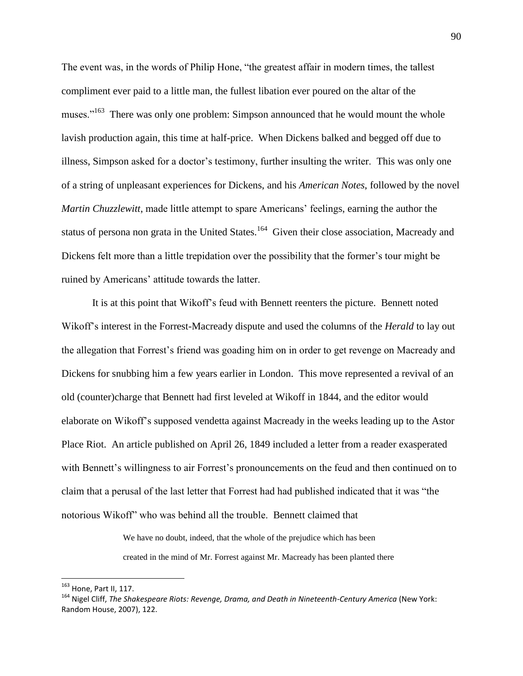The event was, in the words of Philip Hone, "the greatest affair in modern times, the tallest compliment ever paid to a little man, the fullest libation ever poured on the altar of the muses."<sup>163</sup> There was only one problem: Simpson announced that he would mount the whole lavish production again, this time at half-price. When Dickens balked and begged off due to illness, Simpson asked for a doctor's testimony, further insulting the writer. This was only one of a string of unpleasant experiences for Dickens, and his *American Notes*, followed by the novel *Martin Chuzzlewitt*, made little attempt to spare Americans' feelings, earning the author the status of persona non grata in the United States.<sup>164</sup> Given their close association, Macready and Dickens felt more than a little trepidation over the possibility that the former's tour might be ruined by Americans' attitude towards the latter.

It is at this point that Wikoff"s feud with Bennett reenters the picture. Bennett noted Wikoff"s interest in the Forrest-Macready dispute and used the columns of the *Herald* to lay out the allegation that Forrest"s friend was goading him on in order to get revenge on Macready and Dickens for snubbing him a few years earlier in London. This move represented a revival of an old (counter)charge that Bennett had first leveled at Wikoff in 1844, and the editor would elaborate on Wikoff"s supposed vendetta against Macready in the weeks leading up to the Astor Place Riot. An article published on April 26, 1849 included a letter from a reader exasperated with Bennett's willingness to air Forrest's pronouncements on the feud and then continued on to claim that a perusal of the last letter that Forrest had had published indicated that it was "the notorious Wikoff" who was behind all the trouble. Bennett claimed that

> We have no doubt, indeed, that the whole of the prejudice which has been created in the mind of Mr. Forrest against Mr. Macready has been planted there

<sup>163</sup> Hone, Part II, 117.

<sup>164</sup> Nigel Cliff, *The Shakespeare Riots: Revenge, Drama, and Death in Nineteenth-Century America* (New York: Random House, 2007), 122.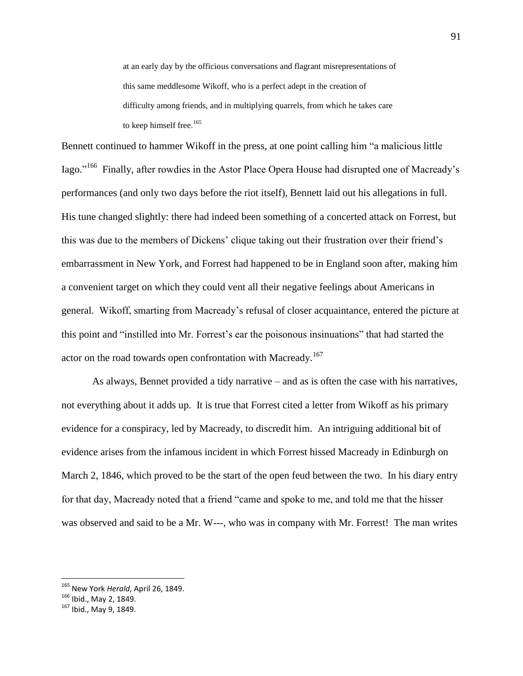at an early day by the officious conversations and flagrant misrepresentations of this same meddlesome Wikoff, who is a perfect adept in the creation of difficulty among friends, and in multiplying quarrels, from which he takes care to keep himself free.<sup>165</sup>

Bennett continued to hammer Wikoff in the press, at one point calling him "a malicious little Iago."<sup>166</sup> Finally, after rowdies in the Astor Place Opera House had disrupted one of Macready's performances (and only two days before the riot itself), Bennett laid out his allegations in full. His tune changed slightly: there had indeed been something of a concerted attack on Forrest, but this was due to the members of Dickens" clique taking out their frustration over their friend"s embarrassment in New York, and Forrest had happened to be in England soon after, making him a convenient target on which they could vent all their negative feelings about Americans in general. Wikoff, smarting from Macready"s refusal of closer acquaintance, entered the picture at this point and "instilled into Mr. Forrest"s ear the poisonous insinuations" that had started the actor on the road towards open confrontation with Macready.<sup>167</sup>

As always, Bennet provided a tidy narrative – and as is often the case with his narratives, not everything about it adds up. It is true that Forrest cited a letter from Wikoff as his primary evidence for a conspiracy, led by Macready, to discredit him. An intriguing additional bit of evidence arises from the infamous incident in which Forrest hissed Macready in Edinburgh on March 2, 1846, which proved to be the start of the open feud between the two. In his diary entry for that day, Macready noted that a friend "came and spoke to me, and told me that the hisser was observed and said to be a Mr. W---, who was in company with Mr. Forrest! The man writes

<sup>165</sup> New York *Herald*, April 26, 1849.

<sup>166</sup> Ibid., May 2, 1849.

<sup>167</sup> Ibid., May 9, 1849.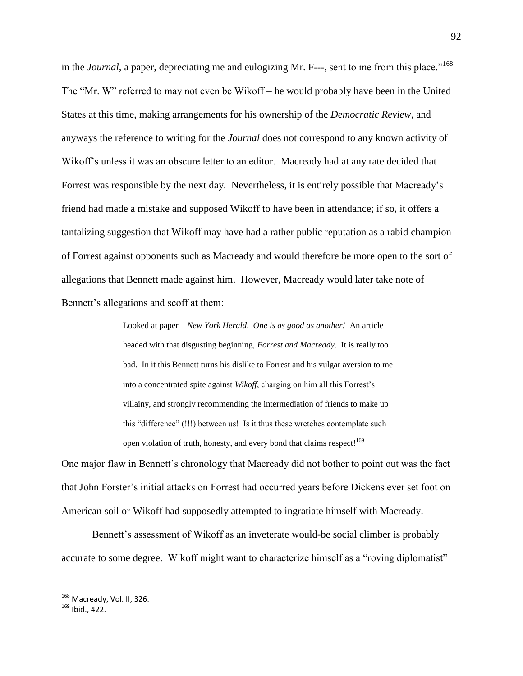in the *Journal*, a paper, depreciating me and eulogizing Mr. F---, sent to me from this place."<sup>168</sup> The "Mr. W" referred to may not even be Wikoff – he would probably have been in the United States at this time, making arrangements for his ownership of the *Democratic Review*, and anyways the reference to writing for the *Journal* does not correspond to any known activity of Wikoff's unless it was an obscure letter to an editor. Macready had at any rate decided that Forrest was responsible by the next day. Nevertheless, it is entirely possible that Macready"s friend had made a mistake and supposed Wikoff to have been in attendance; if so, it offers a tantalizing suggestion that Wikoff may have had a rather public reputation as a rabid champion of Forrest against opponents such as Macready and would therefore be more open to the sort of allegations that Bennett made against him. However, Macready would later take note of Bennett's allegations and scoff at them:

> Looked at paper – *New York Herald*. *One is as good as another!* An article headed with that disgusting beginning, *Forrest and Macready*. It is really too bad. In it this Bennett turns his dislike to Forrest and his vulgar aversion to me into a concentrated spite against *Wikoff*, charging on him all this Forrest"s villainy, and strongly recommending the intermediation of friends to make up this "difference" (!!!) between us! Is it thus these wretches contemplate such open violation of truth, honesty, and every bond that claims respect!<sup>169</sup>

One major flaw in Bennett's chronology that Macready did not bother to point out was the fact that John Forster"s initial attacks on Forrest had occurred years before Dickens ever set foot on American soil or Wikoff had supposedly attempted to ingratiate himself with Macready.

Bennett's assessment of Wikoff as an inveterate would-be social climber is probably accurate to some degree. Wikoff might want to characterize himself as a "roving diplomatist"

<sup>&</sup>lt;sup>168</sup> Macready, Vol. II, 326.

<sup>169</sup> Ibid., 422.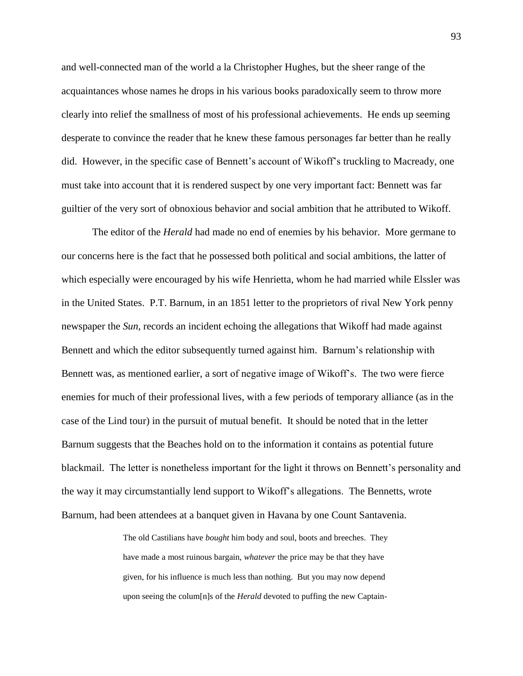and well-connected man of the world a la Christopher Hughes, but the sheer range of the acquaintances whose names he drops in his various books paradoxically seem to throw more clearly into relief the smallness of most of his professional achievements. He ends up seeming desperate to convince the reader that he knew these famous personages far better than he really did. However, in the specific case of Bennett's account of Wikoff's truckling to Macready, one must take into account that it is rendered suspect by one very important fact: Bennett was far guiltier of the very sort of obnoxious behavior and social ambition that he attributed to Wikoff.

The editor of the *Herald* had made no end of enemies by his behavior. More germane to our concerns here is the fact that he possessed both political and social ambitions, the latter of which especially were encouraged by his wife Henrietta, whom he had married while Elssler was in the United States. P.T. Barnum, in an 1851 letter to the proprietors of rival New York penny newspaper the *Sun*, records an incident echoing the allegations that Wikoff had made against Bennett and which the editor subsequently turned against him. Barnum"s relationship with Bennett was, as mentioned earlier, a sort of negative image of Wikoff"s. The two were fierce enemies for much of their professional lives, with a few periods of temporary alliance (as in the case of the Lind tour) in the pursuit of mutual benefit. It should be noted that in the letter Barnum suggests that the Beaches hold on to the information it contains as potential future blackmail. The letter is nonetheless important for the light it throws on Bennett"s personality and the way it may circumstantially lend support to Wikoff"s allegations. The Bennetts, wrote Barnum, had been attendees at a banquet given in Havana by one Count Santavenia.

> The old Castilians have *bought* him body and soul, boots and breeches. They have made a most ruinous bargain, *whatever* the price may be that they have given, for his influence is much less than nothing. But you may now depend upon seeing the colum[n]s of the *Herald* devoted to puffing the new Captain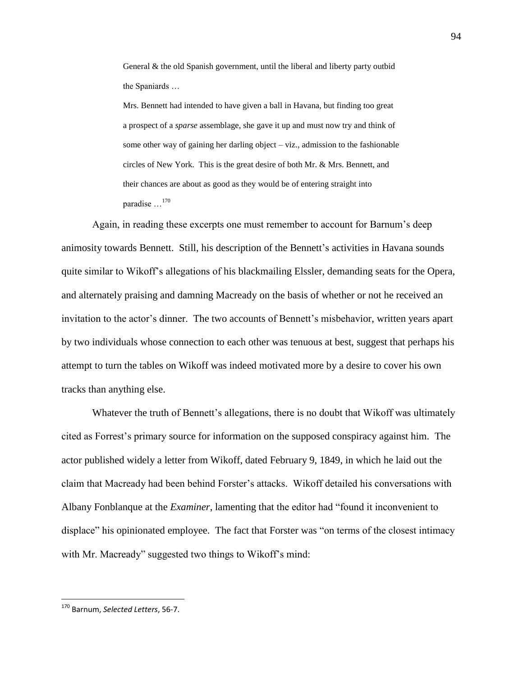General & the old Spanish government, until the liberal and liberty party outbid the Spaniards …

Mrs. Bennett had intended to have given a ball in Havana, but finding too great a prospect of a *sparse* assemblage, she gave it up and must now try and think of some other way of gaining her darling object – viz., admission to the fashionable circles of New York. This is the great desire of both Mr. & Mrs. Bennett, and their chances are about as good as they would be of entering straight into paradise …<sup>170</sup>

Again, in reading these excerpts one must remember to account for Barnum's deep animosity towards Bennett. Still, his description of the Bennett's activities in Havana sounds quite similar to Wikoff"s allegations of his blackmailing Elssler, demanding seats for the Opera, and alternately praising and damning Macready on the basis of whether or not he received an invitation to the actor's dinner. The two accounts of Bennett's misbehavior, written years apart by two individuals whose connection to each other was tenuous at best, suggest that perhaps his attempt to turn the tables on Wikoff was indeed motivated more by a desire to cover his own tracks than anything else.

Whatever the truth of Bennett's allegations, there is no doubt that Wikoff was ultimately cited as Forrest"s primary source for information on the supposed conspiracy against him. The actor published widely a letter from Wikoff, dated February 9, 1849, in which he laid out the claim that Macready had been behind Forster"s attacks. Wikoff detailed his conversations with Albany Fonblanque at the *Examiner*, lamenting that the editor had "found it inconvenient to displace" his opinionated employee. The fact that Forster was "on terms of the closest intimacy with Mr. Macready" suggested two things to Wikoff's mind:

<sup>170</sup> Barnum, *Selected Letters*, 56-7.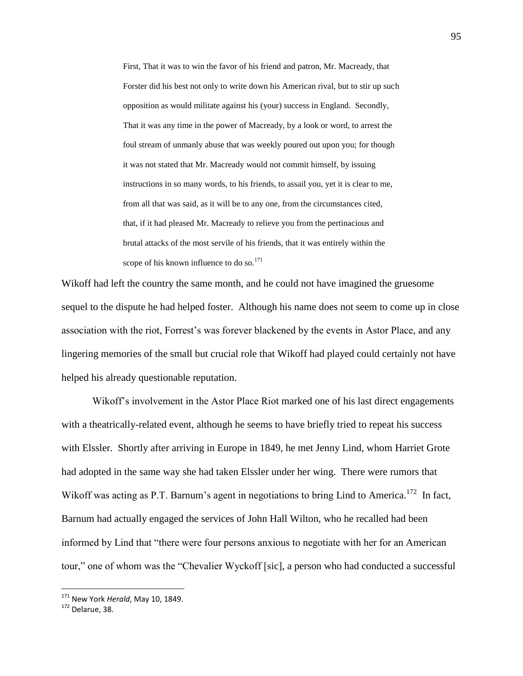First, That it was to win the favor of his friend and patron, Mr. Macready, that Forster did his best not only to write down his American rival, but to stir up such opposition as would militate against his (your) success in England. Secondly, That it was any time in the power of Macready, by a look or word, to arrest the foul stream of unmanly abuse that was weekly poured out upon you; for though it was not stated that Mr. Macready would not commit himself, by issuing instructions in so many words, to his friends, to assail you, yet it is clear to me, from all that was said, as it will be to any one, from the circumstances cited, that, if it had pleased Mr. Macready to relieve you from the pertinacious and brutal attacks of the most servile of his friends, that it was entirely within the scope of his known influence to do so. $^{171}$ 

Wikoff had left the country the same month, and he could not have imagined the gruesome sequel to the dispute he had helped foster. Although his name does not seem to come up in close association with the riot, Forrest"s was forever blackened by the events in Astor Place, and any lingering memories of the small but crucial role that Wikoff had played could certainly not have helped his already questionable reputation.

Wikoff"s involvement in the Astor Place Riot marked one of his last direct engagements with a theatrically-related event, although he seems to have briefly tried to repeat his success with Elssler. Shortly after arriving in Europe in 1849, he met Jenny Lind, whom Harriet Grote had adopted in the same way she had taken Elssler under her wing. There were rumors that Wikoff was acting as P.T. Barnum's agent in negotiations to bring Lind to America.<sup>172</sup> In fact, Barnum had actually engaged the services of John Hall Wilton, who he recalled had been informed by Lind that "there were four persons anxious to negotiate with her for an American tour," one of whom was the "Chevalier Wyckoff [sic], a person who had conducted a successful

<sup>171</sup> New York *Herald*, May 10, 1849.

<sup>172</sup> Delarue, 38.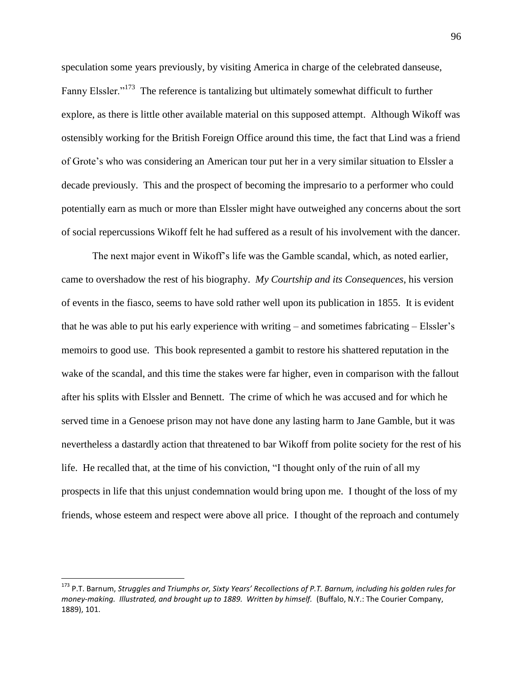speculation some years previously, by visiting America in charge of the celebrated danseuse, Fanny Elssler."<sup>173</sup> The reference is tantalizing but ultimately somewhat difficult to further explore, as there is little other available material on this supposed attempt. Although Wikoff was ostensibly working for the British Foreign Office around this time, the fact that Lind was a friend of Grote"s who was considering an American tour put her in a very similar situation to Elssler a decade previously. This and the prospect of becoming the impresario to a performer who could potentially earn as much or more than Elssler might have outweighed any concerns about the sort of social repercussions Wikoff felt he had suffered as a result of his involvement with the dancer.

The next major event in Wikoff"s life was the Gamble scandal, which, as noted earlier, came to overshadow the rest of his biography. *My Courtship and its Consequences*, his version of events in the fiasco, seems to have sold rather well upon its publication in 1855. It is evident that he was able to put his early experience with writing – and sometimes fabricating – Elssler"s memoirs to good use. This book represented a gambit to restore his shattered reputation in the wake of the scandal, and this time the stakes were far higher, even in comparison with the fallout after his splits with Elssler and Bennett. The crime of which he was accused and for which he served time in a Genoese prison may not have done any lasting harm to Jane Gamble, but it was nevertheless a dastardly action that threatened to bar Wikoff from polite society for the rest of his life. He recalled that, at the time of his conviction, "I thought only of the ruin of all my prospects in life that this unjust condemnation would bring upon me. I thought of the loss of my friends, whose esteem and respect were above all price. I thought of the reproach and contumely

<sup>173</sup> P.T. Barnum, *Struggles and Triumphs or, Sixty Years' Recollections of P.T. Barnum, including his golden rules for money-making. Illustrated, and brought up to 1889. Written by himself.* (Buffalo, N.Y.: The Courier Company, 1889), 101.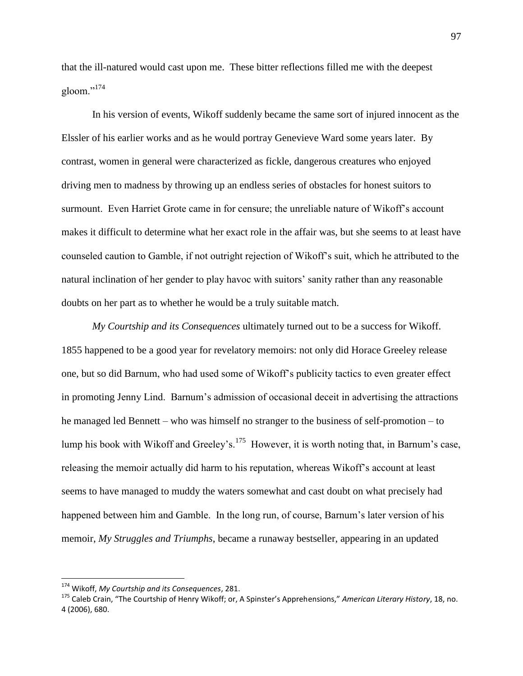that the ill-natured would cast upon me. These bitter reflections filled me with the deepest gloom."<sup>174</sup>

In his version of events, Wikoff suddenly became the same sort of injured innocent as the Elssler of his earlier works and as he would portray Genevieve Ward some years later. By contrast, women in general were characterized as fickle, dangerous creatures who enjoyed driving men to madness by throwing up an endless series of obstacles for honest suitors to surmount. Even Harriet Grote came in for censure; the unreliable nature of Wikoff"s account makes it difficult to determine what her exact role in the affair was, but she seems to at least have counseled caution to Gamble, if not outright rejection of Wikoff"s suit, which he attributed to the natural inclination of her gender to play havoc with suitors" sanity rather than any reasonable doubts on her part as to whether he would be a truly suitable match.

*My Courtship and its Consequences* ultimately turned out to be a success for Wikoff. 1855 happened to be a good year for revelatory memoirs: not only did Horace Greeley release one, but so did Barnum, who had used some of Wikoff"s publicity tactics to even greater effect in promoting Jenny Lind. Barnum"s admission of occasional deceit in advertising the attractions he managed led Bennett – who was himself no stranger to the business of self-promotion – to lump his book with Wikoff and Greeley's.<sup>175</sup> However, it is worth noting that, in Barnum's case, releasing the memoir actually did harm to his reputation, whereas Wikoff"s account at least seems to have managed to muddy the waters somewhat and cast doubt on what precisely had happened between him and Gamble. In the long run, of course, Barnum"s later version of his memoir, *My Struggles and Triumphs*, became a runaway bestseller, appearing in an updated

<sup>174</sup> Wikoff, *My Courtship and its Consequences*, 281.

<sup>175</sup> Caleb Crain, "The Courtship of Henry Wikoff; or, A Spinster's Apprehensions," *American Literary History*, 18, no. 4 (2006), 680.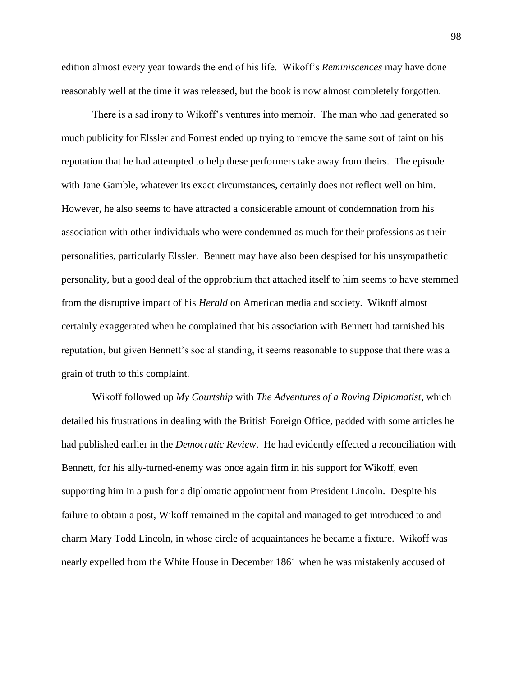edition almost every year towards the end of his life. Wikoff"s *Reminiscences* may have done reasonably well at the time it was released, but the book is now almost completely forgotten.

There is a sad irony to Wikoff"s ventures into memoir. The man who had generated so much publicity for Elssler and Forrest ended up trying to remove the same sort of taint on his reputation that he had attempted to help these performers take away from theirs. The episode with Jane Gamble, whatever its exact circumstances, certainly does not reflect well on him. However, he also seems to have attracted a considerable amount of condemnation from his association with other individuals who were condemned as much for their professions as their personalities, particularly Elssler. Bennett may have also been despised for his unsympathetic personality, but a good deal of the opprobrium that attached itself to him seems to have stemmed from the disruptive impact of his *Herald* on American media and society. Wikoff almost certainly exaggerated when he complained that his association with Bennett had tarnished his reputation, but given Bennett's social standing, it seems reasonable to suppose that there was a grain of truth to this complaint.

Wikoff followed up *My Courtship* with *The Adventures of a Roving Diplomatist*, which detailed his frustrations in dealing with the British Foreign Office, padded with some articles he had published earlier in the *Democratic Review*. He had evidently effected a reconciliation with Bennett, for his ally-turned-enemy was once again firm in his support for Wikoff, even supporting him in a push for a diplomatic appointment from President Lincoln. Despite his failure to obtain a post, Wikoff remained in the capital and managed to get introduced to and charm Mary Todd Lincoln, in whose circle of acquaintances he became a fixture. Wikoff was nearly expelled from the White House in December 1861 when he was mistakenly accused of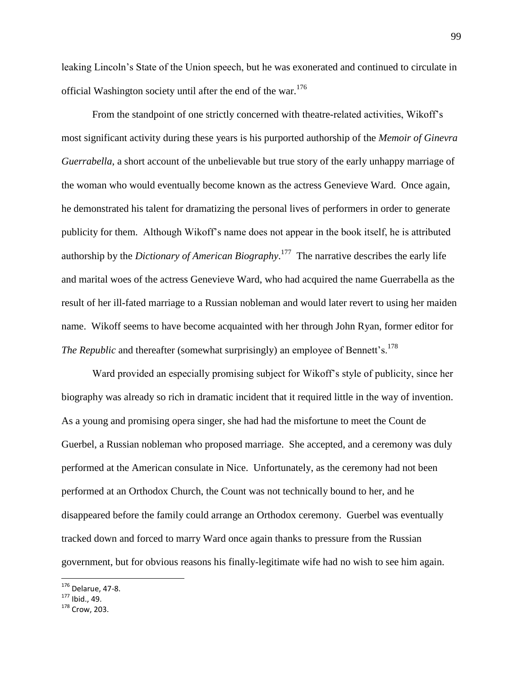leaking Lincoln"s State of the Union speech, but he was exonerated and continued to circulate in official Washington society until after the end of the war.<sup>176</sup>

From the standpoint of one strictly concerned with theatre-related activities, Wikoff"s most significant activity during these years is his purported authorship of the *Memoir of Ginevra Guerrabella*, a short account of the unbelievable but true story of the early unhappy marriage of the woman who would eventually become known as the actress Genevieve Ward. Once again, he demonstrated his talent for dramatizing the personal lives of performers in order to generate publicity for them. Although Wikoff"s name does not appear in the book itself, he is attributed authorship by the *Dictionary of American Biography*. 177 The narrative describes the early life and marital woes of the actress Genevieve Ward, who had acquired the name Guerrabella as the result of her ill-fated marriage to a Russian nobleman and would later revert to using her maiden name. Wikoff seems to have become acquainted with her through John Ryan, former editor for *The Republic* and thereafter (somewhat surprisingly) an employee of Bennett's.<sup>178</sup>

Ward provided an especially promising subject for Wikoff"s style of publicity, since her biography was already so rich in dramatic incident that it required little in the way of invention. As a young and promising opera singer, she had had the misfortune to meet the Count de Guerbel, a Russian nobleman who proposed marriage. She accepted, and a ceremony was duly performed at the American consulate in Nice. Unfortunately, as the ceremony had not been performed at an Orthodox Church, the Count was not technically bound to her, and he disappeared before the family could arrange an Orthodox ceremony. Guerbel was eventually tracked down and forced to marry Ward once again thanks to pressure from the Russian government, but for obvious reasons his finally-legitimate wife had no wish to see him again.

<sup>176</sup> Delarue, 47-8.

 $177$  Ibid., 49.

<sup>178</sup> Crow, 203.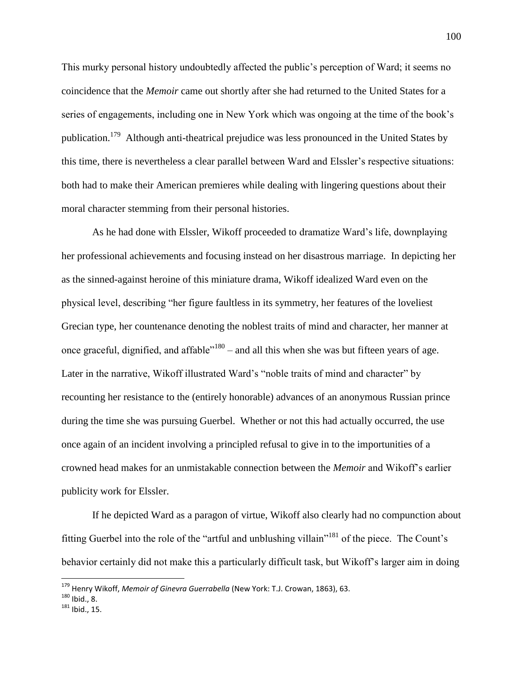This murky personal history undoubtedly affected the public"s perception of Ward; it seems no coincidence that the *Memoir* came out shortly after she had returned to the United States for a series of engagements, including one in New York which was ongoing at the time of the book"s publication.<sup>179</sup> Although anti-theatrical prejudice was less pronounced in the United States by this time, there is nevertheless a clear parallel between Ward and Elssler"s respective situations: both had to make their American premieres while dealing with lingering questions about their moral character stemming from their personal histories.

As he had done with Elssler, Wikoff proceeded to dramatize Ward"s life, downplaying her professional achievements and focusing instead on her disastrous marriage. In depicting her as the sinned-against heroine of this miniature drama, Wikoff idealized Ward even on the physical level, describing "her figure faultless in its symmetry, her features of the loveliest Grecian type, her countenance denoting the noblest traits of mind and character, her manner at once graceful, dignified, and affable<sup> $n_{180}$ </sup> – and all this when she was but fifteen years of age. Later in the narrative, Wikoff illustrated Ward"s "noble traits of mind and character" by recounting her resistance to the (entirely honorable) advances of an anonymous Russian prince during the time she was pursuing Guerbel. Whether or not this had actually occurred, the use once again of an incident involving a principled refusal to give in to the importunities of a crowned head makes for an unmistakable connection between the *Memoir* and Wikoff"s earlier publicity work for Elssler.

If he depicted Ward as a paragon of virtue, Wikoff also clearly had no compunction about fitting Guerbel into the role of the "artful and unblushing villain"<sup>181</sup> of the piece. The Count's behavior certainly did not make this a particularly difficult task, but Wikoff"s larger aim in doing

<sup>179</sup> Henry Wikoff, *Memoir of Ginevra Guerrabella* (New York: T.J. Crowan, 1863), 63.

 $180$  Ibid., 8.

<sup>181</sup> Ibid., 15.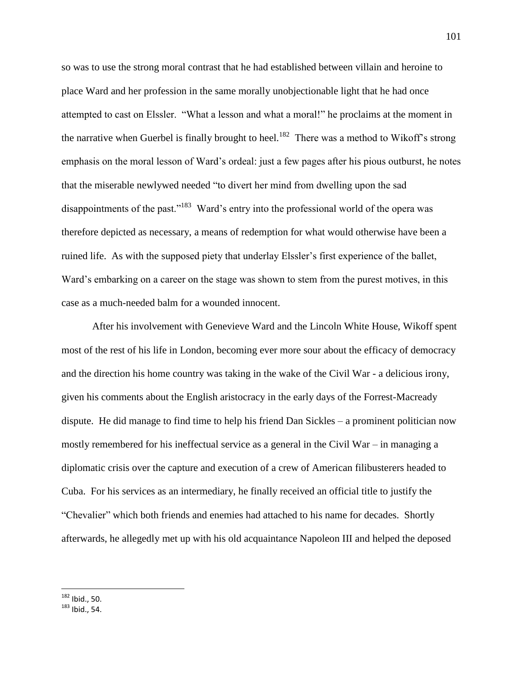so was to use the strong moral contrast that he had established between villain and heroine to place Ward and her profession in the same morally unobjectionable light that he had once attempted to cast on Elssler. "What a lesson and what a moral!" he proclaims at the moment in the narrative when Guerbel is finally brought to heel.<sup>182</sup> There was a method to Wikoff's strong emphasis on the moral lesson of Ward"s ordeal: just a few pages after his pious outburst, he notes that the miserable newlywed needed "to divert her mind from dwelling upon the sad disappointments of the past."<sup>183</sup> Ward's entry into the professional world of the opera was therefore depicted as necessary, a means of redemption for what would otherwise have been a ruined life. As with the supposed piety that underlay Elssler's first experience of the ballet, Ward"s embarking on a career on the stage was shown to stem from the purest motives, in this case as a much-needed balm for a wounded innocent.

After his involvement with Genevieve Ward and the Lincoln White House, Wikoff spent most of the rest of his life in London, becoming ever more sour about the efficacy of democracy and the direction his home country was taking in the wake of the Civil War - a delicious irony, given his comments about the English aristocracy in the early days of the Forrest-Macready dispute. He did manage to find time to help his friend Dan Sickles – a prominent politician now mostly remembered for his ineffectual service as a general in the Civil War – in managing a diplomatic crisis over the capture and execution of a crew of American filibusterers headed to Cuba. For his services as an intermediary, he finally received an official title to justify the "Chevalier" which both friends and enemies had attached to his name for decades. Shortly afterwards, he allegedly met up with his old acquaintance Napoleon III and helped the deposed

 $182$  Ibid., 50.

<sup>183</sup> Ibid., 54.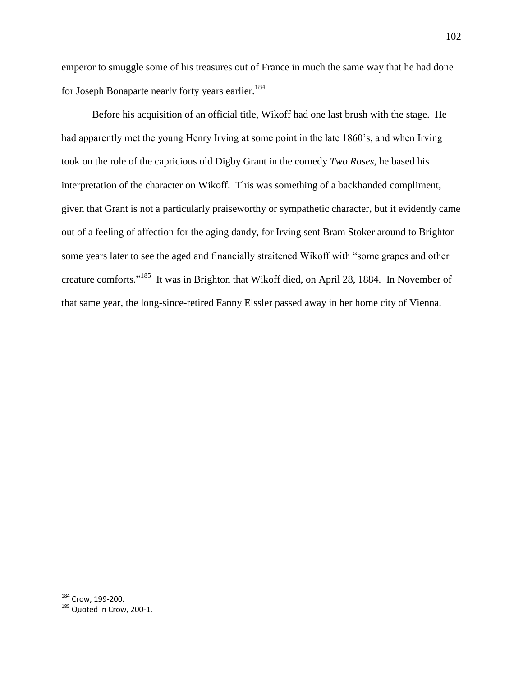emperor to smuggle some of his treasures out of France in much the same way that he had done for Joseph Bonaparte nearly forty years earlier.<sup>184</sup>

Before his acquisition of an official title, Wikoff had one last brush with the stage. He had apparently met the young Henry Irving at some point in the late 1860"s, and when Irving took on the role of the capricious old Digby Grant in the comedy *Two Roses*, he based his interpretation of the character on Wikoff. This was something of a backhanded compliment, given that Grant is not a particularly praiseworthy or sympathetic character, but it evidently came out of a feeling of affection for the aging dandy, for Irving sent Bram Stoker around to Brighton some years later to see the aged and financially straitened Wikoff with "some grapes and other creature comforts."<sup>185</sup> It was in Brighton that Wikoff died, on April 28, 1884. In November of that same year, the long-since-retired Fanny Elssler passed away in her home city of Vienna.

 $184$  Crow, 199-200.

<sup>&</sup>lt;sup>185</sup> Quoted in Crow, 200-1.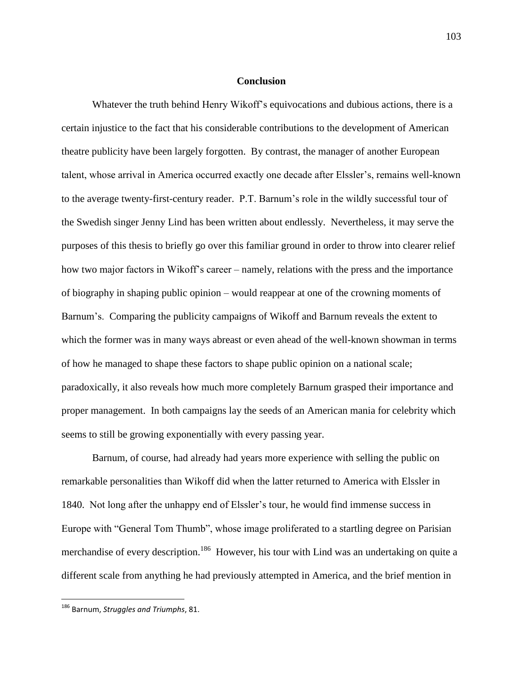## **Conclusion**

Whatever the truth behind Henry Wikoff"s equivocations and dubious actions, there is a certain injustice to the fact that his considerable contributions to the development of American theatre publicity have been largely forgotten. By contrast, the manager of another European talent, whose arrival in America occurred exactly one decade after Elssler"s, remains well-known to the average twenty-first-century reader. P.T. Barnum"s role in the wildly successful tour of the Swedish singer Jenny Lind has been written about endlessly. Nevertheless, it may serve the purposes of this thesis to briefly go over this familiar ground in order to throw into clearer relief how two major factors in Wikoff"s career – namely, relations with the press and the importance of biography in shaping public opinion – would reappear at one of the crowning moments of Barnum's. Comparing the publicity campaigns of Wikoff and Barnum reveals the extent to which the former was in many ways abreast or even ahead of the well-known showman in terms of how he managed to shape these factors to shape public opinion on a national scale; paradoxically, it also reveals how much more completely Barnum grasped their importance and proper management. In both campaigns lay the seeds of an American mania for celebrity which seems to still be growing exponentially with every passing year.

Barnum, of course, had already had years more experience with selling the public on remarkable personalities than Wikoff did when the latter returned to America with Elssler in 1840. Not long after the unhappy end of Elssler's tour, he would find immense success in Europe with "General Tom Thumb", whose image proliferated to a startling degree on Parisian merchandise of every description.<sup>186</sup> However, his tour with Lind was an undertaking on quite a different scale from anything he had previously attempted in America, and the brief mention in

<sup>186</sup> Barnum, *Struggles and Triumphs*, 81.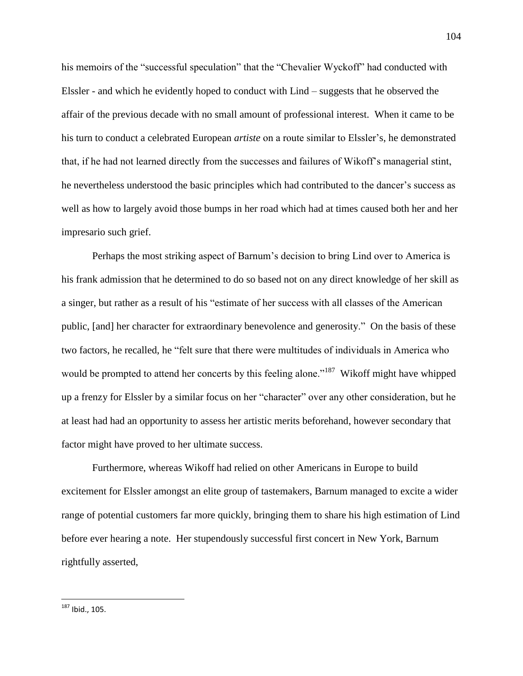his memoirs of the "successful speculation" that the "Chevalier Wyckoff" had conducted with Elssler - and which he evidently hoped to conduct with Lind – suggests that he observed the affair of the previous decade with no small amount of professional interest. When it came to be his turn to conduct a celebrated European *artiste* on a route similar to Elssler"s, he demonstrated that, if he had not learned directly from the successes and failures of Wikoff"s managerial stint, he nevertheless understood the basic principles which had contributed to the dancer's success as well as how to largely avoid those bumps in her road which had at times caused both her and her impresario such grief.

Perhaps the most striking aspect of Barnum"s decision to bring Lind over to America is his frank admission that he determined to do so based not on any direct knowledge of her skill as a singer, but rather as a result of his "estimate of her success with all classes of the American public, [and] her character for extraordinary benevolence and generosity." On the basis of these two factors, he recalled, he "felt sure that there were multitudes of individuals in America who would be prompted to attend her concerts by this feeling alone."<sup>187</sup> Wikoff might have whipped up a frenzy for Elssler by a similar focus on her "character" over any other consideration, but he at least had had an opportunity to assess her artistic merits beforehand, however secondary that factor might have proved to her ultimate success.

Furthermore, whereas Wikoff had relied on other Americans in Europe to build excitement for Elssler amongst an elite group of tastemakers, Barnum managed to excite a wider range of potential customers far more quickly, bringing them to share his high estimation of Lind before ever hearing a note. Her stupendously successful first concert in New York, Barnum rightfully asserted,

 $^{187}$  Ibid., 105.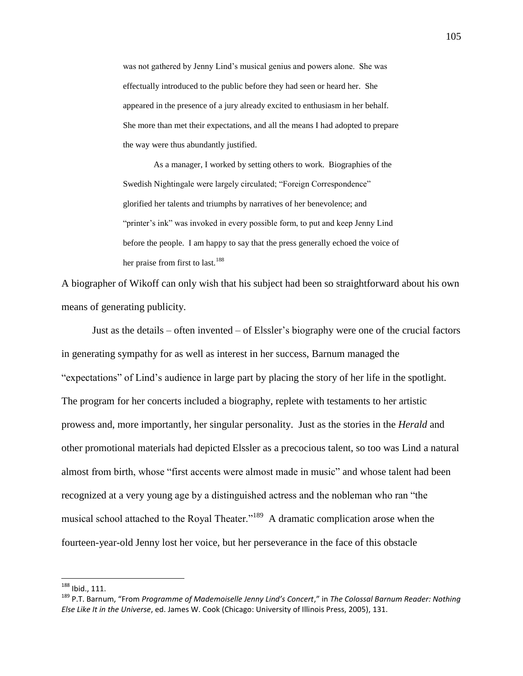was not gathered by Jenny Lind"s musical genius and powers alone. She was effectually introduced to the public before they had seen or heard her. She appeared in the presence of a jury already excited to enthusiasm in her behalf. She more than met their expectations, and all the means I had adopted to prepare the way were thus abundantly justified.

As a manager, I worked by setting others to work. Biographies of the Swedish Nightingale were largely circulated; "Foreign Correspondence" glorified her talents and triumphs by narratives of her benevolence; and "printer's ink" was invoked in every possible form, to put and keep Jenny Lind before the people. I am happy to say that the press generally echoed the voice of her praise from first to last.<sup>188</sup>

A biographer of Wikoff can only wish that his subject had been so straightforward about his own means of generating publicity.

Just as the details – often invented – of Elssler"s biography were one of the crucial factors in generating sympathy for as well as interest in her success, Barnum managed the "expectations" of Lind"s audience in large part by placing the story of her life in the spotlight. The program for her concerts included a biography, replete with testaments to her artistic prowess and, more importantly, her singular personality. Just as the stories in the *Herald* and other promotional materials had depicted Elssler as a precocious talent, so too was Lind a natural almost from birth, whose "first accents were almost made in music" and whose talent had been recognized at a very young age by a distinguished actress and the nobleman who ran "the musical school attached to the Royal Theater."<sup>189</sup> A dramatic complication arose when the fourteen-year-old Jenny lost her voice, but her perseverance in the face of this obstacle

 $^{188}$  Ibid., 111.

<sup>189</sup> P.T. Barnum, "From *Programme of Mademoiselle Jenny Lind's Concert*," in *The Colossal Barnum Reader: Nothing Else Like It in the Universe*, ed. James W. Cook (Chicago: University of Illinois Press, 2005), 131.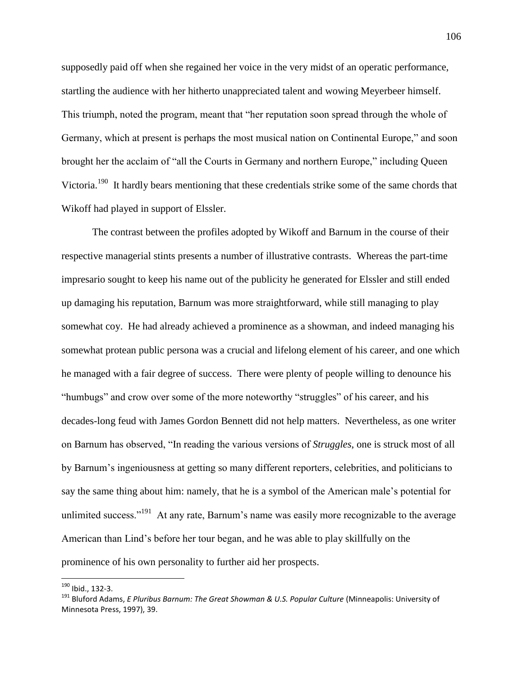supposedly paid off when she regained her voice in the very midst of an operatic performance, startling the audience with her hitherto unappreciated talent and wowing Meyerbeer himself. This triumph, noted the program, meant that "her reputation soon spread through the whole of Germany, which at present is perhaps the most musical nation on Continental Europe," and soon brought her the acclaim of "all the Courts in Germany and northern Europe," including Queen Victoria.<sup>190</sup> It hardly bears mentioning that these credentials strike some of the same chords that Wikoff had played in support of Elssler.

The contrast between the profiles adopted by Wikoff and Barnum in the course of their respective managerial stints presents a number of illustrative contrasts. Whereas the part-time impresario sought to keep his name out of the publicity he generated for Elssler and still ended up damaging his reputation, Barnum was more straightforward, while still managing to play somewhat coy. He had already achieved a prominence as a showman, and indeed managing his somewhat protean public persona was a crucial and lifelong element of his career, and one which he managed with a fair degree of success. There were plenty of people willing to denounce his "humbugs" and crow over some of the more noteworthy "struggles" of his career, and his decades-long feud with James Gordon Bennett did not help matters. Nevertheless, as one writer on Barnum has observed, "In reading the various versions of *Struggles*, one is struck most of all by Barnum"s ingeniousness at getting so many different reporters, celebrities, and politicians to say the same thing about him: namely, that he is a symbol of the American male"s potential for unlimited success."<sup>191</sup> At any rate, Barnum's name was easily more recognizable to the average American than Lind"s before her tour began, and he was able to play skillfully on the prominence of his own personality to further aid her prospects.

<sup>190</sup> Ibid., 132-3.

<sup>191</sup> Bluford Adams, *E Pluribus Barnum: The Great Showman & U.S. Popular Culture* (Minneapolis: University of Minnesota Press, 1997), 39.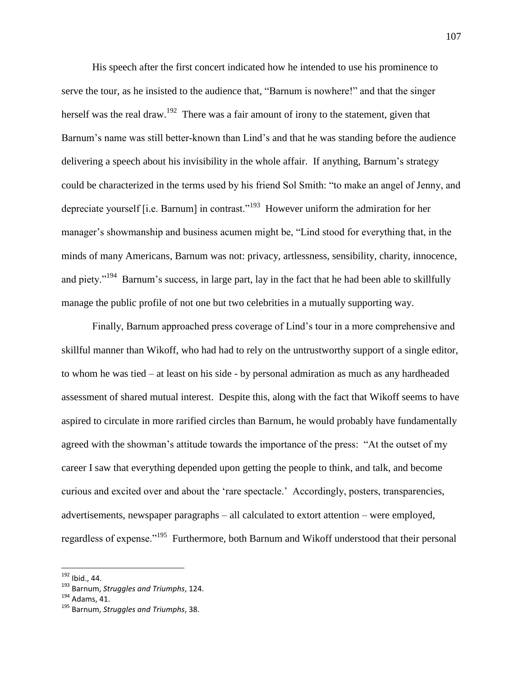His speech after the first concert indicated how he intended to use his prominence to serve the tour, as he insisted to the audience that, "Barnum is nowhere!" and that the singer herself was the real draw.<sup>192</sup> There was a fair amount of irony to the statement, given that Barnum's name was still better-known than Lind's and that he was standing before the audience delivering a speech about his invisibility in the whole affair. If anything, Barnum"s strategy could be characterized in the terms used by his friend Sol Smith: "to make an angel of Jenny, and depreciate yourself [i.e. Barnum] in contrast."<sup>193</sup> However uniform the admiration for her manager's showmanship and business acumen might be, "Lind stood for everything that, in the minds of many Americans, Barnum was not: privacy, artlessness, sensibility, charity, innocence, and piety."<sup>194</sup> Barnum's success, in large part, lay in the fact that he had been able to skillfully manage the public profile of not one but two celebrities in a mutually supporting way.

Finally, Barnum approached press coverage of Lind"s tour in a more comprehensive and skillful manner than Wikoff, who had had to rely on the untrustworthy support of a single editor, to whom he was tied – at least on his side - by personal admiration as much as any hardheaded assessment of shared mutual interest. Despite this, along with the fact that Wikoff seems to have aspired to circulate in more rarified circles than Barnum, he would probably have fundamentally agreed with the showman"s attitude towards the importance of the press: "At the outset of my career I saw that everything depended upon getting the people to think, and talk, and become curious and excited over and about the "rare spectacle." Accordingly, posters, transparencies, advertisements, newspaper paragraphs – all calculated to extort attention – were employed, regardless of expense."<sup>195</sup> Furthermore, both Barnum and Wikoff understood that their personal

<sup>&</sup>lt;sup>192</sup> Ibid., 44.

<sup>193</sup> Barnum, *Struggles and Triumphs*, 124.

 $194$  Adams, 41.

<sup>195</sup> Barnum, *Struggles and Triumphs*, 38.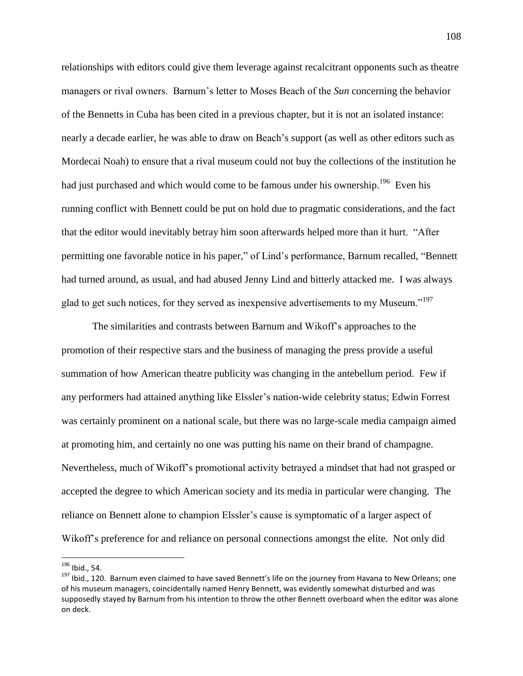relationships with editors could give them leverage against recalcitrant opponents such as theatre managers or rival owners. Barnum"s letter to Moses Beach of the *Sun* concerning the behavior of the Bennetts in Cuba has been cited in a previous chapter, but it is not an isolated instance: nearly a decade earlier, he was able to draw on Beach"s support (as well as other editors such as Mordecai Noah) to ensure that a rival museum could not buy the collections of the institution he had just purchased and which would come to be famous under his ownership.<sup>196</sup> Even his running conflict with Bennett could be put on hold due to pragmatic considerations, and the fact that the editor would inevitably betray him soon afterwards helped more than it hurt. "After permitting one favorable notice in his paper," of Lind"s performance, Barnum recalled, "Bennett had turned around, as usual, and had abused Jenny Lind and bitterly attacked me. I was always glad to get such notices, for they served as inexpensive advertisements to my Museum."<sup>197</sup>

The similarities and contrasts between Barnum and Wikoff"s approaches to the promotion of their respective stars and the business of managing the press provide a useful summation of how American theatre publicity was changing in the antebellum period. Few if any performers had attained anything like Elssler"s nation-wide celebrity status; Edwin Forrest was certainly prominent on a national scale, but there was no large-scale media campaign aimed at promoting him, and certainly no one was putting his name on their brand of champagne. Nevertheless, much of Wikoff"s promotional activity betrayed a mindset that had not grasped or accepted the degree to which American society and its media in particular were changing. The reliance on Bennett alone to champion Elssler's cause is symptomatic of a larger aspect of Wikoff"s preference for and reliance on personal connections amongst the elite. Not only did

<sup>&</sup>lt;sup>196</sup> Ibid., 54.

<sup>&</sup>lt;sup>197</sup> Ibid., 120. Barnum even claimed to have saved Bennett's life on the journey from Havana to New Orleans; one of his museum managers, coincidentally named Henry Bennett, was evidently somewhat disturbed and was supposedly stayed by Barnum from his intention to throw the other Bennett overboard when the editor was alone on deck.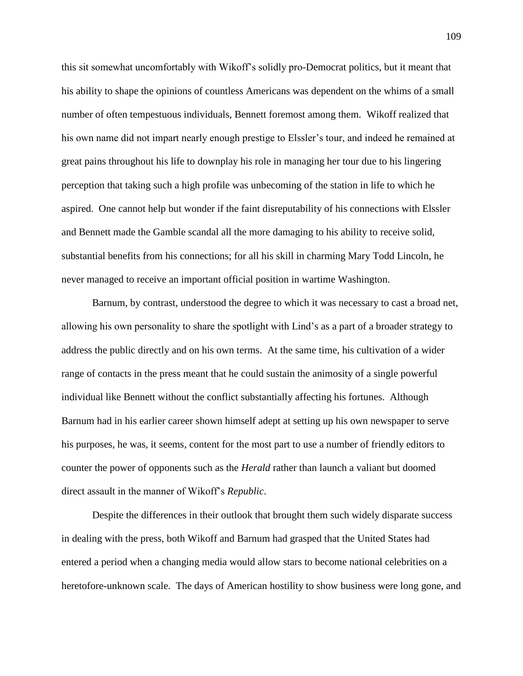this sit somewhat uncomfortably with Wikoff"s solidly pro-Democrat politics, but it meant that his ability to shape the opinions of countless Americans was dependent on the whims of a small number of often tempestuous individuals, Bennett foremost among them. Wikoff realized that his own name did not impart nearly enough prestige to Elssler"s tour, and indeed he remained at great pains throughout his life to downplay his role in managing her tour due to his lingering perception that taking such a high profile was unbecoming of the station in life to which he aspired. One cannot help but wonder if the faint disreputability of his connections with Elssler and Bennett made the Gamble scandal all the more damaging to his ability to receive solid, substantial benefits from his connections; for all his skill in charming Mary Todd Lincoln, he never managed to receive an important official position in wartime Washington.

Barnum, by contrast, understood the degree to which it was necessary to cast a broad net, allowing his own personality to share the spotlight with Lind"s as a part of a broader strategy to address the public directly and on his own terms. At the same time, his cultivation of a wider range of contacts in the press meant that he could sustain the animosity of a single powerful individual like Bennett without the conflict substantially affecting his fortunes. Although Barnum had in his earlier career shown himself adept at setting up his own newspaper to serve his purposes, he was, it seems, content for the most part to use a number of friendly editors to counter the power of opponents such as the *Herald* rather than launch a valiant but doomed direct assault in the manner of Wikoff"s *Republic*.

Despite the differences in their outlook that brought them such widely disparate success in dealing with the press, both Wikoff and Barnum had grasped that the United States had entered a period when a changing media would allow stars to become national celebrities on a heretofore-unknown scale. The days of American hostility to show business were long gone, and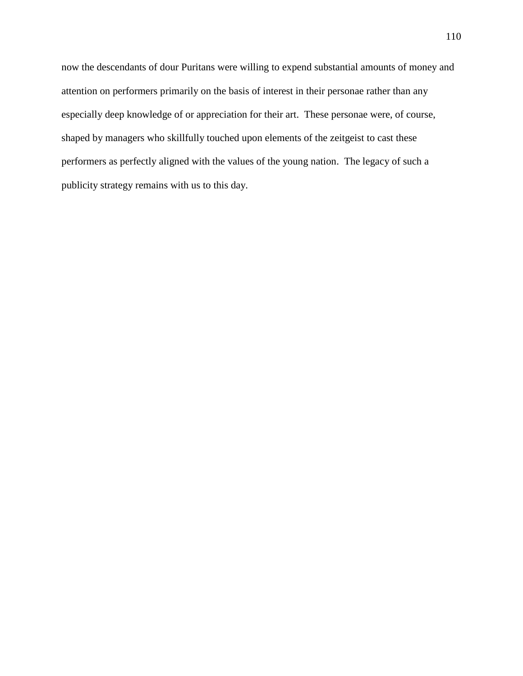now the descendants of dour Puritans were willing to expend substantial amounts of money and attention on performers primarily on the basis of interest in their personae rather than any especially deep knowledge of or appreciation for their art. These personae were, of course, shaped by managers who skillfully touched upon elements of the zeitgeist to cast these performers as perfectly aligned with the values of the young nation. The legacy of such a publicity strategy remains with us to this day.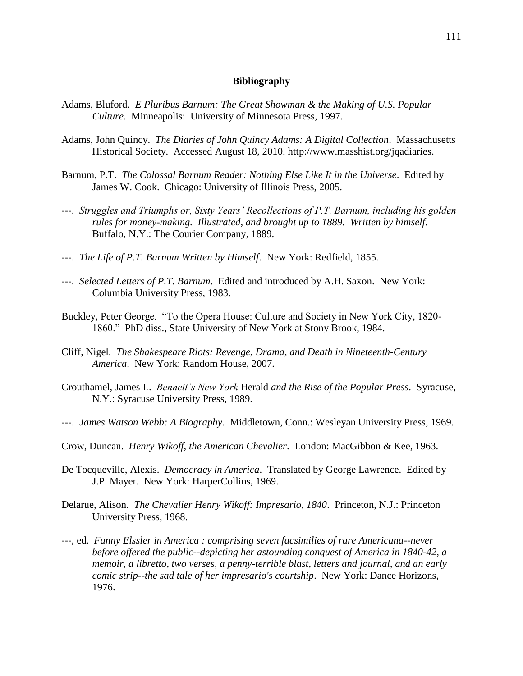## **Bibliography**

- Adams, Bluford. *E Pluribus Barnum: The Great Showman & the Making of U.S. Popular Culture*. Minneapolis: University of Minnesota Press, 1997.
- Adams, John Quincy. *The Diaries of John Quincy Adams: A Digital Collection*. Massachusetts Historical Society. Accessed August 18, 2010. http://www.masshist.org/jqadiaries.
- Barnum, P.T. *The Colossal Barnum Reader: Nothing Else Like It in the Universe*. Edited by James W. Cook. Chicago: University of Illinois Press, 2005.
- ---. *Struggles and Triumphs or, Sixty Years' Recollections of P.T. Barnum, including his golden rules for money-making. Illustrated, and brought up to 1889. Written by himself.* Buffalo, N.Y.: The Courier Company, 1889.
- ---. *The Life of P.T. Barnum Written by Himself*. New York: Redfield, 1855.
- ---. *Selected Letters of P.T. Barnum*. Edited and introduced by A.H. Saxon. New York: Columbia University Press, 1983.
- Buckley, Peter George. "To the Opera House: Culture and Society in New York City, 1820- 1860." PhD diss., State University of New York at Stony Brook, 1984.
- Cliff, Nigel. *The Shakespeare Riots: Revenge, Drama, and Death in Nineteenth-Century America*. New York: Random House, 2007.
- Crouthamel, James L. *Bennett's New York* Herald *and the Rise of the Popular Press*. Syracuse, N.Y.: Syracuse University Press, 1989.
- ---. *James Watson Webb: A Biography*. Middletown, Conn.: Wesleyan University Press, 1969.
- Crow, Duncan. *Henry Wikoff, the American Chevalier*. London: MacGibbon & Kee, 1963.
- De Tocqueville, Alexis. *Democracy in America*. Translated by George Lawrence. Edited by J.P. Mayer. New York: HarperCollins, 1969.
- Delarue, Alison. *The Chevalier Henry Wikoff: Impresario, 1840*. Princeton, N.J.: Princeton University Press, 1968.
- ---, ed. *Fanny Elssler in America : comprising seven facsimilies of rare Americana--never before offered the public--depicting her astounding conquest of America in 1840-42, a memoir, a libretto, two verses, a penny-terrible blast, letters and journal, and an early comic strip--the sad tale of her impresario's courtship*. New York: Dance Horizons, 1976.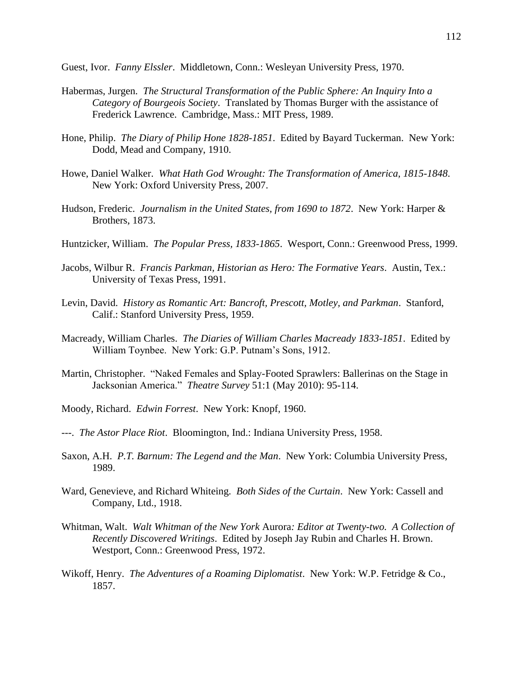Guest, Ivor. *Fanny Elssler*. Middletown, Conn.: Wesleyan University Press, 1970.

- Habermas, Jurgen. *The Structural Transformation of the Public Sphere: An Inquiry Into a Category of Bourgeois Society*. Translated by Thomas Burger with the assistance of Frederick Lawrence. Cambridge, Mass.: MIT Press, 1989.
- Hone, Philip. *The Diary of Philip Hone 1828-1851*. Edited by Bayard Tuckerman. New York: Dodd, Mead and Company, 1910.
- Howe, Daniel Walker. *What Hath God Wrought: The Transformation of America, 1815-1848*. New York: Oxford University Press, 2007.
- Hudson, Frederic. *Journalism in the United States, from 1690 to 1872*. New York: Harper & Brothers, 1873.
- Huntzicker, William. *The Popular Press, 1833-1865*. Wesport, Conn.: Greenwood Press, 1999.
- Jacobs, Wilbur R. *Francis Parkman, Historian as Hero: The Formative Years*. Austin, Tex.: University of Texas Press, 1991.
- Levin, David. *History as Romantic Art: Bancroft, Prescott, Motley, and Parkman*. Stanford, Calif.: Stanford University Press, 1959.
- Macready, William Charles. *The Diaries of William Charles Macready 1833-1851*. Edited by William Toynbee. New York: G.P. Putnam"s Sons, 1912.
- Martin, Christopher. "Naked Females and Splay-Footed Sprawlers: Ballerinas on the Stage in Jacksonian America." *Theatre Survey* 51:1 (May 2010): 95-114.
- Moody, Richard. *Edwin Forrest*. New York: Knopf, 1960.
- ---. *The Astor Place Riot*. Bloomington, Ind.: Indiana University Press, 1958.
- Saxon, A.H. *P.T. Barnum: The Legend and the Man*. New York: Columbia University Press, 1989.
- Ward, Genevieve, and Richard Whiteing. *Both Sides of the Curtain*. New York: Cassell and Company, Ltd., 1918.
- Whitman, Walt. *Walt Whitman of the New York* Aurora*: Editor at Twenty-two. A Collection of Recently Discovered Writings*. Edited by Joseph Jay Rubin and Charles H. Brown. Westport, Conn.: Greenwood Press, 1972.
- Wikoff, Henry. *The Adventures of a Roaming Diplomatist*. New York: W.P. Fetridge & Co., 1857.